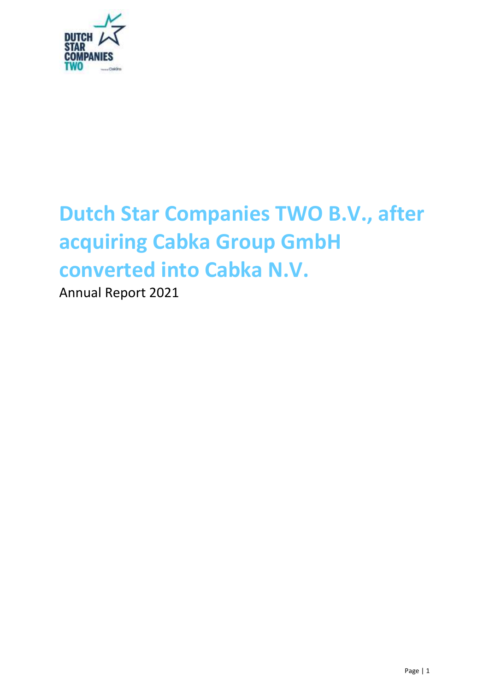

# **Dutch Star Companies TWO B.V., after acquiring Cabka Group GmbH converted into [Cabka N.V.](pp://General Data/Name of reporting entity or other means of identification?taxonomy=ESEF&labellanguage=en&allowhtml=false)**

Annual Report 2021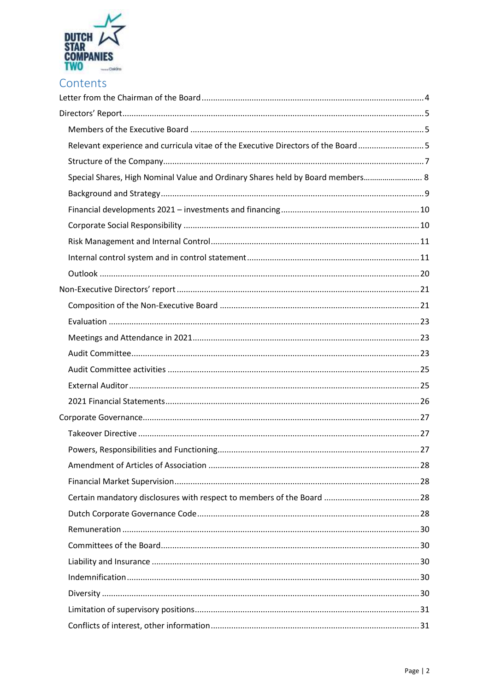

| Contents |  |  |
|----------|--|--|
|          |  |  |

| Relevant experience and curricula vitae of the Executive Directors of the Board5 |  |
|----------------------------------------------------------------------------------|--|
|                                                                                  |  |
| Special Shares, High Nominal Value and Ordinary Shares held by Board members 8   |  |
|                                                                                  |  |
|                                                                                  |  |
|                                                                                  |  |
|                                                                                  |  |
|                                                                                  |  |
|                                                                                  |  |
|                                                                                  |  |
|                                                                                  |  |
|                                                                                  |  |
|                                                                                  |  |
|                                                                                  |  |
|                                                                                  |  |
|                                                                                  |  |
|                                                                                  |  |
|                                                                                  |  |
|                                                                                  |  |
|                                                                                  |  |
|                                                                                  |  |
|                                                                                  |  |
|                                                                                  |  |
|                                                                                  |  |
|                                                                                  |  |
|                                                                                  |  |
|                                                                                  |  |
|                                                                                  |  |
|                                                                                  |  |
|                                                                                  |  |
|                                                                                  |  |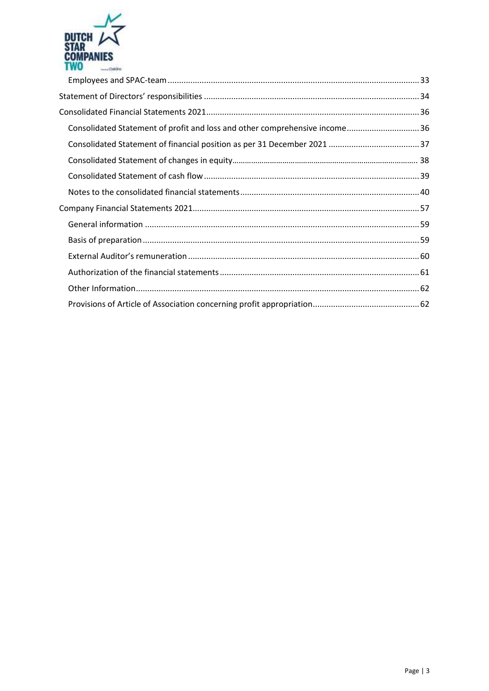

| Consolidated Statement of profit and loss and other comprehensive income36 |  |
|----------------------------------------------------------------------------|--|
|                                                                            |  |
|                                                                            |  |
|                                                                            |  |
|                                                                            |  |
|                                                                            |  |
|                                                                            |  |
|                                                                            |  |
|                                                                            |  |
|                                                                            |  |
|                                                                            |  |
|                                                                            |  |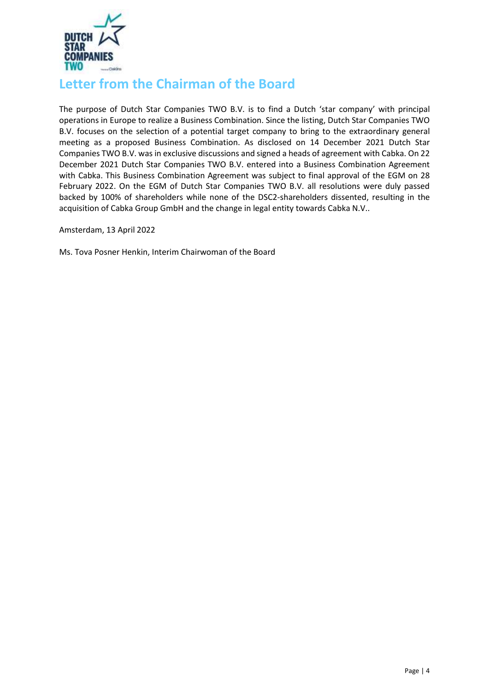

# <span id="page-3-0"></span>**Letter from the Chairman of the Board**

The purpose of Dutch Star Companies TWO B.V. is to find a Dutch 'star company' with principal operations in Europe to realize a Business Combination. Since the listing, Dutch Star Companies TWO B.V. focuses on the selection of a potential target company to bring to the extraordinary general meeting as a proposed Business Combination. As disclosed on 14 December 2021 Dutch Star Companies TWO B.V. was in exclusive discussions and signed a heads of agreement with Cabka. On 22 December 2021 Dutch Star Companies TWO B.V. entered into a Business Combination Agreement with Cabka. This Business Combination Agreement was subject to final approval of the EGM on 28 February 2022. On the EGM of Dutch Star Companies TWO B.V. all resolutions were duly passed backed by 100% of shareholders while none of the DSC2-shareholders dissented, resulting in the acquisition of Cabka Group GmbH and the change in legal entity towards Cabka [N.V..](pp://General Data/Legal form of entity?taxonomy=ESEF&labellanguage=en&allowhtml=false)

[Amsterdam](pp://General Data/Domicile of entity?taxonomy=ESEF&labellanguage=en&allowhtml=false), 13 April 2022

Ms. Tova Posner Henkin, Interim Chairwoman of the Board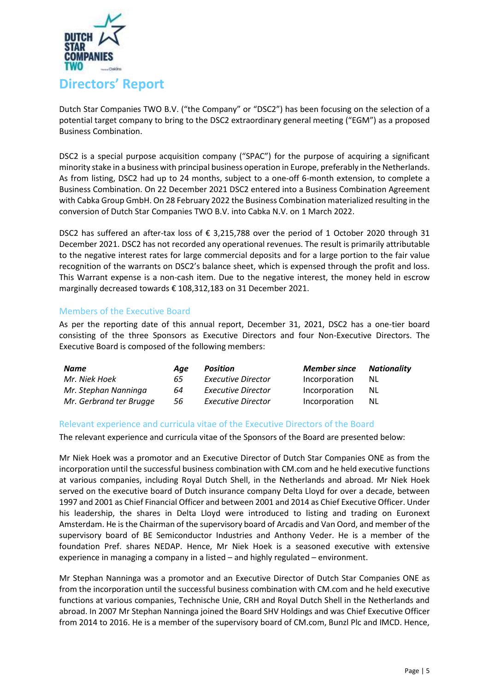

<span id="page-4-0"></span>Dutch Star Companies TWO B.V. ("the Company" or "DSC2") has been focusing on the selection of a potential target company to bring to the DSC2 extraordinary general meeting ("EGM") as a proposed Business Combination.

DSC2 is a special purpose acquisition company ("SPAC") for the purpose of acquiring a significant minority stake in a business with principal business operation in Europe, preferably in [the Netherlands.](pp://General Data/Country of incorporation?taxonomy=ESEF&labellanguage=en&allowhtml=false) As from listing, DSC2 had up to 24 months, subject to a one-off 6-month extension, to complete a Business Combination. On 22 December 2021 DSC2 entered into a Business Combination Agreement with Cabka Group GmbH. On 28 February 2022 the Business Combination materialized resulting in the conversion of Dutch Star Companies TWO B.V. into Cabka N.V. on 1 March 2022.

DSC2 has suffered an after-tax loss of € 3,215,788 over the period of 1 October 2020 through 31 December 2021. DSC2 has not recorded any operational revenues. The result is primarily attributable to the negative interest rates for large commercial deposits and for a large portion to the fair value recognition of the warrants on DSC2's balance sheet, which is expensed through the profit and loss. This Warrant expense is a non-cash item. Due to the negative interest, the money held in escrow marginally decreased towards € 108,312,183 on 31 December 2021.

# <span id="page-4-1"></span>Members of the Executive Board

As per the reporting date of this annual report, December 31, 2021, DSC2 has a one-tier board consisting of the three Sponsors as Executive Directors and four Non-Executive Directors. The Executive Board is composed of the following members:

| Name                    | Aae | <b>Position</b>           | <b>Member since</b> | Nationality |
|-------------------------|-----|---------------------------|---------------------|-------------|
| Mr. Niek Hoek           | 65  | <b>Executive Director</b> | Incorporation       | <b>NL</b>   |
| Mr. Stephan Nanninga    | 64  | <b>Executive Director</b> | Incorporation       | <b>NL</b>   |
| Mr. Gerbrand ter Brugge | 56  | <b>Executive Director</b> | Incorporation       | NL.         |

# <span id="page-4-2"></span>Relevant experience and curricula vitae of the Executive Directors of the Board

The relevant experience and curricula vitae of the Sponsors of the Board are presented below:

Mr Niek Hoek was a promotor and an Executive Director of Dutch Star Companies ONE as from the incorporation until the successful business combination with CM.com and he held executive functions at various companies, including Royal Dutch Shell, in the Netherlands and abroad. Mr Niek Hoek served on the executive board of Dutch insurance company Delta Lloyd for over a decade, between 1997 and 2001 as Chief Financial Officer and between 2001 and 2014 as Chief Executive Officer. Under his leadership, the shares in Delta Lloyd were introduced to listing and trading on Euronext Amsterdam. He is the Chairman of the supervisory board of Arcadis and Van Oord, and member of the supervisory board of BE Semiconductor Industries and Anthony Veder. He is a member of the foundation Pref. shares NEDAP. Hence, Mr Niek Hoek is a seasoned executive with extensive experience in managing a company in a listed – and highly regulated – environment.

Mr Stephan Nanninga was a promotor and an Executive Director of Dutch Star Companies ONE as from the incorporation until the successful business combination with CM.com and he held executive functions at various companies, Technische Unie, CRH and Royal Dutch Shell in the Netherlands and abroad. In 2007 Mr Stephan Nanninga joined the Board SHV Holdings and was Chief Executive Officer from 2014 to 2016. He is a member of the supervisory board of CM.com, Bunzl Plc and IMCD. Hence,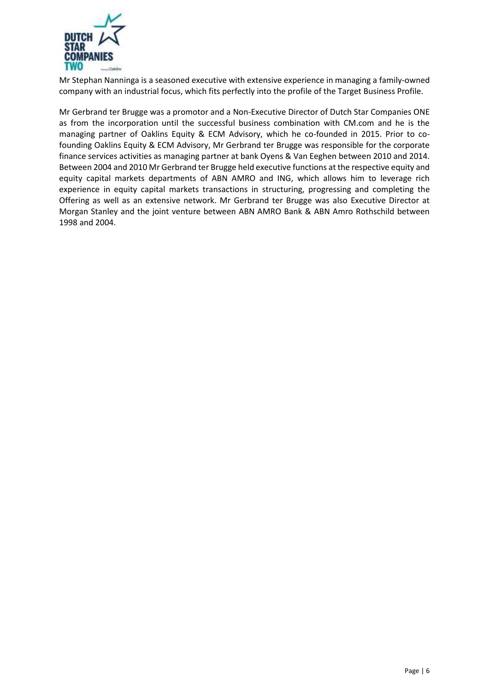

Mr Stephan Nanninga is a seasoned executive with extensive experience in managing a family-owned company with an industrial focus, which fits perfectly into the profile of the Target Business Profile.

Mr Gerbrand ter Brugge was a promotor and a Non-Executive Director of Dutch Star Companies ONE as from the incorporation until the successful business combination with CM.com and he is the managing partner of Oaklins Equity & ECM Advisory, which he co-founded in 2015. Prior to cofounding Oaklins Equity & ECM Advisory, Mr Gerbrand ter Brugge was responsible for the corporate finance services activities as managing partner at bank Oyens & Van Eeghen between 2010 and 2014. Between 2004 and 2010 Mr Gerbrand ter Brugge held executive functions at the respective equity and equity capital markets departments of ABN AMRO and ING, which allows him to leverage rich experience in equity capital markets transactions in structuring, progressing and completing the Offering as well as an extensive network. Mr Gerbrand ter Brugge was also Executive Director at Morgan Stanley and the joint venture between ABN AMRO Bank & ABN Amro Rothschild between 1998 and 2004.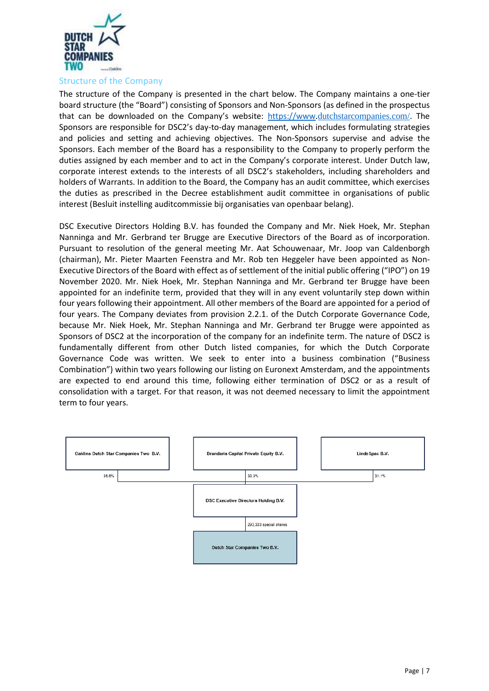

<span id="page-6-0"></span>The structure of the Company is presented in the chart below. The Company maintains a one-tier board structure (the "Board") consisting of Sponsors and Non-Sponsors (as defined in the prospectus that can be downloaded on the Company's website: [https://www.](https://www/)dutchstarcompanies.com/. The Sponsors are responsible for DSC2's day-to-day management, which includes formulating strategies and policies and setting and achieving objectives. The Non-Sponsors supervise and advise the Sponsors. Each member of the Board has a responsibility to the Company to properly perform the duties assigned by each member and to act in the Company's corporate interest. Under Dutch law, corporate interest extends to the interests of all DSC2's stakeholders, including shareholders and holders of Warrants. In addition to the Board, the Company has an audit committee, which exercises the duties as prescribed in the Decree establishment audit committee in organisations of public interest (Besluit instelling auditcommissie bij organisaties van openbaar belang).

DSC Executive Directors Holding B.V. has founded the Company and Mr. Niek Hoek, Mr. Stephan Nanninga and Mr. Gerbrand ter Brugge are Executive Directors of the Board as of incorporation. Pursuant to resolution of the general meeting Mr. Aat Schouwenaar, Mr. Joop van Caldenborgh (chairman), Mr. Pieter Maarten Feenstra and Mr. Rob ten Heggeler have been appointed as Non-Executive Directors of the Board with effect as of settlement of the initial public offering ("IPO") on 19 November 2020. Mr. Niek Hoek, Mr. Stephan Nanninga and Mr. Gerbrand ter Brugge have been appointed for an indefinite term, provided that they will in any event voluntarily step down within four years following their appointment. All other members of the Board are appointed for a period of four years. The Company deviates from provision 2.2.1. of the Dutch Corporate Governance Code, because Mr. Niek Hoek, Mr. Stephan Nanninga and Mr. Gerbrand ter Brugge were appointed as Sponsors of DSC2 at the incorporation of the company for an indefinite term. The nature of DSC2 is fundamentally different from other Dutch listed companies, for which the Dutch Corporate Governance Code was written. We seek to enter into a business combination ("Business Combination") within two years following our listing on Euronext Amsterdam, and the appointments are expected to end around this time, following either termination of DSC2 or as a result of consolidation with a target. For that reason, it was not deemed necessary to limit the appointment term to four years.

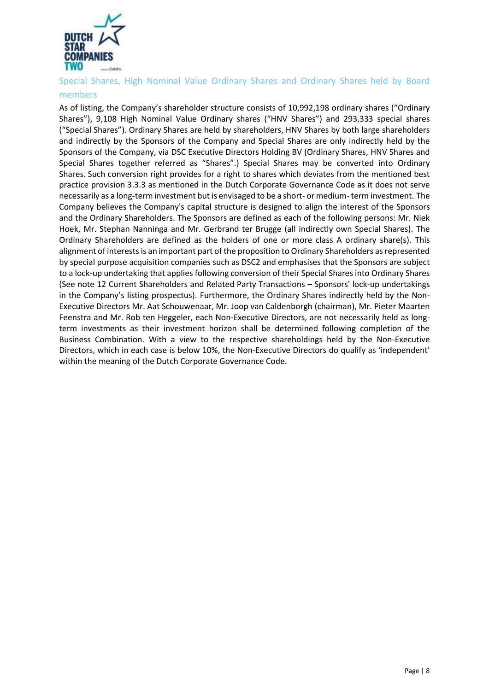

<span id="page-7-0"></span>Special Shares, High Nominal Value Ordinary Shares and Ordinary Shares held by Board

## members

As of listing, the Company's shareholder structure consists of 10,992,198 ordinary shares ("Ordinary Shares"), 9,108 High Nominal Value Ordinary shares ("HNV Shares") and 293,333 special shares ("Special Shares"). Ordinary Shares are held by shareholders, HNV Shares by both large shareholders and indirectly by the Sponsors of the Company and Special Shares are only indirectly held by the Sponsors of the Company, via DSC Executive Directors Holding BV (Ordinary Shares, HNV Shares and Special Shares together referred as "Shares".) Special Shares may be converted into Ordinary Shares. Such conversion right provides for a right to shares which deviates from the mentioned best practice provision 3.3.3 as mentioned in the Dutch Corporate Governance Code as it does not serve necessarily as a long-term investment but is envisaged to be a short- or medium- term investment. The Company believes the Company's capital structure is designed to align the interest of the Sponsors and the Ordinary Shareholders. The Sponsors are defined as each of the following persons: Mr. Niek Hoek, Mr. Stephan Nanninga and Mr. Gerbrand ter Brugge (all indirectly own Special Shares). The Ordinary Shareholders are defined as the holders of one or more class A ordinary share(s). This alignment of interests is an important part of the proposition to Ordinary Shareholders as represented by special purpose acquisition companies such as DSC2 and emphasises that the Sponsors are subject to a lock-up undertaking that applies following conversion of their Special Shares into Ordinary Shares (See note 12 Current Shareholders and Related Party Transactions – Sponsors' lock-up undertakings in the Company's listing prospectus). Furthermore, the Ordinary Shares indirectly held by the Non-Executive Directors Mr. Aat Schouwenaar, Mr. Joop van Caldenborgh (chairman), Mr. Pieter Maarten Feenstra and Mr. Rob ten Heggeler, each Non-Executive Directors, are not necessarily held as longterm investments as their investment horizon shall be determined following completion of the Business Combination. With a view to the respective shareholdings held by the Non-Executive Directors, which in each case is below 10%, the Non-Executive Directors do qualify as 'independent' within the meaning of the Dutch Corporate Governance Code.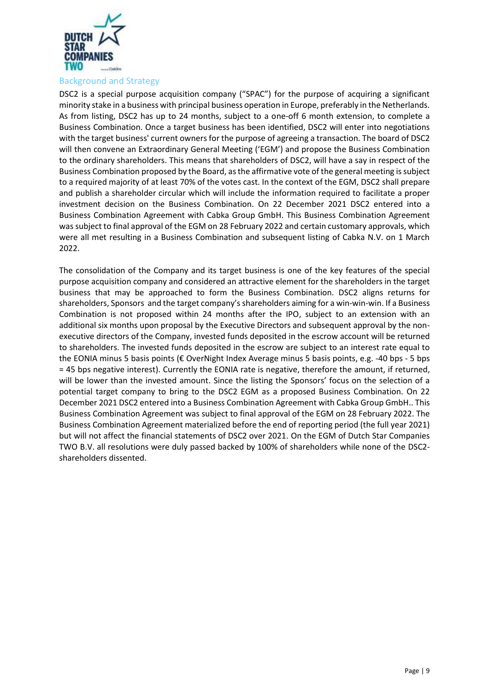

<span id="page-8-0"></span>DSC2 is a special purpose acquisition company ("SPAC") for the purpose of acquiring a significant minority stake in a business with principal business operation in Europe, preferably in the Netherlands. As from listing, DSC2 has up to 24 months, subject to a one-off 6 month extension, to complete a Business Combination. Once a target business has been identified, DSC2 will enter into negotiations with the target business' current owners for the purpose of agreeing a transaction. The board of DSC2 will then convene an Extraordinary General Meeting ('EGM') and propose the Business Combination to the ordinary shareholders. This means that shareholders of DSC2, will have a say in respect of the Business Combination proposed by the Board, as the affirmative vote of the general meeting is subject to a required majority of at least 70% of the votes cast. In the context of the EGM, DSC2 shall prepare and publish a shareholder circular which will include the information required to facilitate a proper investment decision on the Business Combination. On 22 December 2021 DSC2 entered into a Business Combination Agreement with Cabka Group GmbH. This Business Combination Agreement was subject to final approval of the EGM on 28 February 2022 and certain customary approvals, which were all met resulting in a Business Combination and subsequent listing of [Cabka N.V.](pp://General Data/Name of parent entity?taxonomy=ESEF&labellanguage=en&allowhtml=false) on 1 March 2022.

The consolidation of the Company and its target business is one of the key features of the special purpose acquisition company and considered an attractive element for the shareholders in the target business that may be approached to form the Business Combination. DSC2 aligns returns for shareholders, Sponsors and the target company's shareholders aiming for a win-win-win. If a Business Combination is not proposed within 24 months after the IPO, subject to an extension with an additional six months upon proposal by the Executive Directors and subsequent approval by the nonexecutive directors of the Company, invested funds deposited in the escrow account will be returned to shareholders. The invested funds deposited in the escrow are subject to an interest rate equal to the EONIA minus 5 basis points (€ OverNight Index Average minus 5 basis points, e.g. -40 bps - 5 bps = 45 bps negative interest). Currently the EONIA rate is negative, therefore the amount, if returned, will be lower than the invested amount. Since the listing the Sponsors' focus on the selection of a potential target company to bring to the DSC2 EGM as a proposed Business Combination. On 22 December 2021 DSC2 entered into a Business Combination Agreement with Cabka Group GmbH.. This Business Combination Agreement was subject to final approval of the EGM on 28 February 2022. The Business Combination Agreement materialized before the end of reporting period (the full year 2021) but will not affect the financial statements of DSC2 over 2021. On the EGM of Dutch Star Companies TWO B.V. all resolutions were duly passed backed by 100% of shareholders while none of the DSC2 shareholders dissented.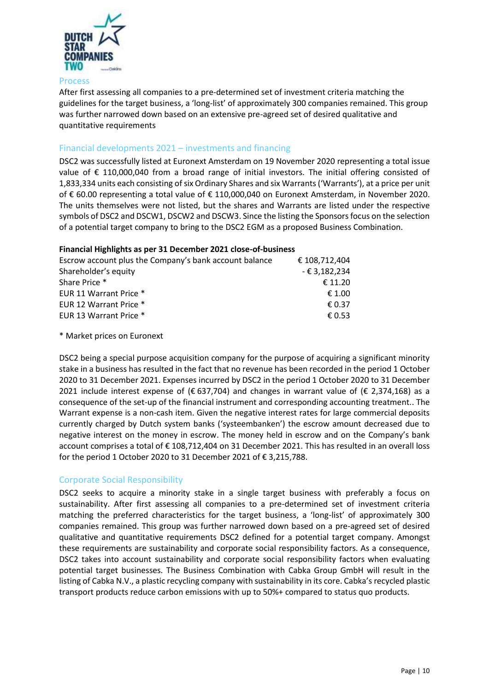

#### Process

After first assessing all companies to a pre-determined set of investment criteria matching the guidelines for the target business, a 'long-list' of approximately 300 companies remained. This group was further narrowed down based on an extensive pre-agreed set of desired qualitative and quantitative requirements

# <span id="page-9-0"></span>Financial developments 2021 – investments and financing

DSC2 was successfully listed at Euronext Amsterdam on 19 November 2020 representing a total issue value of € 110,000,040 from a broad range of initial investors. The initial offering consisted of 1,833,334 units each consisting of six Ordinary Shares and six Warrants('Warrants'), at a price per unit of € 60.00 representing a total value of € 110,000,040 on Euronext Amsterdam, in November 2020. The units themselves were not listed, but the shares and Warrants are listed under the respective symbols of DSC2 and DSCW1, DSCW2 and DSCW3. Since the listing the Sponsorsfocus on the selection of a potential target company to bring to the DSC2 EGM as a proposed Business Combination.

#### **Financial Highlights as per 31 December 2021 close-of-business**

| Escrow account plus the Company's bank account balance | € 108.712.404   |
|--------------------------------------------------------|-----------------|
| Shareholder's equity                                   | - € 3,182,234   |
| Share Price *                                          | € 11.20         |
| EUR 11 Warrant Price *                                 | € 1.00          |
| EUR 12 Warrant Price *                                 | $\epsilon$ 0.37 |
| EUR 13 Warrant Price *                                 | € 0.53          |
|                                                        |                 |

#### \* Market prices on Euronext

DSC2 being a special purpose acquisition company for the purpose of acquiring a significant minority stake in a business has resulted in the fact that no revenue has been recorded in the period 1 October 2020 to 31 December 2021. Expenses incurred by DSC2 in the period 1 October 2020 to 31 December 2021 include interest expense of (€637,704) and changes in warrant value of (€ 2,374,168) as a consequence of the set-up of the financial instrument and corresponding accounting treatment.. The Warrant expense is a non-cash item. Given the negative interest rates for large commercial deposits currently charged by Dutch system banks ('systeembanken') the escrow amount decreased due to negative interest on the money in escrow. The money held in escrow and on the Company's bank account comprises a total of € 108,712,404 on 31 December 2021. This has resulted in an overall loss for the period 1 October 2020 to 31 December 2021 of € 3,215,788.

# <span id="page-9-1"></span>Corporate Social Responsibility

DSC2 seeks to acquire a minority stake in a single target business with preferably a focus on sustainability. After first assessing all companies to a pre-determined set of investment criteria matching the preferred characteristics for the target business, a 'long-list' of approximately 300 companies remained. This group was further narrowed down based on a pre-agreed set of desired qualitative and quantitative requirements DSC2 defined for a potential target company. Amongst these requirements are sustainability and corporate social responsibility factors. As a consequence, DSC2 takes into account sustainability and corporate social responsibility factors when evaluating potential target businesses. The Business Combination with Cabka Group GmbH will result in the listing of Cabka N.V., [a plastic recycling company with sustainability in](pp://General Data/Description of nature of entity) its core. Cabka's recycled plastic transport products reduce carbon emissions with up to 50%+ compared to status quo products.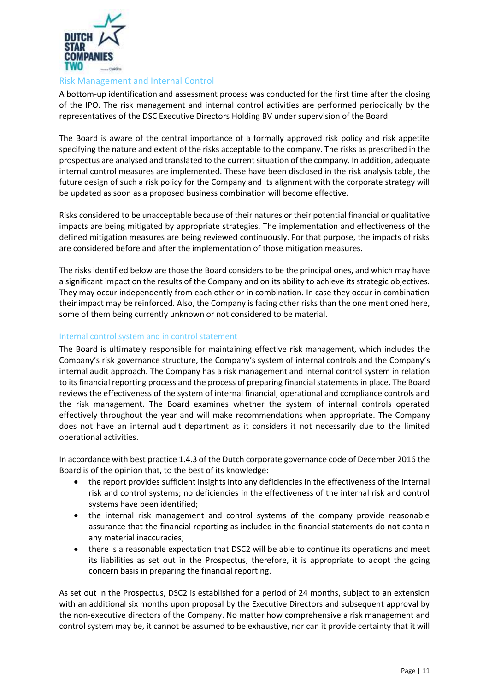

## <span id="page-10-0"></span>Risk Management and Internal Control

A bottom-up identification and assessment process was conducted for the first time after the closing of the IPO. The risk management and internal control activities are performed periodically by the representatives of the DSC Executive Directors Holding BV under supervision of the Board.

The Board is aware of the central importance of a formally approved risk policy and risk appetite specifying the nature and extent of the risks acceptable to the company. The risks as prescribed in the prospectus are analysed and translated to the current situation of the company. In addition, adequate internal control measures are implemented. These have been disclosed in the risk analysis table, the future design of such a risk policy for the Company and its alignment with the corporate strategy will be updated as soon as a proposed business combination will become effective.

Risks considered to be unacceptable because of their natures or their potential financial or qualitative impacts are being mitigated by appropriate strategies. The implementation and effectiveness of the defined mitigation measures are being reviewed continuously. For that purpose, the impacts of risks are considered before and after the implementation of those mitigation measures.

The risks identified below are those the Board considers to be the principal ones, and which may have a significant impact on the results of the Company and on its ability to achieve its strategic objectives. They may occur independently from each other or in combination. In case they occur in combination their impact may be reinforced. Also, the Company is facing other risks than the one mentioned here, some of them being currently unknown or not considered to be material.

# <span id="page-10-1"></span>Internal control system and in control statement

The Board is ultimately responsible for maintaining effective risk management, which includes the Company's risk governance structure, the Company's system of internal controls and the Company's internal audit approach. The Company has a risk management and internal control system in relation to its financial reporting process and the process of preparing financial statements in place. The Board reviews the effectiveness of the system of internal financial, operational and compliance controls and the risk management. The Board examines whether the system of internal controls operated effectively throughout the year and will make recommendations when appropriate. The Company does not have an internal audit department as it considers it not necessarily due to the limited operational activities.

In accordance with best practice 1.4.3 of the Dutch corporate governance code of December 2016 the Board is of the opinion that, to the best of its knowledge:

- the report provides sufficient insights into any deficiencies in the effectiveness of the internal risk and control systems; no deficiencies in the effectiveness of the internal risk and control systems have been identified;
- the internal risk management and control systems of the company provide reasonable assurance that the financial reporting as included in the financial statements do not contain any material inaccuracies;
- there is a reasonable expectation that DSC2 will be able to continue its operations and meet its liabilities as set out in the Prospectus, therefore, it is appropriate to adopt the going concern basis in preparing the financial reporting.

As set out in the Prospectus, DSC2 is established for a period of 24 months, subject to an extension with an additional six months upon proposal by the Executive Directors and subsequent approval by the non-executive directors of the Company. No matter how comprehensive a risk management and control system may be, it cannot be assumed to be exhaustive, nor can it provide certainty that it will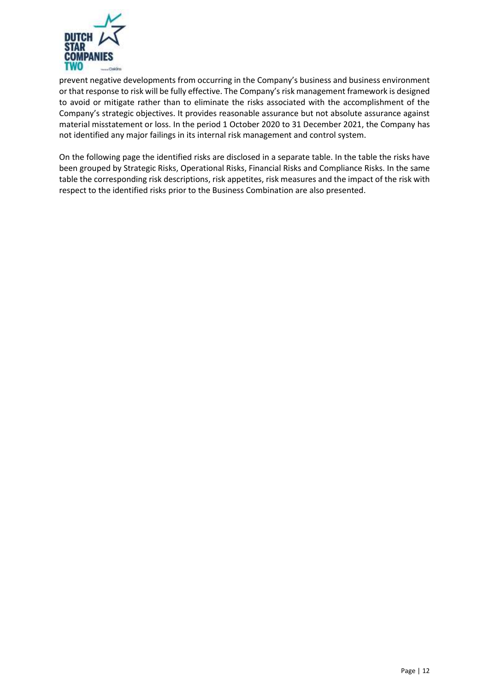

prevent negative developments from occurring in the Company's business and business environment or that response to risk will be fully effective. The Company's risk management framework is designed to avoid or mitigate rather than to eliminate the risks associated with the accomplishment of the Company's strategic objectives. It provides reasonable assurance but not absolute assurance against material misstatement or loss. In the period 1 October 2020 to 31 December 2021, the Company has not identified any major failings in its internal risk management and control system.

On the following page the identified risks are disclosed in a separate table. In the table the risks have been grouped by Strategic Risks, Operational Risks, Financial Risks and Compliance Risks. In the same table the corresponding risk descriptions, risk appetites, risk measures and the impact of the risk with respect to the identified risks prior to the Business Combination are also presented.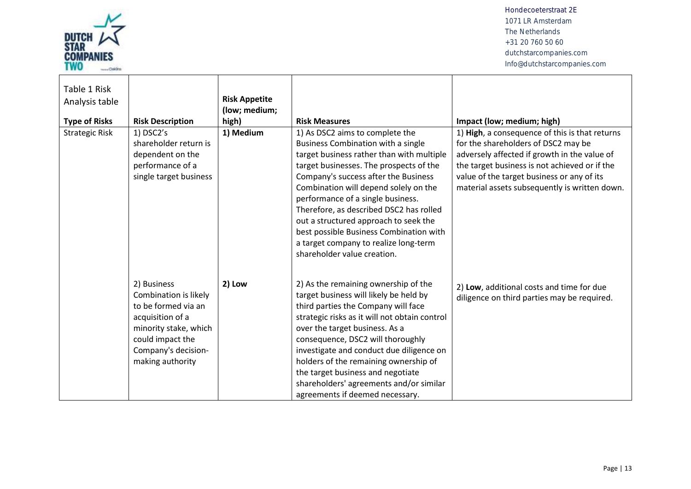

| Table 1 Risk<br>Analysis table<br><b>Type of Risks</b> | <b>Risk Description</b>                                                                                                                                                 | <b>Risk Appetite</b><br>(low; medium;<br>high) | <b>Risk Measures</b>                                                                                                                                                                                                                                                                                                                                                                                                                                                                       | Impact (low; medium; high)                                                                                                                                                                                                                                                            |
|--------------------------------------------------------|-------------------------------------------------------------------------------------------------------------------------------------------------------------------------|------------------------------------------------|--------------------------------------------------------------------------------------------------------------------------------------------------------------------------------------------------------------------------------------------------------------------------------------------------------------------------------------------------------------------------------------------------------------------------------------------------------------------------------------------|---------------------------------------------------------------------------------------------------------------------------------------------------------------------------------------------------------------------------------------------------------------------------------------|
| <b>Strategic Risk</b>                                  | $1)$ DSC2's<br>shareholder return is<br>dependent on the<br>performance of a<br>single target business                                                                  | 1) Medium                                      | 1) As DSC2 aims to complete the<br>Business Combination with a single<br>target business rather than with multiple<br>target businesses. The prospects of the<br>Company's success after the Business<br>Combination will depend solely on the<br>performance of a single business.<br>Therefore, as described DSC2 has rolled<br>out a structured approach to seek the<br>best possible Business Combination with<br>a target company to realize long-term<br>shareholder value creation. | 1) High, a consequence of this is that returns<br>for the shareholders of DSC2 may be<br>adversely affected if growth in the value of<br>the target business is not achieved or if the<br>value of the target business or any of its<br>material assets subsequently is written down. |
|                                                        | 2) Business<br>Combination is likely<br>to be formed via an<br>acquisition of a<br>minority stake, which<br>could impact the<br>Company's decision-<br>making authority | 2) Low                                         | 2) As the remaining ownership of the<br>target business will likely be held by<br>third parties the Company will face<br>strategic risks as it will not obtain control<br>over the target business. As a<br>consequence, DSC2 will thoroughly<br>investigate and conduct due diligence on<br>holders of the remaining ownership of<br>the target business and negotiate<br>shareholders' agreements and/or similar<br>agreements if deemed necessary.                                      | 2) Low, additional costs and time for due<br>diligence on third parties may be required.                                                                                                                                                                                              |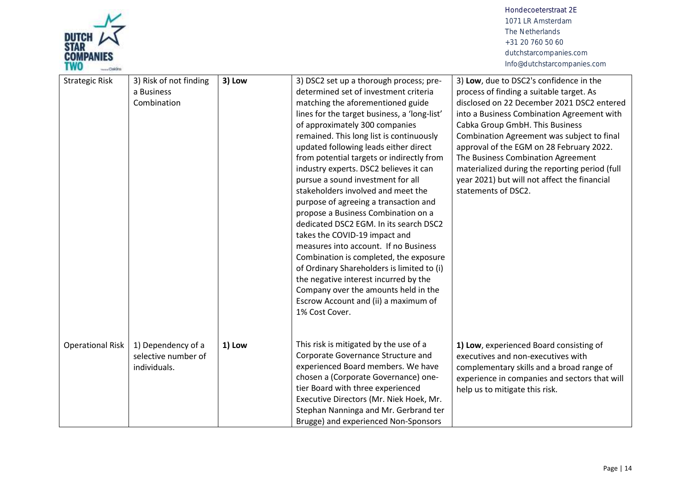

| <b>Strategic Risk</b>   | 3) Risk of not finding<br>a Business<br>Combination       | 3) Low | 3) DSC2 set up a thorough process; pre-<br>determined set of investment criteria<br>matching the aforementioned guide<br>lines for the target business, a 'long-list'<br>of approximately 300 companies<br>remained. This long list is continuously<br>updated following leads either direct<br>from potential targets or indirectly from<br>industry experts. DSC2 believes it can<br>pursue a sound investment for all<br>stakeholders involved and meet the<br>purpose of agreeing a transaction and<br>propose a Business Combination on a<br>dedicated DSC2 EGM. In its search DSC2<br>takes the COVID-19 impact and<br>measures into account. If no Business<br>Combination is completed, the exposure<br>of Ordinary Shareholders is limited to (i)<br>the negative interest incurred by the<br>Company over the amounts held in the<br>Escrow Account and (ii) a maximum of<br>1% Cost Cover. | 3) Low, due to DSC2's confidence in the<br>process of finding a suitable target. As<br>disclosed on 22 December 2021 DSC2 entered<br>into a Business Combination Agreement with<br>Cabka Group GmbH. This Business<br>Combination Agreement was subject to final<br>approval of the EGM on 28 February 2022.<br>The Business Combination Agreement<br>materialized during the reporting period (full<br>year 2021) but will not affect the financial<br>statements of DSC2. |
|-------------------------|-----------------------------------------------------------|--------|-------------------------------------------------------------------------------------------------------------------------------------------------------------------------------------------------------------------------------------------------------------------------------------------------------------------------------------------------------------------------------------------------------------------------------------------------------------------------------------------------------------------------------------------------------------------------------------------------------------------------------------------------------------------------------------------------------------------------------------------------------------------------------------------------------------------------------------------------------------------------------------------------------|-----------------------------------------------------------------------------------------------------------------------------------------------------------------------------------------------------------------------------------------------------------------------------------------------------------------------------------------------------------------------------------------------------------------------------------------------------------------------------|
| <b>Operational Risk</b> | 1) Dependency of a<br>selective number of<br>individuals. | 1) Low | This risk is mitigated by the use of a<br>Corporate Governance Structure and<br>experienced Board members. We have<br>chosen a (Corporate Governance) one-<br>tier Board with three experienced<br>Executive Directors (Mr. Niek Hoek, Mr.<br>Stephan Nanninga and Mr. Gerbrand ter<br>Brugge) and experienced Non-Sponsors                                                                                                                                                                                                                                                                                                                                                                                                                                                                                                                                                                           | 1) Low, experienced Board consisting of<br>executives and non-executives with<br>complementary skills and a broad range of<br>experience in companies and sectors that will<br>help us to mitigate this risk.                                                                                                                                                                                                                                                               |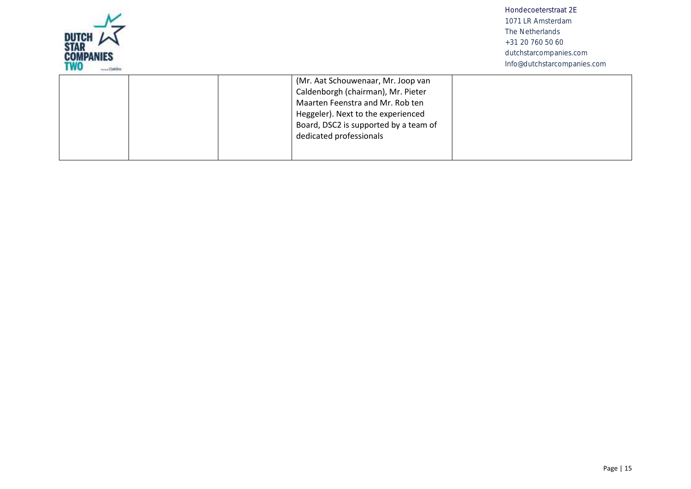| DUTCH<br>Star<br><b>COMPANIES</b><br>TWO<br>CHAIN |                                                                                                                                                                                                                        | Hondecoeterstraat 2F<br>1071 LR Amsterdam<br>The Netherlands<br>+31 20 760 50 60<br>dutchstarcompanies.com<br>Info@dutchstarcompanies.com |
|---------------------------------------------------|------------------------------------------------------------------------------------------------------------------------------------------------------------------------------------------------------------------------|-------------------------------------------------------------------------------------------------------------------------------------------|
|                                                   | (Mr. Aat Schouwenaar, Mr. Joop van<br>Caldenborgh (chairman), Mr. Pieter<br>Maarten Feenstra and Mr. Rob ten<br>Heggeler). Next to the experienced<br>Board, DSC2 is supported by a team of<br>dedicated professionals |                                                                                                                                           |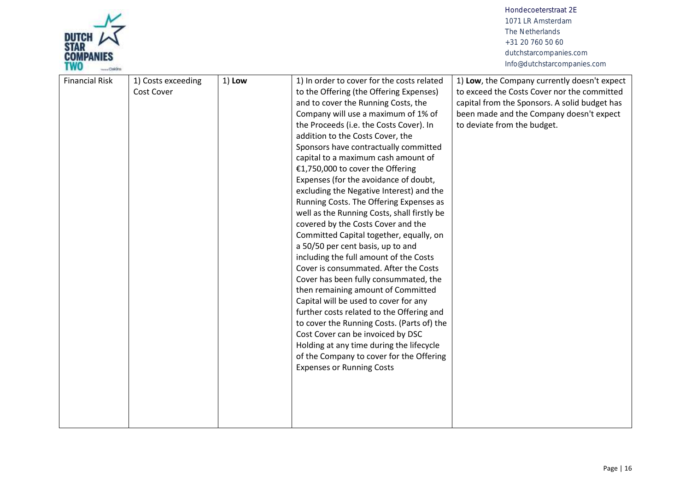

| Cost Cover<br>to the Offering (the Offering Expenses)<br>to exceed the Costs Cover nor the committed<br>capital from the Sponsors. A solid budget has<br>and to cover the Running Costs, the<br>Company will use a maximum of 1% of<br>been made and the Company doesn't expect<br>the Proceeds (i.e. the Costs Cover). In<br>to deviate from the budget.<br>addition to the Costs Cover, the<br>Sponsors have contractually committed<br>capital to a maximum cash amount of<br>€1,750,000 to cover the Offering<br>Expenses (for the avoidance of doubt,<br>excluding the Negative Interest) and the<br>Running Costs. The Offering Expenses as<br>well as the Running Costs, shall firstly be<br>covered by the Costs Cover and the<br>Committed Capital together, equally, on<br>a 50/50 per cent basis, up to and<br>including the full amount of the Costs<br>Cover is consummated. After the Costs<br>Cover has been fully consummated, the<br>then remaining amount of Committed<br>Capital will be used to cover for any<br>further costs related to the Offering and<br>to cover the Running Costs. (Parts of) the<br>Cost Cover can be invoiced by DSC<br>Holding at any time during the lifecycle<br>of the Company to cover for the Offering<br><b>Expenses or Running Costs</b> |                       |                    |          |                                            |                                              |
|-----------------------------------------------------------------------------------------------------------------------------------------------------------------------------------------------------------------------------------------------------------------------------------------------------------------------------------------------------------------------------------------------------------------------------------------------------------------------------------------------------------------------------------------------------------------------------------------------------------------------------------------------------------------------------------------------------------------------------------------------------------------------------------------------------------------------------------------------------------------------------------------------------------------------------------------------------------------------------------------------------------------------------------------------------------------------------------------------------------------------------------------------------------------------------------------------------------------------------------------------------------------------------------------------|-----------------------|--------------------|----------|--------------------------------------------|----------------------------------------------|
|                                                                                                                                                                                                                                                                                                                                                                                                                                                                                                                                                                                                                                                                                                                                                                                                                                                                                                                                                                                                                                                                                                                                                                                                                                                                                               | <b>Financial Risk</b> | 1) Costs exceeding | $1)$ Low | 1) In order to cover for the costs related | 1) Low, the Company currently doesn't expect |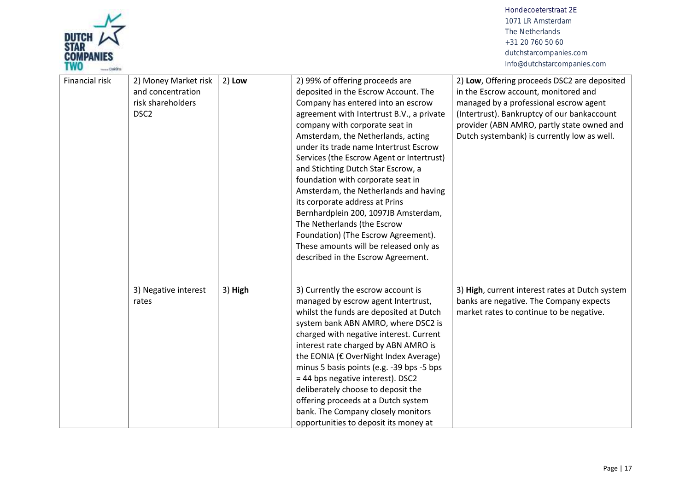

| Financial risk | 2) Money Market risk<br>and concentration<br>risk shareholders<br>DSC <sub>2</sub> | $2)$ Low | 2) 99% of offering proceeds are<br>deposited in the Escrow Account. The<br>Company has entered into an escrow<br>agreement with Intertrust B.V., a private<br>company with corporate seat in<br>Amsterdam, the Netherlands, acting<br>under its trade name Intertrust Escrow<br>Services (the Escrow Agent or Intertrust)<br>and Stichting Dutch Star Escrow, a<br>foundation with corporate seat in<br>Amsterdam, the Netherlands and having<br>its corporate address at Prins<br>Bernhardplein 200, 1097JB Amsterdam,<br>The Netherlands (the Escrow<br>Foundation) (The Escrow Agreement).<br>These amounts will be released only as<br>described in the Escrow Agreement. | 2) Low, Offering proceeds DSC2 are deposited<br>in the Escrow account, monitored and<br>managed by a professional escrow agent<br>(Intertrust). Bankruptcy of our bankaccount<br>provider (ABN AMRO, partly state owned and<br>Dutch systembank) is currently low as well. |
|----------------|------------------------------------------------------------------------------------|----------|-------------------------------------------------------------------------------------------------------------------------------------------------------------------------------------------------------------------------------------------------------------------------------------------------------------------------------------------------------------------------------------------------------------------------------------------------------------------------------------------------------------------------------------------------------------------------------------------------------------------------------------------------------------------------------|----------------------------------------------------------------------------------------------------------------------------------------------------------------------------------------------------------------------------------------------------------------------------|
|                | 3) Negative interest<br>rates                                                      | 3) High  | 3) Currently the escrow account is<br>managed by escrow agent Intertrust,<br>whilst the funds are deposited at Dutch<br>system bank ABN AMRO, where DSC2 is<br>charged with negative interest. Current<br>interest rate charged by ABN AMRO is<br>the EONIA (€ OverNight Index Average)<br>minus 5 basis points (e.g. -39 bps -5 bps<br>= 44 bps negative interest). DSC2<br>deliberately choose to deposit the<br>offering proceeds at a Dutch system<br>bank. The Company closely monitors<br>opportunities to deposit its money at                                                                                                                                         | 3) High, current interest rates at Dutch system<br>banks are negative. The Company expects<br>market rates to continue to be negative.                                                                                                                                     |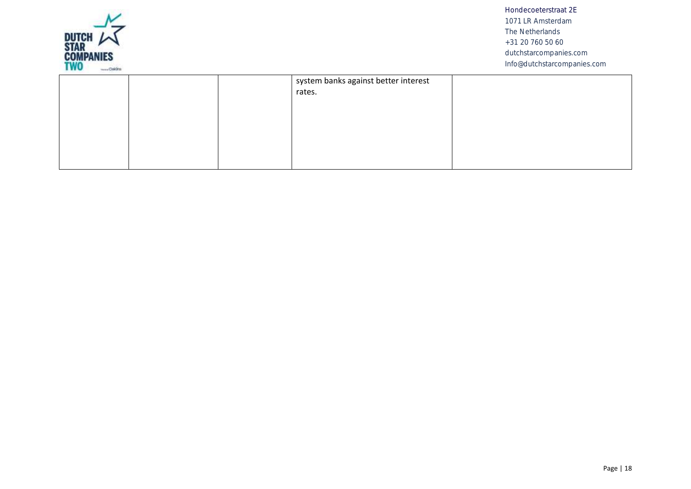

|  | system banks against better interest<br>rates. |  |
|--|------------------------------------------------|--|
|  |                                                |  |
|  |                                                |  |
|  |                                                |  |
|  |                                                |  |
|  |                                                |  |
|  |                                                |  |
|  |                                                |  |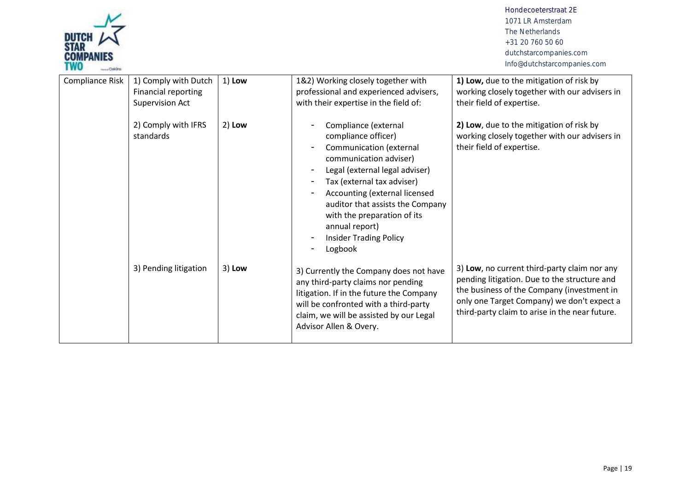

| Compliance Risk | 1) Comply with Dutch<br>Financial reporting<br><b>Supervision Act</b> | $1)$ Low | 1&2) Working closely together with<br>professional and experienced advisers,<br>with their expertise in the field of:                                                                                                                                                                                                              | 1) Low, due to the mitigation of risk by<br>working closely together with our advisers in<br>their field of expertise.                                                                                                                     |
|-----------------|-----------------------------------------------------------------------|----------|------------------------------------------------------------------------------------------------------------------------------------------------------------------------------------------------------------------------------------------------------------------------------------------------------------------------------------|--------------------------------------------------------------------------------------------------------------------------------------------------------------------------------------------------------------------------------------------|
|                 | 2) Comply with IFRS<br>standards                                      | $2)$ Low | Compliance (external<br>compliance officer)<br>Communication (external<br>communication adviser)<br>Legal (external legal adviser)<br>Tax (external tax adviser)<br>Accounting (external licensed<br>auditor that assists the Company<br>with the preparation of its<br>annual report)<br><b>Insider Trading Policy</b><br>Logbook | 2) Low, due to the mitigation of risk by<br>working closely together with our advisers in<br>their field of expertise.                                                                                                                     |
|                 | 3) Pending litigation                                                 | $3)$ Low | 3) Currently the Company does not have<br>any third-party claims nor pending<br>litigation. If in the future the Company<br>will be confronted with a third-party<br>claim, we will be assisted by our Legal<br>Advisor Allen & Overy.                                                                                             | 3) Low, no current third-party claim nor any<br>pending litigation. Due to the structure and<br>the business of the Company (investment in<br>only one Target Company) we don't expect a<br>third-party claim to arise in the near future. |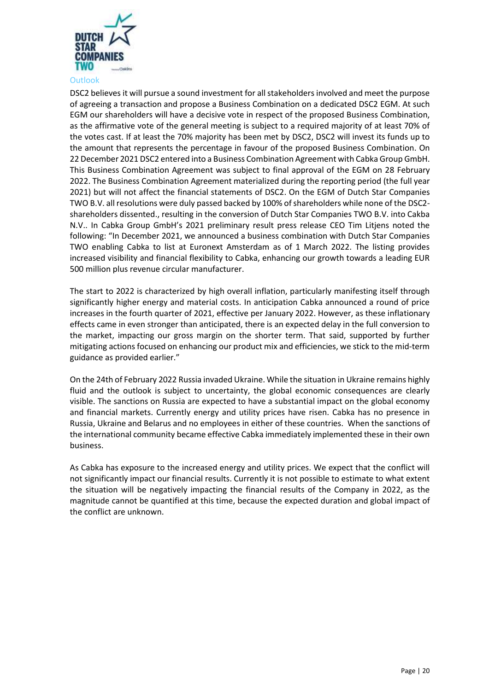

<span id="page-19-0"></span>**Outlook** 

DSC2 believes it will pursue a sound investment for all stakeholders involved and meet the purpose of agreeing a transaction and propose a Business Combination on a dedicated DSC2 EGM. At such EGM our shareholders will have a decisive vote in respect of the proposed Business Combination, as the affirmative vote of the general meeting is subject to a required majority of at least 70% of the votes cast. If at least the 70% majority has been met by DSC2, DSC2 will invest its funds up to the amount that represents the percentage in favour of the proposed Business Combination. On 22 December 2021 DSC2 entered into a Business Combination Agreement with Cabka Group GmbH. This Business Combination Agreement was subject to final approval of the EGM on 28 February 2022. The Business Combination Agreement materialized during the reporting period (the full year 2021) but will not affect the financial statements of DSC2. On the EGM of Dutch Star Companies TWO B.V. all resolutions were duly passed backed by 100% of shareholders while none of the DSC2 shareholders dissented., resulting in the conversion of Dutch Star Companies TWO B.V. into Cakba N.V.. In Cabka Group GmbH's 2021 preliminary result press release CEO Tim Litjens noted the following: "In December 2021, we announced a business combination with Dutch Star Companies TWO enabling Cabka to list at Euronext Amsterdam as of 1 March 2022. The listing provides increased visibility and financial flexibility to Cabka, enhancing our growth towards a leading EUR 500 million plus revenue circular manufacturer.

The start to 2022 is characterized by high overall inflation, particularly manifesting itself through significantly higher energy and material costs. In anticipation Cabka announced a round of price increases in the fourth quarter of 2021, effective per January 2022. However, as these inflationary effects came in even stronger than anticipated, there is an expected delay in the full conversion to the market, impacting our gross margin on the shorter term. That said, supported by further mitigating actions focused on enhancing our product mix and efficiencies, we stick to the mid-term guidance as provided earlier."

On the 24th of February 2022 Russia invaded Ukraine. While the situation in Ukraine remains highly fluid and the outlook is subject to uncertainty, the global economic consequences are clearly visible. The sanctions on Russia are expected to have a substantial impact on the global economy and financial markets. Currently energy and utility prices have risen. Cabka has no presence in Russia, Ukraine and Belarus and no employees in either of these countries. When the sanctions of the international community became effective Cabka immediately implemented these in their own business.

As Cabka has exposure to the increased energy and utility prices. We expect that the conflict will not significantly impact our financial results. Currently it is not possible to estimate to what extent the situation will be negatively impacting the financial results of the Company in 2022, as the magnitude cannot be quantified at this time, because the expected duration and global impact of the conflict are unknown.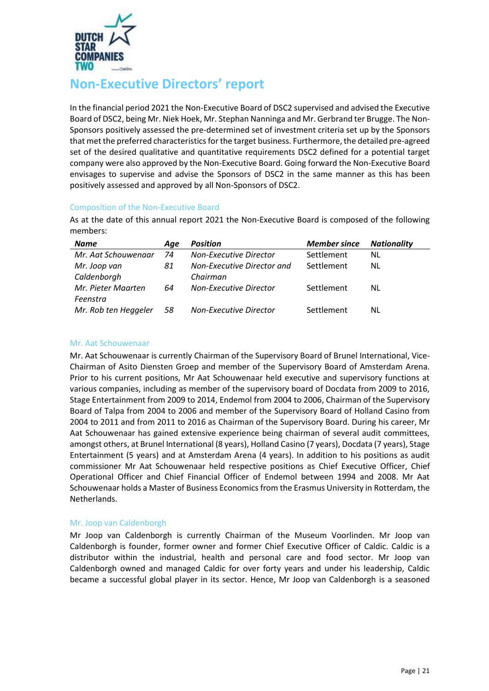

# <span id="page-20-0"></span>**Non-Executive Directors' report**

In the financial period 2021 the Non-Executive Board of DSC2 supervised and advised the Executive Board of DSC2, being Mr. Niek Hoek, Mr. Stephan Nanninga and Mr. Gerbrand ter Brugge. The Non-Sponsors positively assessed the pre-determined set of investment criteria set up by the Sponsors that met the preferred characteristics for the target business. Furthermore, the detailed pre-agreed set of the desired qualitative and quantitative requirements DSC2 defined for a potential target company were also approved by the Non-Executive Board. Going forward the Non-Executive Board envisages to supervise and advise the Sponsors of DSC2 in the same manner as this has been positively assessed and approved by all Non-Sponsors of DSC2.

# <span id="page-20-1"></span>Composition of the Non-Executive Board

As at the date of this annual report 2021 the Non-Executive Board is composed of the following members:

| <b>Name</b>          | Age | <b>Position</b>               | <b>Member since</b> | <b>Nationality</b> |
|----------------------|-----|-------------------------------|---------------------|--------------------|
| Mr. Aat Schouwenaar  | 74  | Non-Executive Director        | Settlement          | <b>NL</b>          |
| Mr. Joop van         | 81  | Non-Executive Director and    | Settlement          | NL                 |
| Caldenborgh          |     | Chairman                      |                     |                    |
| Mr. Pieter Maarten   | 64  | <b>Non-Executive Director</b> | Settlement          | NL                 |
| Feenstra             |     |                               |                     |                    |
| Mr. Rob ten Heggeler | 58  | <b>Non-Executive Director</b> | Settlement          | NL                 |

## Mr. Aat Schouwenaar

Mr. Aat Schouwenaar is currently Chairman of the Supervisory Board of Brunel International, Vice-Chairman of Asito Diensten Groep and member of the Supervisory Board of Amsterdam Arena. Prior to his current positions, Mr Aat Schouwenaar held executive and supervisory functions at various companies, including as member of the supervisory board of Docdata from 2009 to 2016, Stage Entertainment from 2009 to 2014, Endemol from 2004 to 2006, Chairman of the Supervisory Board of Talpa from 2004 to 2006 and member of the Supervisory Board of Holland Casino from 2004 to 2011 and from 2011 to 2016 as Chairman of the Supervisory Board. During his career, Mr Aat Schouwenaar has gained extensive experience being chairman of several audit committees, amongst others, at Brunel International (8 years), Holland Casino (7 years), Docdata (7 years), Stage Entertainment (5 years) and at Amsterdam Arena (4 years). In addition to his positions as audit commissioner Mr Aat Schouwenaar held respective positions as Chief Executive Officer, Chief Operational Officer and Chief Financial Officer of Endemol between 1994 and 2008. Mr Aat Schouwenaar holds a Master of Business Economics from the Erasmus University in Rotterdam, the Netherlands.

# Mr. Joop van Caldenborgh

Mr Joop van Caldenborgh is currently Chairman of the Museum Voorlinden. Mr Joop van Caldenborgh is founder, former owner and former Chief Executive Officer of Caldic. Caldic is a distributor within the industrial, health and personal care and food sector. Mr Joop van Caldenborgh owned and managed Caldic for over forty years and under his leadership, Caldic became a successful global player in its sector. Hence, Mr Joop van Caldenborgh is a seasoned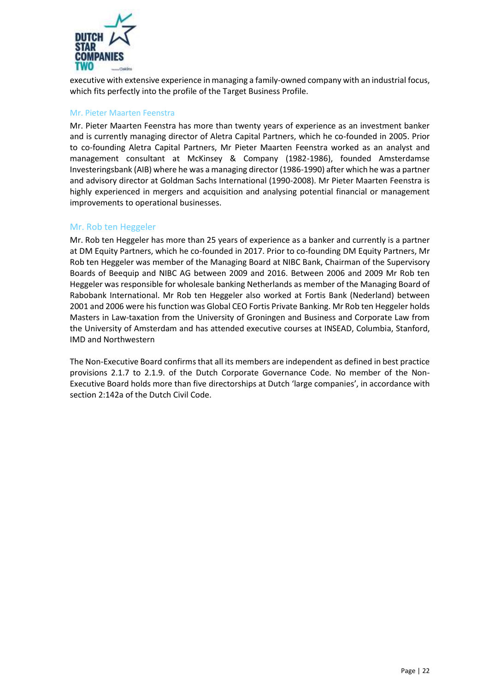

executive with extensive experience in managing a family-owned company with an industrial focus, which fits perfectly into the profile of the Target Business Profile.

# Mr. Pieter Maarten Feenstra

Mr. Pieter Maarten Feenstra has more than twenty years of experience as an investment banker and is currently managing director of Aletra Capital Partners, which he co-founded in 2005. Prior to co-founding Aletra Capital Partners, Mr Pieter Maarten Feenstra worked as an analyst and management consultant at McKinsey & Company (1982-1986), founded Amsterdamse Investeringsbank (AIB) where he was a managing director (1986-1990) after which he was a partner and advisory director at Goldman Sachs International (1990-2008). Mr Pieter Maarten Feenstra is highly experienced in mergers and acquisition and analysing potential financial or management improvements to operational businesses.

# Mr. Rob ten Heggeler

Mr. Rob ten Heggeler has more than 25 years of experience as a banker and currently is a partner at DM Equity Partners, which he co-founded in 2017. Prior to co-founding DM Equity Partners, Mr Rob ten Heggeler was member of the Managing Board at NIBC Bank, Chairman of the Supervisory Boards of Beequip and NIBC AG between 2009 and 2016. Between 2006 and 2009 Mr Rob ten Heggeler was responsible for wholesale banking Netherlands as member of the Managing Board of Rabobank International. Mr Rob ten Heggeler also worked at Fortis Bank (Nederland) between 2001 and 2006 were his function was Global CEO Fortis Private Banking. Mr Rob ten Heggeler holds Masters in Law-taxation from the University of Groningen and Business and Corporate Law from the University of Amsterdam and has attended executive courses at INSEAD, Columbia, Stanford, IMD and Northwestern

The Non-Executive Board confirms that all its members are independent as defined in best practice provisions 2.1.7 to 2.1.9. of the Dutch Corporate Governance Code. No member of the Non-Executive Board holds more than five directorships at Dutch 'large companies', in accordance with section 2:142a of the Dutch Civil Code.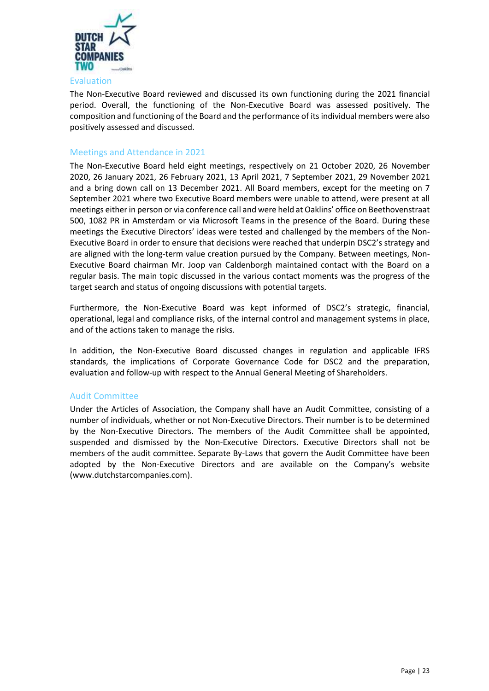

## <span id="page-22-0"></span>Evaluation

The Non-Executive Board reviewed and discussed its own functioning during the 2021 financial period. Overall, the functioning of the Non-Executive Board was assessed positively. The composition and functioning of the Board and the performance of its individual members were also positively assessed and discussed.

# <span id="page-22-1"></span>Meetings and Attendance in 2021

The Non-Executive Board held eight meetings, respectively on 21 October 2020, 26 November 2020, 26 January 2021, 26 February 2021, 13 April 2021, 7 September 2021, 29 November 2021 and a bring down call on 13 December 2021. All Board members, except for the meeting on 7 September 2021 where two Executive Board members were unable to attend, were present at all meetings either in person or via conference call and were held at Oaklins' office on Beethovenstraat 500, 1082 PR in Amsterdam or via Microsoft Teams in the presence of the Board. During these meetings the Executive Directors' ideas were tested and challenged by the members of the Non-Executive Board in order to ensure that decisions were reached that underpin DSC2's strategy and are aligned with the long-term value creation pursued by the Company. Between meetings, Non-Executive Board chairman Mr. Joop van Caldenborgh maintained contact with the Board on a regular basis. The main topic discussed in the various contact moments was the progress of the target search and status of ongoing discussions with potential targets.

Furthermore, the Non-Executive Board was kept informed of DSC2's strategic, financial, operational, legal and compliance risks, of the internal control and management systems in place, and of the actions taken to manage the risks.

In addition, the Non-Executive Board discussed changes in regulation and applicable IFRS standards, the implications of Corporate Governance Code for DSC2 and the preparation, evaluation and follow-up with respect to the Annual General Meeting of Shareholders.

#### <span id="page-22-2"></span>Audit Committee

Under the Articles of Association, the Company shall have an Audit Committee, consisting of a number of individuals, whether or not Non-Executive Directors. Their number is to be determined by the Non-Executive Directors. The members of the Audit Committee shall be appointed, suspended and dismissed by the Non-Executive Directors. Executive Directors shall not be members of the audit committee. Separate By-Laws that govern the Audit Committee have been adopted by the Non-Executive Directors and are available on the Company's website [\(www.dutchstarcompanies.com\)](http://www.dutchstarcompaniesone.com/).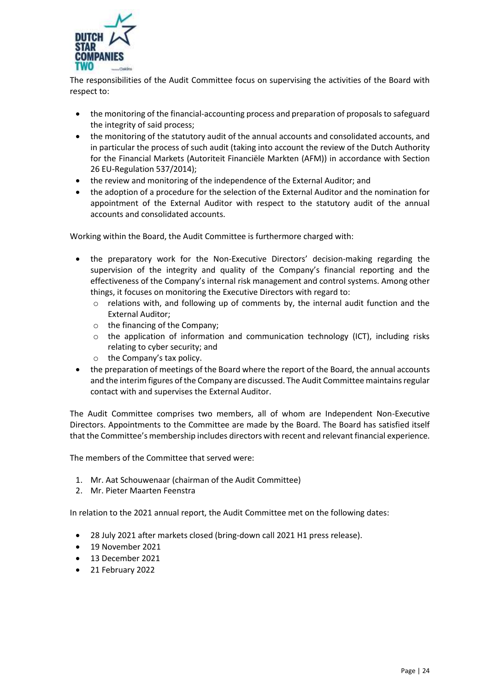

The responsibilities of the Audit Committee focus on supervising the activities of the Board with respect to:

- the monitoring of the financial-accounting process and preparation of proposals to safeguard the integrity of said process;
- the monitoring of the statutory audit of the annual accounts and consolidated accounts, and in particular the process of such audit (taking into account the review of the Dutch Authority for the Financial Markets (Autoriteit Financiële Markten (AFM)) in accordance with Section 26 EU-Regulation 537/2014);
- the review and monitoring of the independence of the External Auditor; and
- the adoption of a procedure for the selection of the External Auditor and the nomination for appointment of the External Auditor with respect to the statutory audit of the annual accounts and consolidated accounts.

Working within the Board, the Audit Committee is furthermore charged with:

- the preparatory work for the Non-Executive Directors' decision-making regarding the supervision of the integrity and quality of the Company's financial reporting and the effectiveness of the Company's internal risk management and control systems. Among other things, it focuses on monitoring the Executive Directors with regard to:
	- $\circ$  relations with, and following up of comments by, the internal audit function and the External Auditor;
	- o the financing of the Company;
	- o the application of information and communication technology (ICT), including risks relating to cyber security; and
	- o the Company's tax policy.
- the preparation of meetings of the Board where the report of the Board, the annual accounts and the interim figures of the Company are discussed. The Audit Committee maintains regular contact with and supervises the External Auditor.

The Audit Committee comprises two members, all of whom are Independent Non-Executive Directors. Appointments to the Committee are made by the Board. The Board has satisfied itself that the Committee's membership includes directors with recent and relevant financial experience.

The members of the Committee that served were:

- 1. Mr. Aat Schouwenaar (chairman of the Audit Committee)
- 2. Mr. Pieter Maarten Feenstra

In relation to the 2021 annual report, the Audit Committee met on the following dates:

- 28 July 2021 after markets closed (bring-down call 2021 H1 press release).
- 19 November 2021
- 13 December 2021
- 21 February 2022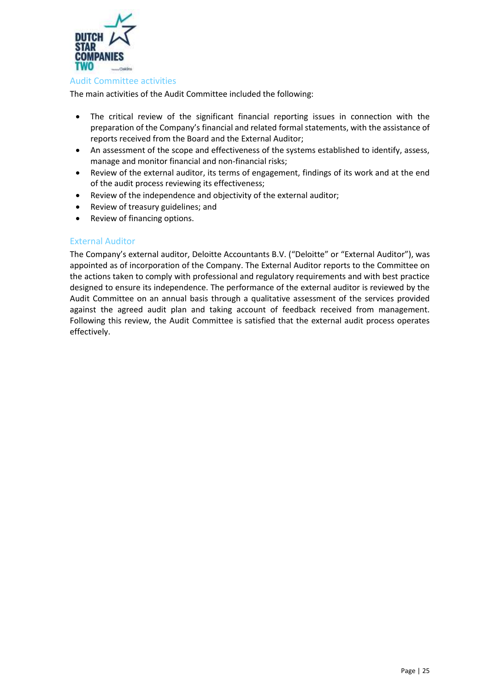

#### <span id="page-24-0"></span>Audit Committee activities

The main activities of the Audit Committee included the following:

- The critical review of the significant financial reporting issues in connection with the preparation of the Company's financial and related formal statements, with the assistance of reports received from the Board and the External Auditor;
- An assessment of the scope and effectiveness of the systems established to identify, assess, manage and monitor financial and non-financial risks;
- Review of the external auditor, its terms of engagement, findings of its work and at the end of the audit process reviewing its effectiveness;
- Review of the independence and objectivity of the external auditor;
- Review of treasury guidelines; and
- Review of financing options.

# <span id="page-24-1"></span>External Auditor

The Company's external auditor, Deloitte Accountants B.V. ("Deloitte" or "External Auditor"), was appointed as of incorporation of the Company. The External Auditor reports to the Committee on the actions taken to comply with professional and regulatory requirements and with best practice designed to ensure its independence. The performance of the external auditor is reviewed by the Audit Committee on an annual basis through a qualitative assessment of the services provided against the agreed audit plan and taking account of feedback received from management. Following this review, the Audit Committee is satisfied that the external audit process operates effectively.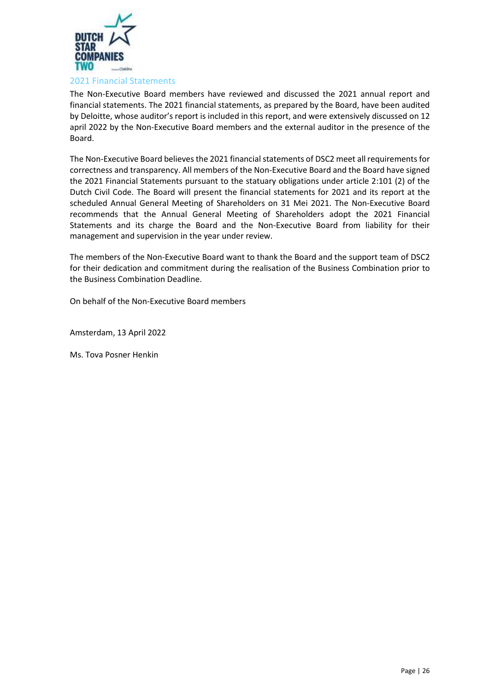

<span id="page-25-0"></span>The Non-Executive Board members have reviewed and discussed the 2021 annual report and financial statements. The 2021 financial statements, as prepared by the Board, have been audited by Deloitte, whose auditor's report is included in this report, and were extensively discussed on 12 april 2022 by the Non-Executive Board members and the external auditor in the presence of the Board.

The Non-Executive Board believes the 2021 financial statements of DSC2 meet all requirements for correctness and transparency. All members of the Non-Executive Board and the Board have signed the 2021 Financial Statements pursuant to the statuary obligations under article 2:101 (2) of the Dutch Civil Code. The Board will present the financial statements for 2021 and its report at the scheduled Annual General Meeting of Shareholders on 31 Mei 2021. The Non-Executive Board recommends that the Annual General Meeting of Shareholders adopt the 2021 Financial Statements and its charge the Board and the Non-Executive Board from liability for their management and supervision in the year under review.

The members of the Non-Executive Board want to thank the Board and the support team of DSC2 for their dedication and commitment during the realisation of the Business Combination prior to the Business Combination Deadline.

On behalf of the Non-Executive Board members

Amsterdam, 13 April 2022

Ms. Tova Posner Henkin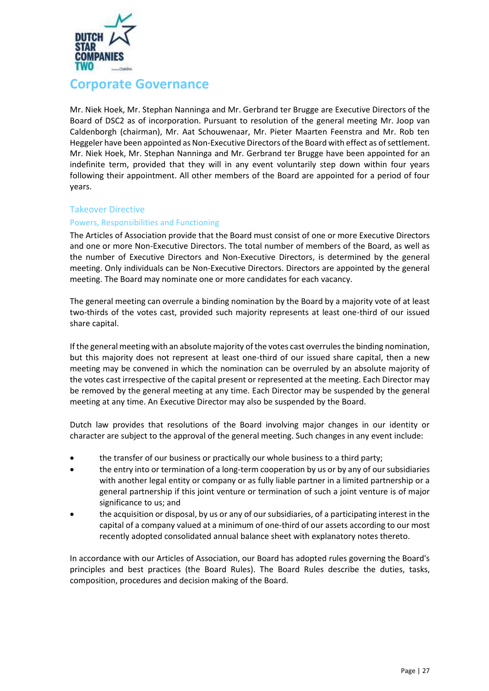

# <span id="page-26-0"></span>**Corporate Governance**

Mr. Niek Hoek, Mr. Stephan Nanninga and Mr. Gerbrand ter Brugge are Executive Directors of the Board of DSC2 as of incorporation. Pursuant to resolution of the general meeting Mr. Joop van Caldenborgh (chairman), Mr. Aat Schouwenaar, Mr. Pieter Maarten Feenstra and Mr. Rob ten Heggeler have been appointed as Non-Executive Directors of the Board with effect as of settlement. Mr. Niek Hoek, Mr. Stephan Nanninga and Mr. Gerbrand ter Brugge have been appointed for an indefinite term, provided that they will in any event voluntarily step down within four years following their appointment. All other members of the Board are appointed for a period of four years.

# <span id="page-26-1"></span>Takeover Directive

# <span id="page-26-2"></span>Powers, Responsibilities and Functioning

The Articles of Association provide that the Board must consist of one or more Executive Directors and one or more Non-Executive Directors. The total number of members of the Board, as well as the number of Executive Directors and Non-Executive Directors, is determined by the general meeting. Only individuals can be Non-Executive Directors. Directors are appointed by the general meeting. The Board may nominate one or more candidates for each vacancy.

The general meeting can overrule a binding nomination by the Board by a majority vote of at least two-thirds of the votes cast, provided such majority represents at least one-third of our issued share capital.

If the general meeting with an absolute majority of the votes cast overrules the binding nomination, but this majority does not represent at least one-third of our issued share capital, then a new meeting may be convened in which the nomination can be overruled by an absolute majority of the votes cast irrespective of the capital present or represented at the meeting. Each Director may be removed by the general meeting at any time. Each Director may be suspended by the general meeting at any time. An Executive Director may also be suspended by the Board.

Dutch law provides that resolutions of the Board involving major changes in our identity or character are subject to the approval of the general meeting. Such changes in any event include:

- the transfer of our business or practically our whole business to a third party;
- the entry into or termination of a long-term cooperation by us or by any of our subsidiaries with another legal entity or company or as fully liable partner in a limited partnership or a general partnership if this joint venture or termination of such a joint venture is of major significance to us; and
- the acquisition or disposal, by us or any of our subsidiaries, of a participating interest in the capital of a company valued at a minimum of one-third of our assets according to our most recently adopted consolidated annual balance sheet with explanatory notes thereto.

In accordance with our Articles of Association, our Board has adopted rules governing the Board's principles and best practices (the Board Rules). The Board Rules describe the duties, tasks, composition, procedures and decision making of the Board.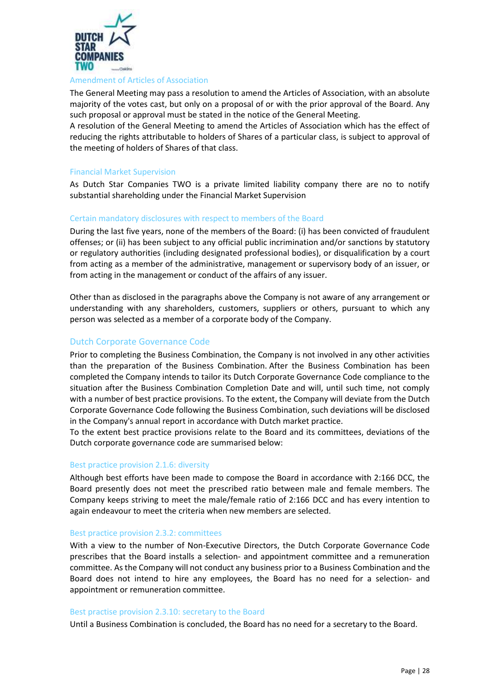

#### <span id="page-27-0"></span>Amendment of Articles of Association

The General Meeting may pass a resolution to amend the Articles of Association, with an absolute majority of the votes cast, but only on a proposal of or with the prior approval of the Board. Any such proposal or approval must be stated in the notice of the General Meeting.

A resolution of the General Meeting to amend the Articles of Association which has the effect of reducing the rights attributable to holders of Shares of a particular class, is subject to approval of the meeting of holders of Shares of that class.

## <span id="page-27-1"></span>Financial Market Supervision

As Dutch Star Companies TWO is a private limited liability company there are no to notify substantial shareholding under the Financial Market Supervision

#### <span id="page-27-2"></span>Certain mandatory disclosures with respect to members of the Board

During the last five years, none of the members of the Board: (i) has been convicted of fraudulent offenses; or (ii) has been subject to any official public incrimination and/or sanctions by statutory or regulatory authorities (including designated professional bodies), or disqualification by a court from acting as a member of the administrative, management or supervisory body of an issuer, or from acting in the management or conduct of the affairs of any issuer.

Other than as disclosed in the paragraphs above the Company is not aware of any arrangement or understanding with any shareholders, customers, suppliers or others, pursuant to which any person was selected as a member of a corporate body of the Company.

#### <span id="page-27-3"></span>Dutch Corporate Governance Code

Prior to completing the Business Combination, the Company is not involved in any other activities than the preparation of the Business Combination. After the Business Combination has been completed the Company intends to tailor its Dutch Corporate Governance Code compliance to the situation after the Business Combination Completion Date and will, until such time, not comply with a number of best practice provisions. To the extent, the Company will deviate from the Dutch Corporate Governance Code following the Business Combination, such deviations will be disclosed in the Company's annual report in accordance with Dutch market practice.

To the extent best practice provisions relate to the Board and its committees, deviations of the Dutch corporate governance code are summarised below:

#### Best practice provision 2.1.6: diversity

Although best efforts have been made to compose the Board in accordance with 2:166 DCC, the Board presently does not meet the prescribed ratio between male and female members. The Company keeps striving to meet the male/female ratio of 2:166 DCC and has every intention to again endeavour to meet the criteria when new members are selected.

#### Best practice provision 2.3.2: committees

With a view to the number of Non-Executive Directors, the Dutch Corporate Governance Code prescribes that the Board installs a selection- and appointment committee and a remuneration committee. As the Company will not conduct any business prior to a Business Combination and the Board does not intend to hire any employees, the Board has no need for a selection- and appointment or remuneration committee.

#### Best practise provision 2.3.10: secretary to the Board

Until a Business Combination is concluded, the Board has no need for a secretary to the Board.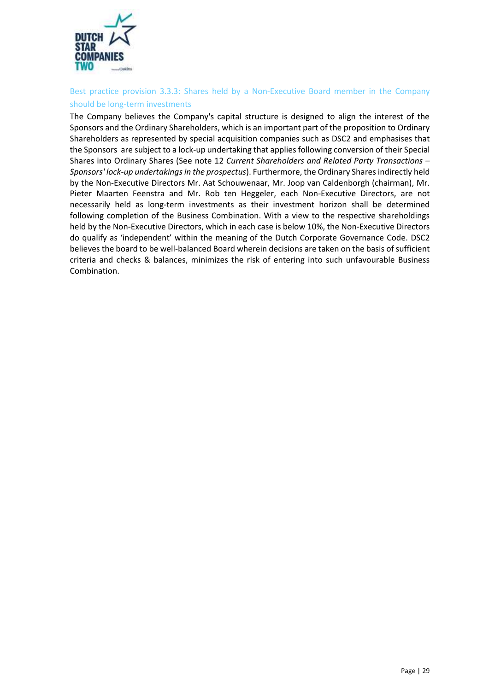

# Best practice provision 3.3.3: Shares held by a Non-Executive Board member in the Company should be long-term investments

The Company believes the Company's capital structure is designed to align the interest of the Sponsors and the Ordinary Shareholders, which is an important part of the proposition to Ordinary Shareholders as represented by special acquisition companies such as DSC2 and emphasises that the Sponsors are subject to a lock-up undertaking that applies following conversion of their Special Shares into Ordinary Shares (See note 12 *Current Shareholders and Related Party Transactions – Sponsors' lock-up undertakingsin the prospectus*). Furthermore, the Ordinary Shares indirectly held by the Non-Executive Directors Mr. Aat Schouwenaar, Mr. Joop van Caldenborgh (chairman), Mr. Pieter Maarten Feenstra and Mr. Rob ten Heggeler, each Non-Executive Directors, are not necessarily held as long-term investments as their investment horizon shall be determined following completion of the Business Combination. With a view to the respective shareholdings held by the Non-Executive Directors, which in each case is below 10%, the Non-Executive Directors do qualify as 'independent' within the meaning of the Dutch Corporate Governance Code. DSC2 believes the board to be well-balanced Board wherein decisions are taken on the basis of sufficient criteria and checks & balances, minimizes the risk of entering into such unfavourable Business Combination.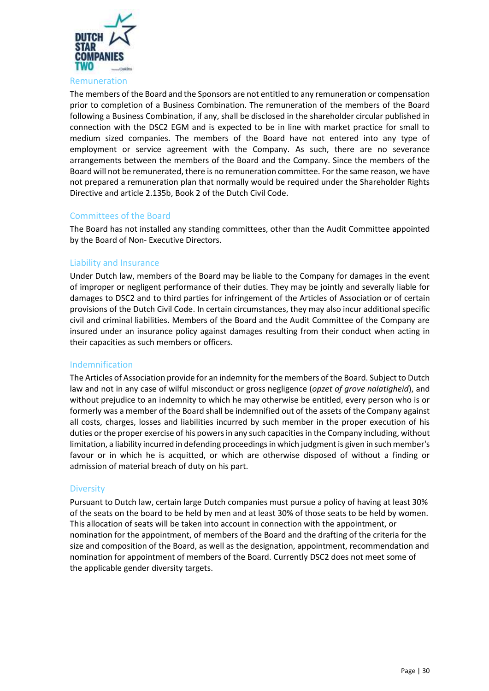

<span id="page-29-0"></span>The members of the Board and the Sponsors are not entitled to any remuneration or compensation prior to completion of a Business Combination. The remuneration of the members of the Board following a Business Combination, if any, shall be disclosed in the shareholder circular published in connection with the DSC2 EGM and is expected to be in line with market practice for small to medium sized companies. The members of the Board have not entered into any type of employment or service agreement with the Company. As such, there are no severance arrangements between the members of the Board and the Company. Since the members of the Board will not be remunerated, there is no remuneration committee. For the same reason, we have not prepared a remuneration plan that normally would be required under the Shareholder Rights Directive and article 2.135b, Book 2 of the Dutch Civil Code.

# <span id="page-29-1"></span>Committees of the Board

The Board has not installed any standing committees, other than the Audit Committee appointed by the Board of Non- Executive Directors.

#### <span id="page-29-2"></span>Liability and Insurance

Under Dutch law, members of the Board may be liable to the Company for damages in the event of improper or negligent performance of their duties. They may be jointly and severally liable for damages to DSC2 and to third parties for infringement of the Articles of Association or of certain provisions of the Dutch Civil Code. In certain circumstances, they may also incur additional specific civil and criminal liabilities. Members of the Board and the Audit Committee of the Company are insured under an insurance policy against damages resulting from their conduct when acting in their capacities as such members or officers.

#### <span id="page-29-3"></span>Indemnification

The Articles of Association provide for an indemnity for the members of the Board. Subject to Dutch law and not in any case of wilful misconduct or gross negligence (*opzet of grove nalatigheid*), and without prejudice to an indemnity to which he may otherwise be entitled, every person who is or formerly was a member of the Board shall be indemnified out of the assets of the Company against all costs, charges, losses and liabilities incurred by such member in the proper execution of his duties or the proper exercise of his powers in any such capacities in the Company including, without limitation, a liability incurred in defending proceedings in which judgment is given in such member's favour or in which he is acquitted, or which are otherwise disposed of without a finding or admission of material breach of duty on his part.

# <span id="page-29-4"></span>**Diversity**

Pursuant to Dutch law, certain large Dutch companies must pursue a policy of having at least 30% of the seats on the board to be held by men and at least 30% of those seats to be held by women. This allocation of seats will be taken into account in connection with the appointment, or nomination for the appointment, of members of the Board and the drafting of the criteria for the size and composition of the Board, as well as the designation, appointment, recommendation and nomination for appointment of members of the Board. Currently DSC2 does not meet some of the applicable gender diversity targets.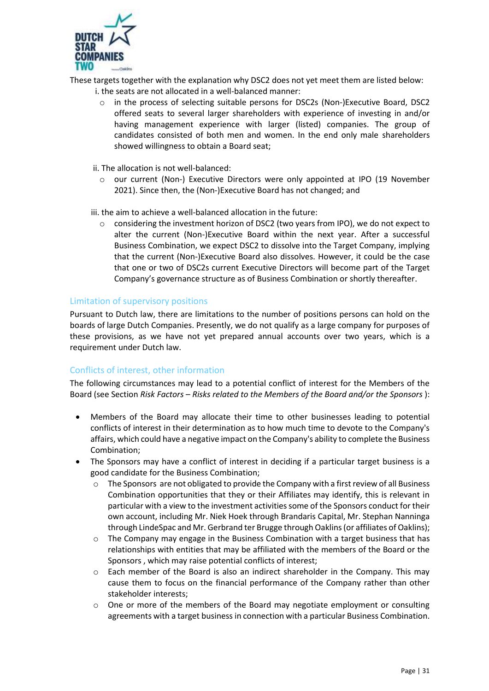

These targets together with the explanation why DSC2 does not yet meet them are listed below:

- i. the seats are not allocated in a well-balanced manner:
	- o in the process of selecting suitable persons for DSC2s (Non-)Executive Board, DSC2 offered seats to several larger shareholders with experience of investing in and/or having management experience with larger (listed) companies. The group of candidates consisted of both men and women. In the end only male shareholders showed willingness to obtain a Board seat;
	- ii. The allocation is not well-balanced:
		- o our current (Non-) Executive Directors were only appointed at IPO (19 November 2021). Since then, the (Non-)Executive Board has not changed; and
- iii. the aim to achieve a well-balanced allocation in the future:
	- o considering the investment horizon of DSC2 (two years from IPO), we do not expect to alter the current (Non-)Executive Board within the next year. After a successful Business Combination, we expect DSC2 to dissolve into the Target Company, implying that the current (Non-)Executive Board also dissolves. However, it could be the case that one or two of DSC2s current Executive Directors will become part of the Target Company's governance structure as of Business Combination or shortly thereafter.

# <span id="page-30-0"></span>Limitation of supervisory positions

Pursuant to Dutch law, there are limitations to the number of positions persons can hold on the boards of large Dutch Companies. Presently, we do not qualify as a large company for purposes of these provisions, as we have not yet prepared annual accounts over two years, which is a requirement under Dutch law.

# <span id="page-30-1"></span>Conflicts of interest, other information

The following circumstances may lead to a potential conflict of interest for the Members of the Board (see Section *Risk Factors* – *Risks related to the Members of the Board and/or the Sponsors* ):

- Members of the Board may allocate their time to other businesses leading to potential conflicts of interest in their determination as to how much time to devote to the Company's affairs, which could have a negative impact on the Company's ability to complete the Business Combination;
- The Sponsors may have a conflict of interest in deciding if a particular target business is a good candidate for the Business Combination;
	- o The Sponsors are not obligated to provide the Company with a first review of all Business Combination opportunities that they or their Affiliates may identify, this is relevant in particular with a view to the investment activities some of the Sponsors conduct for their own account, including Mr. Niek Hoek through Brandaris Capital, Mr. Stephan Nanninga through LindeSpac and Mr. Gerbrand ter Brugge through Oaklins (or affiliates of Oaklins);
	- $\circ$  The Company may engage in the Business Combination with a target business that has relationships with entities that may be affiliated with the members of the Board or the Sponsors , which may raise potential conflicts of interest;
	- $\circ$  Each member of the Board is also an indirect shareholder in the Company. This may cause them to focus on the financial performance of the Company rather than other stakeholder interests;
	- $\circ$  One or more of the members of the Board may negotiate employment or consulting agreements with a target business in connection with a particular Business Combination.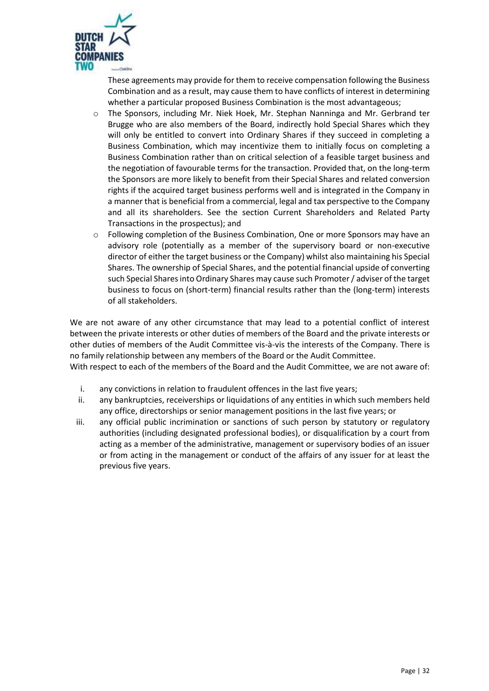

These agreements may provide for them to receive compensation following the Business Combination and as a result, may cause them to have conflicts of interest in determining whether a particular proposed Business Combination is the most advantageous;

- $\circ$  The Sponsors, including Mr. Niek Hoek, Mr. Stephan Nanninga and Mr. Gerbrand ter Brugge who are also members of the Board, indirectly hold Special Shares which they will only be entitled to convert into Ordinary Shares if they succeed in completing a Business Combination, which may incentivize them to initially focus on completing a Business Combination rather than on critical selection of a feasible target business and the negotiation of favourable terms for the transaction. Provided that, on the long-term the Sponsors are more likely to benefit from their Special Shares and related conversion rights if the acquired target business performs well and is integrated in the Company in a manner that is beneficial from a commercial, legal and tax perspective to the Company and all its shareholders. See the section Current Shareholders and Related Party Transactions in the prospectus); and
- o Following completion of the Business Combination, One or more Sponsors may have an advisory role (potentially as a member of the supervisory board or non-executive director of either the target business or the Company) whilst also maintaining his Special Shares. The ownership of Special Shares, and the potential financial upside of converting such Special Shares into Ordinary Shares may cause such Promoter / adviser of the target business to focus on (short-term) financial results rather than the (long-term) interests of all stakeholders.

We are not aware of any other circumstance that may lead to a potential conflict of interest between the private interests or other duties of members of the Board and the private interests or other duties of members of the Audit Committee vis-à-vis the interests of the Company. There is no family relationship between any members of the Board or the Audit Committee.

With respect to each of the members of the Board and the Audit Committee, we are not aware of:

- i. any convictions in relation to fraudulent offences in the last five years;
- ii. any bankruptcies, receiverships or liquidations of any entities in which such members held any office, directorships or senior management positions in the last five years; or
- iii. any official public incrimination or sanctions of such person by statutory or regulatory authorities (including designated professional bodies), or disqualification by a court from acting as a member of the administrative, management or supervisory bodies of an issuer or from acting in the management or conduct of the affairs of any issuer for at least the previous five years.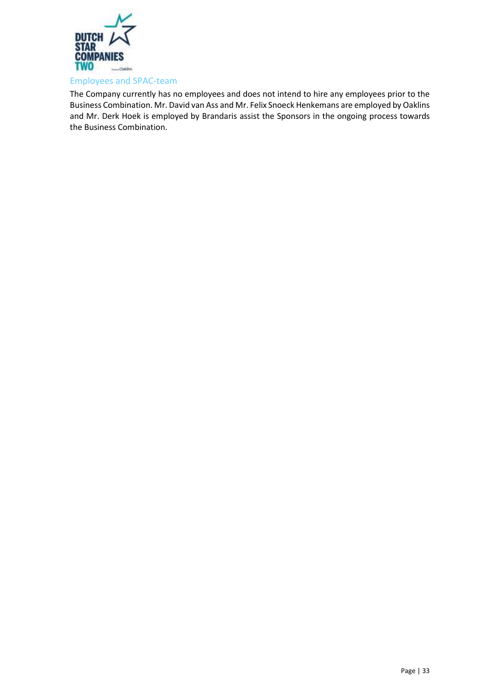

<span id="page-32-0"></span>The Company currently has no employees and does not intend to hire any employees prior to the Business Combination. Mr. David van Ass and Mr. Felix Snoeck Henkemans are employed by Oaklins and Mr. Derk Hoek is employed by Brandaris assist the Sponsors in the ongoing process towards the Business Combination.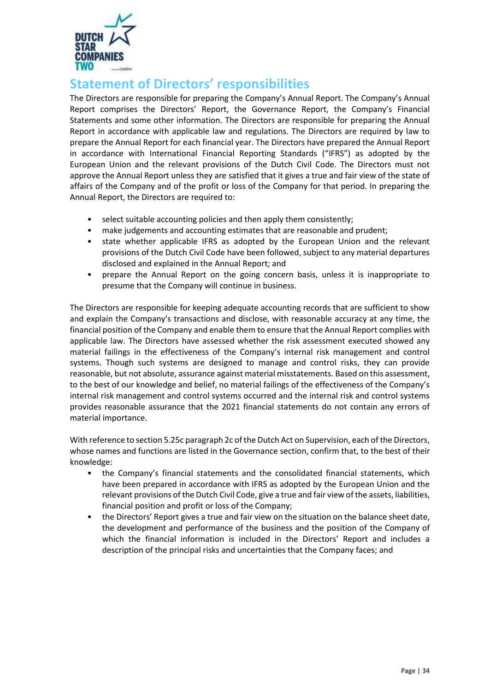

# <span id="page-33-0"></span>**Statement of Directors' responsibilities**

The Directors are responsible for preparing the Company's Annual Report. The Company's Annual Report comprises the Directors' Report, the Governance Report, the Company's Financial Statements and some other information. The Directors are responsible for preparing the Annual Report in accordance with applicable law and regulations. The Directors are required by law to prepare the Annual Report for each financial year. The Directors have prepared the Annual Report in accordance with International Financial Reporting Standards ("IFRS") as adopted by the European Union and the relevant provisions of the Dutch Civil Code. The Directors must not approve the Annual Report unless they are satisfied that it gives a true and fair view of the state of affairs of the Company and of the profit or loss of the Company for that period. In preparing the Annual Report, the Directors are required to:

- select suitable accounting policies and then apply them consistently;
- make judgements and accounting estimates that are reasonable and prudent;
- state whether applicable IFRS as adopted by the European Union and the relevant provisions of the Dutch Civil Code have been followed, subject to any material departures disclosed and explained in the Annual Report; and
- prepare the Annual Report on the going concern basis, unless it is inappropriate to presume that the Company will continue in business.

The Directors are responsible for keeping adequate accounting records that are sufficient to show and explain the Company's transactions and disclose, with reasonable accuracy at any time, the financial position of the Company and enable them to ensure that the Annual Report complies with applicable law. The Directors have assessed whether the risk assessment executed showed any material failings in the effectiveness of the Company's internal risk management and control systems. Though such systems are designed to manage and control risks, they can provide reasonable, but not absolute, assurance against material misstatements. Based on this assessment, to the best of our knowledge and belief, no material failings of the effectiveness of the Company's internal risk management and control systems occurred and the internal risk and control systems provides reasonable assurance that the 2021 financial statements do not contain any errors of material importance.

With reference to section 5.25c paragraph 2c of the Dutch Act on Supervision, each of the Directors, whose names and functions are listed in the Governance section, confirm that, to the best of their knowledge:

- the Company's financial statements and the consolidated financial statements, which have been prepared in accordance with IFRS as adopted by the European Union and the relevant provisions of the Dutch Civil Code, give a true and fair view of the assets, liabilities, financial position and profit or loss of the Company;
- the Directors' Report gives a true and fair view on the situation on the balance sheet date, the development and performance of the business and the position of the Company of which the financial information is included in the Directors' Report and includes a description of the principal risks and uncertainties that the Company faces; and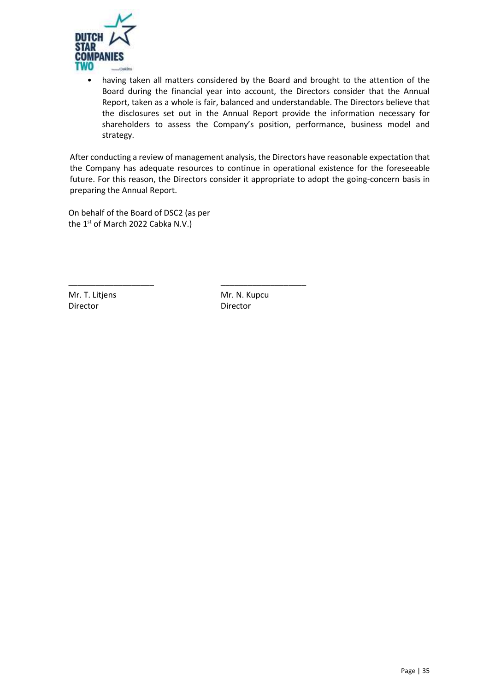

• having taken all matters considered by the Board and brought to the attention of the Board during the financial year into account, the Directors consider that the Annual Report, taken as a whole is fair, balanced and understandable. The Directors believe that the disclosures set out in the Annual Report provide the information necessary for shareholders to assess the Company's position, performance, business model and strategy.

After conducting a review of management analysis, the Directors have reasonable expectation that the Company has adequate resources to continue in operational existence for the foreseeable future. For this reason, the Directors consider it appropriate to adopt the going-concern basis in preparing the Annual Report.

On behalf of the Board of DSC2 (as per the  $1^{st}$  of March 2022 Cabka N.V.)

\_\_\_\_\_\_\_\_\_\_\_\_\_\_\_\_\_\_\_ \_\_\_\_\_\_\_\_\_\_\_\_\_\_\_\_\_\_\_

Mr. T. Litjens Director

Mr. N. Kupcu Director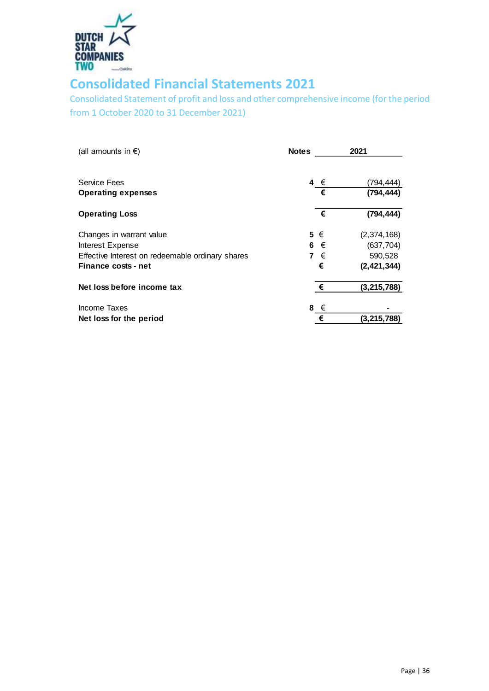

# <span id="page-35-0"></span>**Consolidated Financial Statements 2021**

<span id="page-35-1"></span>Consolidated Statement of profit and loss and other comprehensive income (for the period from 1 October 2020 to 31 December 2021)

| (all amounts in €)                               | <b>Notes</b> | 2021          |
|--------------------------------------------------|--------------|---------------|
| <b>Service Fees</b>                              | 4 €          | (794,444)     |
| <b>Operating expenses</b>                        | €            | (794, 444)    |
| <b>Operating Loss</b>                            | €            | (794, 444)    |
| Changes in warrant value                         | $5 \in$      | (2,374,168)   |
| Interest Expense                                 | 6 €          | (637, 704)    |
| Effective Interest on redeemable ordinary shares | 7 €          | 590,528       |
| Finance costs - net                              | €            | (2, 421, 344) |
| Net loss before income tax                       | €            | (3, 215, 788) |
| Income Taxes                                     | 8 $\epsilon$ |               |
| Net loss for the period                          | €            | (3, 215, 788) |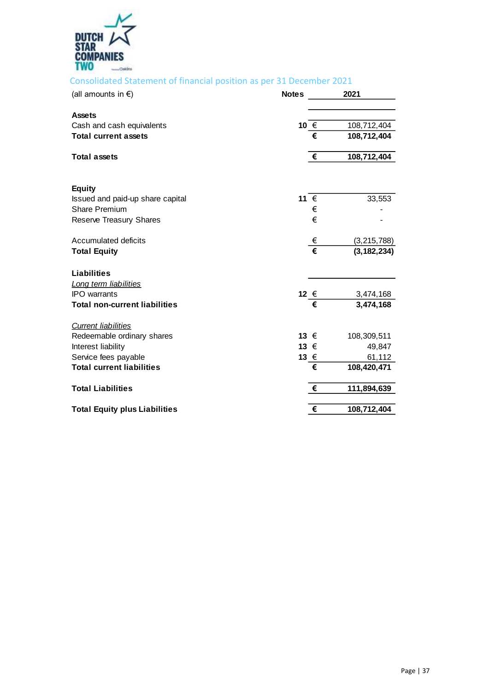

# <span id="page-36-0"></span>Consolidated Statement of financial position as per 31 December 2021

| (all amounts in $\epsilon$ )         | <b>Notes</b>  |   | 2021          |
|--------------------------------------|---------------|---|---------------|
| <b>Assets</b>                        |               |   |               |
| Cash and cash equivalents            | 10 €          |   | 108,712,404   |
| <b>Total current assets</b>          |               | € | 108,712,404   |
| <b>Total assets</b>                  |               | € | 108,712,404   |
| <b>Equity</b>                        |               |   |               |
| Issued and paid-up share capital     | 11 €          |   | 33,553        |
| <b>Share Premium</b>                 |               | € |               |
| <b>Reserve Treasury Shares</b>       |               | € |               |
| Accumulated deficits                 |               | € | (3,215,788)   |
| <b>Total Equity</b>                  |               | € | (3, 182, 234) |
| <b>Liabilities</b>                   |               |   |               |
| Long term liabilities                |               |   |               |
| <b>IPO</b> warrants                  | 12 €          |   | 3,474,168     |
| <b>Total non-current liabilities</b> |               | € | 3,474,168     |
| <b>Current liabilities</b>           |               |   |               |
| Redeemable ordinary shares           | 13 $\epsilon$ |   | 108,309,511   |
| Interest liability                   | 13 €          |   | 49,847        |
| Service fees payable                 | 13 €          |   | 61,112        |
| <b>Total current liabilities</b>     |               | € | 108,420,471   |
| <b>Total Liabilities</b>             |               | € | 111,894,639   |
| <b>Total Equity plus Liabilities</b> |               | € | 108,712,404   |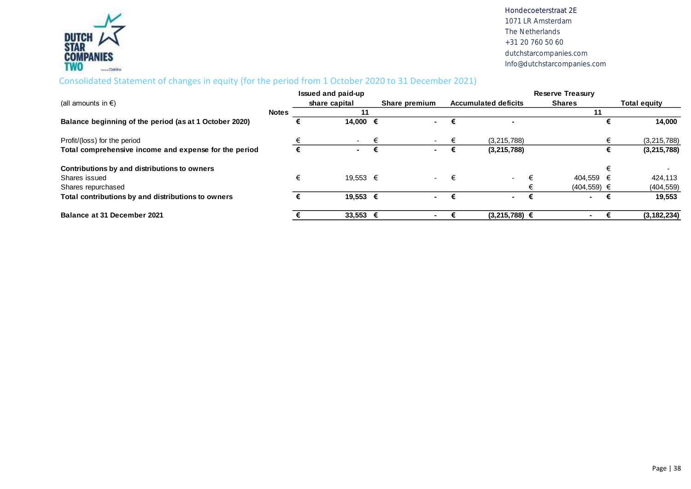

# Consolidated Statement of changes in equity (for the period from 1 October 2020 to 31 December 2021)

<span id="page-37-0"></span>

|                                                        |              | Issued and paid-up  |   |               |  |                             | <b>Reserve Treasury</b> |                     |
|--------------------------------------------------------|--------------|---------------------|---|---------------|--|-----------------------------|-------------------------|---------------------|
| (all amounts in $\epsilon$ )                           |              | share capital       |   | Share premium |  | <b>Accumulated deficits</b> | <b>Shares</b>           | <b>Total equity</b> |
|                                                        | <b>Notes</b> | 11                  |   |               |  |                             | 11                      |                     |
| Balance beginning of the period (as at 1 October 2020) |              | 14,000 €            |   |               |  |                             |                         | 14,000              |
| Profit/(loss) for the period                           |              |                     | € |               |  | (3,215,788)                 |                         | (3, 215, 788)       |
| Total comprehensive income and expense for the period  |              |                     | € | $\sim$        |  | (3, 215, 788)               |                         | (3, 215, 788)       |
| Contributions by and distributions to owners           |              |                     |   |               |  |                             |                         |                     |
| Shares issued                                          |              | 19.553 €            |   | $\sim$        |  | $\sim$                      | 404.559 €               | 424,113             |
| Shares repurchased                                     |              |                     |   |               |  |                             | $(404, 559) \in$        | (404, 559)          |
| Total contributions by and distributions to owners     |              | 19.553 €            |   | <b>м.</b>     |  | $\sim$                      | . .                     | 19,553              |
| Balance at 31 December 2021                            |              | $33,553$ $\epsilon$ |   |               |  | $(3,215,788)$ €             |                         | (3, 182, 234)       |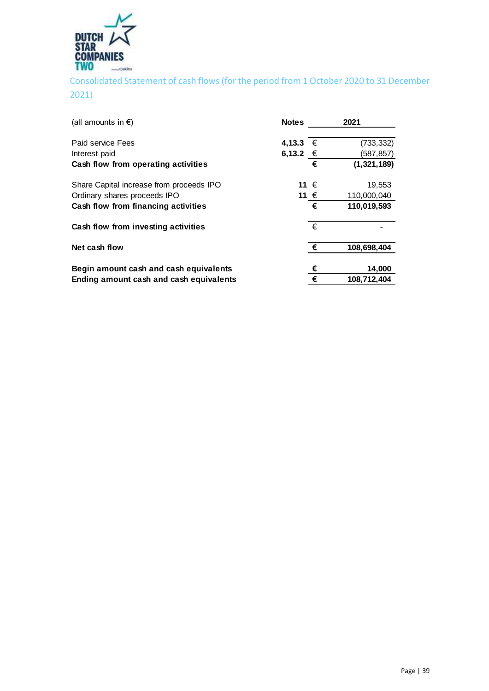

<span id="page-38-0"></span>Consolidated Statement of cash flows (for the period from 1 October 2020 to 31 December 2021)

| (all amounts in $\epsilon$ )             | <b>Notes</b> |   | 2021          |
|------------------------------------------|--------------|---|---------------|
| Paid service Fees                        | 4,13.3       | € | (733, 332)    |
| Interest paid                            | 6,13.2 €     |   | (587,857)     |
| Cash flow from operating activities      |              | € | (1, 321, 189) |
| Share Capital increase from proceeds IPO | 11 €         |   | 19,553        |
| Ordinary shares proceeds IPO             | 11 €         |   | 110,000,040   |
| Cash flow from financing activities      |              | € | 110,019,593   |
| Cash flow from investing activities      |              | € |               |
| Net cash flow                            |              | € | 108,698,404   |
| Begin amount cash and cash equivalents   |              | € | 14,000        |
| Ending amount cash and cash equivalents  |              | € | 108,712,404   |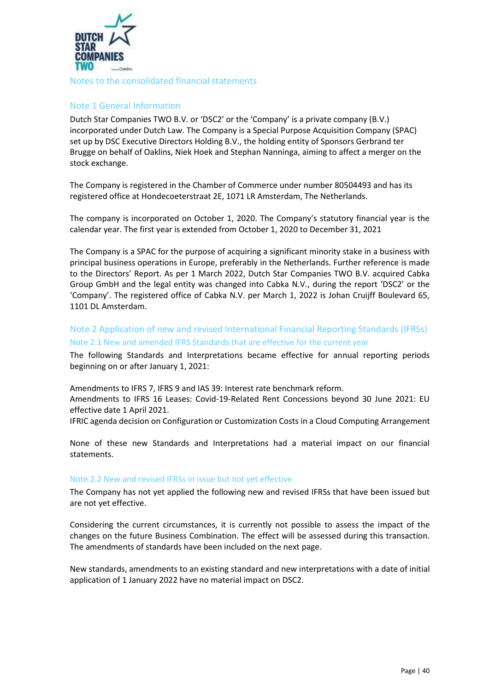

# <span id="page-39-0"></span>Note 1 General Information

Dutch Star Companies TWO B.V. or 'DSC2' or the 'Company' is a private company (B.V.) incorporated under Dutch Law. The Company is a Special Purpose Acquisition Company (SPAC) set up by DSC Executive Directors Holding B.V., the holding entity of Sponsors Gerbrand ter Brugge on behalf of Oaklins, Niek Hoek and Stephan Nanninga, aiming to affect a merger on the stock exchange.

The Company is registered in the Chamber of Commerce under number 80504493 and has its registered office at Hondecoeterstraat 2E, 1071 LR Amsterdam, The Netherlands.

The company is incorporated on October 1, 2020. The Company's statutory financial year is the calendar year. The first year is extended from October 1, 2020 to December 31, 2021

The Company is a SPAC for the purpose of acquiring a significant minority stake in a business with principal business operations in Europe, preferably in the Netherlands. Further reference is made to the Directors' Report. As per 1 March 2022, Dutch Star Companies TWO B.V. acquired Cabka Group GmbH and the legal entity was changed into [Cabka N.V.](pp://General Data/Name of ultimate parent of group?taxonomy=ESEF&labellanguage=en&allowhtml=false), during the report 'DSC2' or the 'Company'. The registered office of Cabka N.V. per March 1, 2022 is [Johan Cruijff Boulevard 65,](pp://General Data/Address of entity) [1101 DL Amsterdam](pp://General Data/Address of entity).

# Note 2 Application of new and revised International Financial Reporting Standards (IFRSs) Note 2.1 New and amended IFRS Standards that are effective for the current year

The following Standards and Interpretations became effective for annual reporting periods beginning on or after January 1, 2021:

Amendments to IFRS 7, IFRS 9 and IAS 39: Interest rate benchmark reform. Amendments to IFRS 16 Leases: Covid-19-Related Rent Concessions beyond 30 June 2021: EU effective date 1 April 2021.

IFRIC agenda decision on Configuration or Customization Costs in a Cloud Computing Arrangement

None of these new Standards and Interpretations had a material impact on our financial statements.

#### Note 2.2 New and revised IFRSs in issue but not yet effective

The Company has not yet applied the following new and revised IFRSs that have been issued but are not yet effective.

Considering the current circumstances, it is currently not possible to assess the impact of the changes on the future Business Combination. The effect will be assessed during this transaction. The amendments of standards have been included on the next page.

New standards, amendments to an existing standard and new interpretations with a date of initial application of 1 January 2022 have no material impact on DSC2.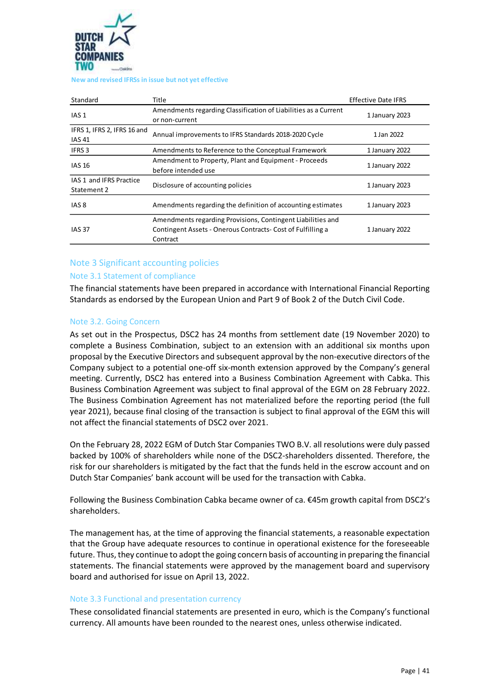

#### **New and revised IFRSs in issue but not yet effective**

| Standard                                                                                              | Title                                                                                                                                  | <b>Effective Date IFRS</b> |
|-------------------------------------------------------------------------------------------------------|----------------------------------------------------------------------------------------------------------------------------------------|----------------------------|
| IAS <sub>1</sub>                                                                                      | Amendments regarding Classification of Liabilities as a Current<br>or non-current                                                      | 1 January 2023             |
| IFRS 1, IFRS 2, IFRS 16 and<br>Annual improvements to IFRS Standards 2018-2020 Cycle<br><b>IAS 41</b> |                                                                                                                                        | 1 Jan 2022                 |
| <b>IFRS 3</b>                                                                                         | Amendments to Reference to the Conceptual Framework                                                                                    | 1 January 2022             |
| <b>IAS 16</b>                                                                                         | Amendment to Property, Plant and Equipment - Proceeds<br>before intended use                                                           | 1 January 2022             |
| IAS 1 and IFRS Practice<br>Statement 2                                                                | Disclosure of accounting policies                                                                                                      | 1 January 2023             |
| IAS <sub>8</sub>                                                                                      | Amendments regarding the definition of accounting estimates                                                                            | 1 January 2023             |
| <b>IAS 37</b>                                                                                         | Amendments regarding Provisions, Contingent Liabilities and<br>Contingent Assets - Onerous Contracts- Cost of Fulfilling a<br>Contract | 1 January 2022             |

# Note 3 Significant accounting policies

#### Note 3.1 Statement of compliance

The financial statements have been prepared in accordance with International Financial Reporting Standards as endorsed by the European Union and Part 9 of Book 2 of the Dutch Civil Code.

#### Note 3.2. Going Concern

As set out in the Prospectus, DSC2 has 24 months from settlement date (19 November 2020) to complete a Business Combination, subject to an extension with an additional six months upon proposal by the Executive Directors and subsequent approval by the non-executive directors of the Company subject to a potential one-off six-month extension approved by the Company's general meeting. Currently, DSC2 has entered into a Business Combination Agreement with Cabka. This Business Combination Agreement was subject to final approval of the EGM on 28 February 2022. The Business Combination Agreement has not materialized before the reporting period (the full year 2021), because final closing of the transaction is subject to final approval of the EGM this will not affect the financial statements of DSC2 over 2021.

On the February 28, 2022 EGM of Dutch Star Companies TWO B.V. all resolutions were duly passed backed by 100% of shareholders while none of the DSC2-shareholders dissented. Therefore, the risk for our shareholders is mitigated by the fact that the funds held in the escrow account and on Dutch Star Companies' bank account will be used for the transaction with Cabka.

Following the Business Combination Cabka became owner of ca. €45m growth capital from DSC2's shareholders.

The management has, at the time of approving the financial statements, a reasonable expectation that the Group have adequate resources to continue in operational existence for the foreseeable future. Thus, they continue to adopt the going concern basis of accounting in preparing the financial statements. The financial statements were approved by the management board and supervisory board and authorised for issue on April 13, 2022.

#### Note 3.3 Functional and presentation currency

These consolidated financial statements are presented in euro, which is the Company's functional currency. All amounts have been rounded to the nearest ones, unless otherwise indicated.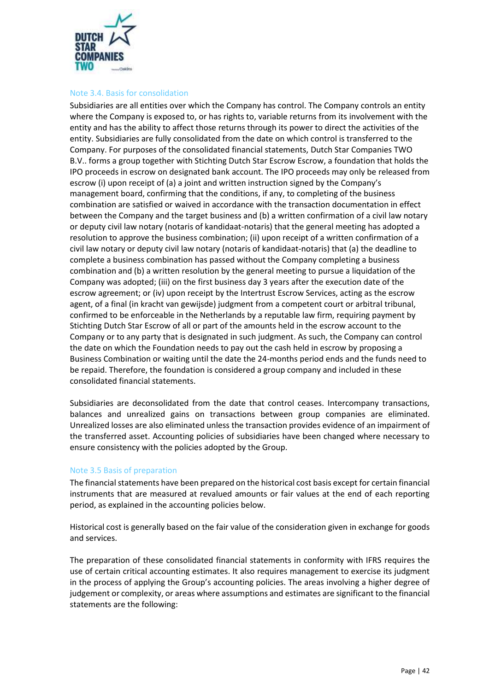

#### Note 3.4. Basis for consolidation

Subsidiaries are all entities over which the Company has control. The Company controls an entity where the Company is exposed to, or has rights to, variable returns from its involvement with the entity and has the ability to affect those returns through its power to direct the activities of the entity. Subsidiaries are fully consolidated from the date on which control is transferred to the Company. For purposes of the consolidated financial statements, Dutch Star Companies TWO B.V.. forms a group together with Stichting Dutch Star Escrow Escrow, a foundation that holds the IPO proceeds in escrow on designated bank account. The IPO proceeds may only be released from escrow (i) upon receipt of (a) a joint and written instruction signed by the Company's management board, confirming that the conditions, if any, to completing of the business combination are satisfied or waived in accordance with the transaction documentation in effect between the Company and the target business and (b) a written confirmation of a civil law notary or deputy civil law notary (notaris of kandidaat-notaris) that the general meeting has adopted a resolution to approve the business combination; (ii) upon receipt of a written confirmation of a civil law notary or deputy civil law notary (notaris of kandidaat-notaris) that (a) the deadline to complete a business combination has passed without the Company completing a business combination and (b) a written resolution by the general meeting to pursue a liquidation of the Company was adopted; (iii) on the first business day 3 years after the execution date of the escrow agreement; or (iv) upon receipt by the Intertrust Escrow Services, acting as the escrow agent, of a final (in kracht van gewijsde) judgment from a competent court or arbitral tribunal, confirmed to be enforceable in the Netherlands by a reputable law firm, requiring payment by Stichting Dutch Star Escrow of all or part of the amounts held in the escrow account to the Company or to any party that is designated in such judgment. As such, the Company can control the date on which the Foundation needs to pay out the cash held in escrow by proposing a Business Combination or waiting until the date the 24-months period ends and the funds need to be repaid. Therefore, the foundation is considered a group company and included in these consolidated financial statements.

Subsidiaries are deconsolidated from the date that control ceases. Intercompany transactions, balances and unrealized gains on transactions between group companies are eliminated. Unrealized losses are also eliminated unless the transaction provides evidence of an impairment of the transferred asset. Accounting policies of subsidiaries have been changed where necessary to ensure consistency with the policies adopted by the Group.

# Note 3.5 Basis of preparation

The financial statements have been prepared on the historical cost basis except for certain financial instruments that are measured at revalued amounts or fair values at the end of each reporting period, as explained in the accounting policies below.

Historical cost is generally based on the fair value of the consideration given in exchange for goods and services.

The preparation of these consolidated financial statements in conformity with IFRS requires the use of certain critical accounting estimates. It also requires management to exercise its judgment in the process of applying the Group's accounting policies. The areas involving a higher degree of judgement or complexity, or areas where assumptions and estimates are significant to the financial statements are the following: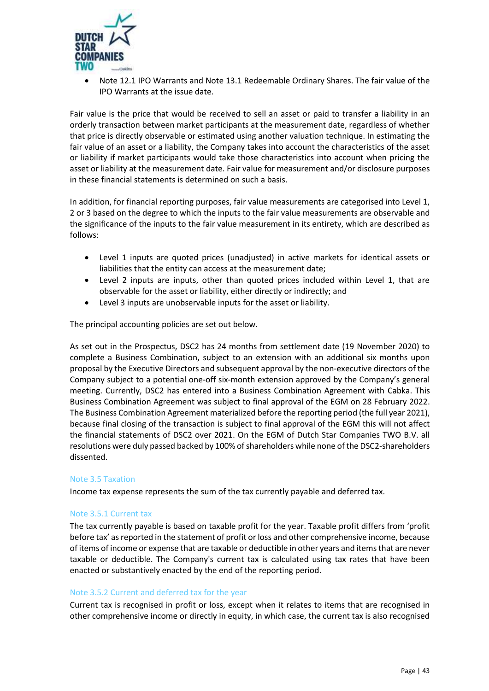

• Note 12.1 IPO Warrants and Note 13.1 Redeemable Ordinary Shares. The fair value of the IPO Warrants at the issue date.

Fair value is the price that would be received to sell an asset or paid to transfer a liability in an orderly transaction between market participants at the measurement date, regardless of whether that price is directly observable or estimated using another valuation technique. In estimating the fair value of an asset or a liability, the Company takes into account the characteristics of the asset or liability if market participants would take those characteristics into account when pricing the asset or liability at the measurement date. Fair value for measurement and/or disclosure purposes in these financial statements is determined on such a basis.

In addition, for financial reporting purposes, fair value measurements are categorised into Level 1, 2 or 3 based on the degree to which the inputs to the fair value measurements are observable and the significance of the inputs to the fair value measurement in its entirety, which are described as follows:

- Level 1 inputs are quoted prices (unadjusted) in active markets for identical assets or liabilities that the entity can access at the measurement date;
- Level 2 inputs are inputs, other than quoted prices included within Level 1, that are observable for the asset or liability, either directly or indirectly; and
- Level 3 inputs are unobservable inputs for the asset or liability.

The principal accounting policies are set out below.

As set out in the Prospectus, DSC2 has 24 months from settlement date (19 November 2020) to complete a Business Combination, subject to an extension with an additional six months upon proposal by the Executive Directors and subsequent approval by the non-executive directors of the Company subject to a potential one-off six-month extension approved by the Company's general meeting. Currently, DSC2 has entered into a Business Combination Agreement with Cabka. This Business Combination Agreement was subject to final approval of the EGM on 28 February 2022. The Business Combination Agreement materialized before the reporting period (the full year 2021), because final closing of the transaction is subject to final approval of the EGM this will not affect the financial statements of DSC2 over 2021. On the EGM of Dutch Star Companies TWO B.V. all resolutions were duly passed backed by 100% of shareholders while none of the DSC2-shareholders dissented.

#### Note 3.5 Taxation

Income tax expense represents the sum of the tax currently payable and deferred tax.

#### Note 3.5.1 Current tax

The tax currently payable is based on taxable profit for the year. Taxable profit differs from 'profit before tax' as reported in the statement of profit or loss and other comprehensive income, because of items of income or expense that are taxable or deductible in other years and items that are never taxable or deductible. The Company's current tax is calculated using tax rates that have been enacted or substantively enacted by the end of the reporting period.

#### Note 3.5.2 Current and deferred tax for the year

Current tax is recognised in profit or loss, except when it relates to items that are recognised in other comprehensive income or directly in equity, in which case, the current tax is also recognised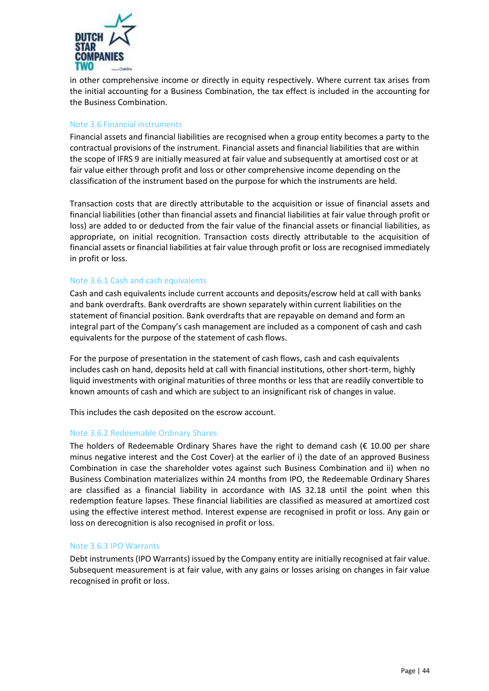

in other comprehensive income or directly in equity respectively. Where current tax arises from the initial accounting for a Business Combination, the tax effect is included in the accounting for the Business Combination.

# Note 3.6 Financial instruments

Financial assets and financial liabilities are recognised when a group entity becomes a party to the contractual provisions of the instrument. Financial assets and financial liabilities that are within the scope of IFRS 9 are initially measured at fair value and subsequently at amortised cost or at fair value either through profit and loss or other comprehensive income depending on the classification of the instrument based on the purpose for which the instruments are held.

Transaction costs that are directly attributable to the acquisition or issue of financial assets and financial liabilities (other than financial assets and financial liabilities at fair value through profit or loss) are added to or deducted from the fair value of the financial assets or financial liabilities, as appropriate, on initial recognition. Transaction costs directly attributable to the acquisition of financial assets or financial liabilities at fair value through profit or loss are recognised immediately in profit or loss.

#### Note 3.6.1 Cash and cash equivalents

Cash and cash equivalents include current accounts and deposits/escrow held at call with banks and bank overdrafts. Bank overdrafts are shown separately within current liabilities on the statement of financial position. Bank overdrafts that are repayable on demand and form an integral part of the Company's cash management are included as a component of cash and cash equivalents for the purpose of the statement of cash flows.

For the purpose of presentation in the statement of cash flows, cash and cash equivalents includes cash on hand, deposits held at call with financial institutions, other short-term, highly liquid investments with original maturities of three months or less that are readily convertible to known amounts of cash and which are subject to an insignificant risk of changes in value.

This includes the cash deposited on the escrow account.

#### Note 3.6.2 Redeemable Ordinary Shares

The holders of Redeemable Ordinary Shares have the right to demand cash ( $\epsilon$  10.00 per share minus negative interest and the Cost Cover) at the earlier of i) the date of an approved Business Combination in case the shareholder votes against such Business Combination and ii) when no Business Combination materializes within 24 months from IPO, the Redeemable Ordinary Shares are classified as a financial liability in accordance with IAS 32.18 until the point when this redemption feature lapses. These financial liabilities are classified as measured at amortized cost using the effective interest method. Interest expense are recognised in profit or loss. Any gain or loss on derecognition is also recognised in profit or loss.

#### Note 3.6.3 IPO Warrants

Debt instruments (IPO Warrants) issued by the Company entity are initially recognised at fair value. Subsequent measurement is at fair value, with any gains or losses arising on changes in fair value recognised in profit or loss.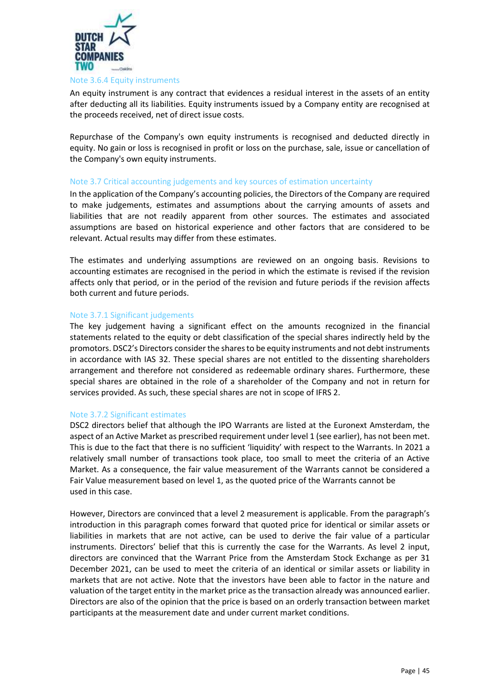

#### Note 3.6.4 Equity instruments

An equity instrument is any contract that evidences a residual interest in the assets of an entity after deducting all its liabilities. Equity instruments issued by a Company entity are recognised at the proceeds received, net of direct issue costs.

Repurchase of the Company's own equity instruments is recognised and deducted directly in equity. No gain or loss is recognised in profit or loss on the purchase, sale, issue or cancellation of the Company's own equity instruments.

#### Note 3.7 Critical accounting judgements and key sources of estimation uncertainty

In the application of the Company's accounting policies, the Directors of the Company are required to make judgements, estimates and assumptions about the carrying amounts of assets and liabilities that are not readily apparent from other sources. The estimates and associated assumptions are based on historical experience and other factors that are considered to be relevant. Actual results may differ from these estimates.

The estimates and underlying assumptions are reviewed on an ongoing basis. Revisions to accounting estimates are recognised in the period in which the estimate is revised if the revision affects only that period, or in the period of the revision and future periods if the revision affects both current and future periods.

#### Note 3.7.1 Significant judgements

The key judgement having a significant effect on the amounts recognized in the financial statements related to the equity or debt classification of the special shares indirectly held by the promotors. DSC2's Directors consider the shares to be equity instruments and not debt instruments in accordance with IAS 32. These special shares are not entitled to the dissenting shareholders arrangement and therefore not considered as redeemable ordinary shares. Furthermore, these special shares are obtained in the role of a shareholder of the Company and not in return for services provided. As such, these special shares are not in scope of IFRS 2.

#### Note 3.7.2 Significant estimates

DSC2 directors belief that although the IPO Warrants are listed at the Euronext Amsterdam, the aspect of an Active Market as prescribed requirement under level 1 (see earlier), has not been met. This is due to the fact that there is no sufficient 'liquidity' with respect to the Warrants. In 2021 a relatively small number of transactions took place, too small to meet the criteria of an Active Market. As a consequence, the fair value measurement of the Warrants cannot be considered a Fair Value measurement based on level 1, as the quoted price of the Warrants cannot be used in this case.

However, Directors are convinced that a level 2 measurement is applicable. From the paragraph's introduction in this paragraph comes forward that quoted price for identical or similar assets or liabilities in markets that are not active, can be used to derive the fair value of a particular instruments. Directors' belief that this is currently the case for the Warrants. As level 2 input, directors are convinced that the Warrant Price from the Amsterdam Stock Exchange as per 31 December 2021, can be used to meet the criteria of an identical or similar assets or liability in markets that are not active. Note that the investors have been able to factor in the nature and valuation of the target entity in the market price as the transaction already was announced earlier. Directors are also of the opinion that the price is based on an orderly transaction between market participants at the measurement date and under current market conditions.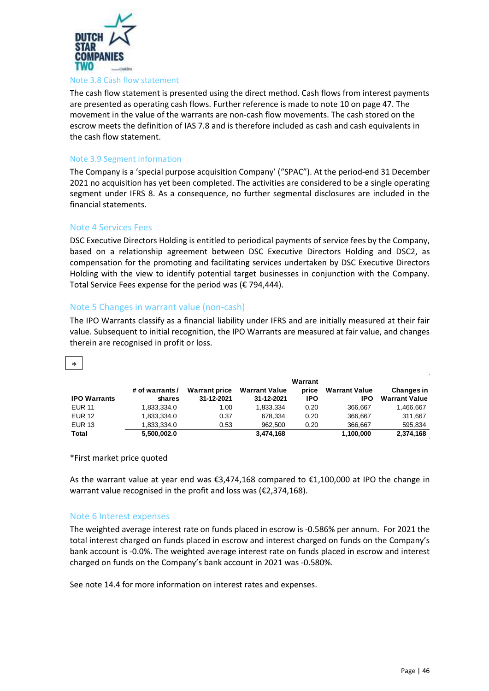

#### Note 3.8 Cash flow statement

The cash flow statement is presented using the direct method. Cash flows from interest payments are presented as operating cash flows. Further reference is made to note 10 on page 47. The movement in the value of the warrants are non-cash flow movements. The cash stored on the escrow meets the definition of IAS 7.8 and is therefore included as cash and cash equivalents in the cash flow statement.

#### Note 3.9 Segment information

The Company is a 'special purpose acquisition Company' ("SPAC"). At the period-end 31 December 2021 no acquisition has yet been completed. The activities are considered to be a single operating segment under IFRS 8. As a consequence, no further segmental disclosures are included in the financial statements.

#### Note 4 Services Fees

DSC Executive Directors Holding is entitled to periodical payments of service fees by the Company, based on a relationship agreement between DSC Executive Directors Holding and DSC2, as compensation for the promoting and facilitating services undertaken by DSC Executive Directors Holding with the view to identify potential target businesses in conjunction with the Company. Total Service Fees expense for the period was (€ 794,444).

#### Note 5 Changes in warrant value (non-cash)

The IPO Warrants classify as a financial liability under IFRS and are initially measured at their fair value. Subsequent to initial recognition, the IPO Warrants are measured at fair value, and changes therein are recognised in profit or loss.

# \*

|                     |                 |                      |                      | Warrant    |                      |                      |
|---------------------|-----------------|----------------------|----------------------|------------|----------------------|----------------------|
|                     | # of warrants / | <b>Warrant price</b> | <b>Warrant Value</b> | price      | <b>Warrant Value</b> | Changes in           |
| <b>IPO Warrants</b> | shares          | 31-12-2021           | 31-12-2021           | <b>IPO</b> | IPO                  | <b>Warrant Value</b> |
| <b>EUR 11</b>       | 1.833.334.0     | 1.00                 | 1.833.334            | 0.20       | 366.667              | 1,466,667            |
| <b>EUR 12</b>       | 1,833,334.0     | 0.37                 | 678.334              | 0.20       | 366.667              | 311.667              |
| <b>EUR 13</b>       | 1,833,334.0     | 0.53                 | 962.500              | 0.20       | 366.667              | 595,834              |
| Total               | 5,500,002.0     |                      | 3,474,168            |            | 1,100,000            | 2,374,168            |

#### \*First market price quoted

As the warrant value at year end was €3,474,168 compared to €1,100,000 at IPO the change in warrant value recognised in the profit and loss was (€2,374,168).

#### Note 6 Interest expenses

The weighted average interest rate on funds placed in escrow is -0.586% per annum. For 2021 the total interest charged on funds placed in escrow and interest charged on funds on the Company's bank account is -0.0%. The weighted average interest rate on funds placed in escrow and interest charged on funds on the Company's bank account in 2021 was -0.580%.

See note 14.4 for more information on interest rates and expenses.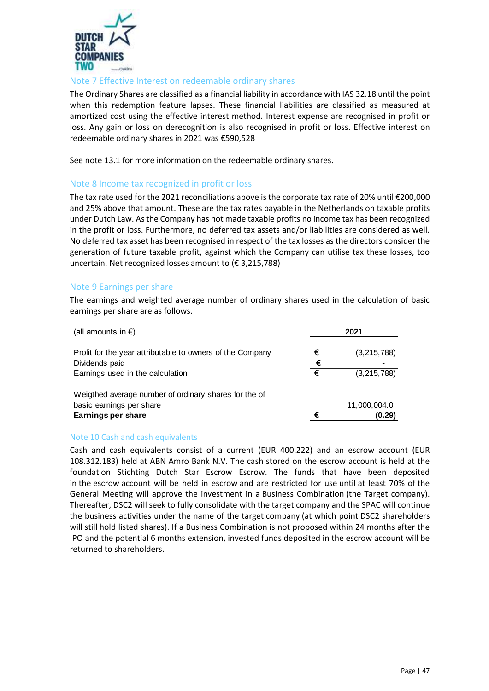

# Note 7 Effective Interest on redeemable ordinary shares

The Ordinary Shares are classified as a financial liability in accordance with IAS 32.18 until the point when this redemption feature lapses. These financial liabilities are classified as measured at amortized cost using the effective interest method. Interest expense are recognised in profit or loss. Any gain or loss on derecognition is also recognised in profit or loss. Effective interest on redeemable ordinary shares in 2021 was €590,528

See note 13.1 for more information on the redeemable ordinary shares.

# Note 8 Income tax recognized in profit or loss

The tax rate used for the 2021 reconciliations above is the corporate tax rate of 20% until €200,000 and 25% above that amount. These are the tax rates payable in the Netherlands on taxable profits under Dutch Law. As the Company has not made taxable profits no income tax has been recognized in the profit or loss. Furthermore, no deferred tax assets and/or liabilities are considered as well. No deferred tax asset has been recognised in respect of the tax losses as the directors consider the generation of future taxable profit, against which the Company can utilise tax these losses, too uncertain. Net recognized losses amount to (€ 3,215,788)

# Note 9 Earnings per share

The earnings and weighted average number of ordinary shares used in the calculation of basic earnings per share are as follows.

| (all amounts in €)                                        |   | 2021         |
|-----------------------------------------------------------|---|--------------|
| Profit for the year attributable to owners of the Company | € | (3,215,788)  |
| Dividends paid                                            | € |              |
| Earnings used in the calculation                          | € | (3,215,788)  |
| Weigthed average number of ordinary shares for the of     |   |              |
| basic earnings per share                                  |   | 11,000,004.0 |
| Earnings per share                                        | € | (0.29)       |

#### Note 10 Cash and cash equivalents

Cash and cash equivalents consist of a current (EUR 400.222) and an escrow account (EUR 108.312.183) held at ABN Amro Bank N.V. The cash stored on the escrow account is held at the foundation Stichting Dutch Star Escrow Escrow. The funds that have been deposited in the escrow account will be held in escrow and are restricted for use until at least 70% of the General Meeting will approve the investment in a Business Combination (the Target company). Thereafter, DSC2 will seek to fully consolidate with the target company and the SPAC will continue the business activities under the name of the target company (at which point DSC2 shareholders will still hold listed shares). If a Business Combination is not proposed within 24 months after the IPO and the potential 6 months extension, invested funds deposited in the escrow account will be returned to shareholders.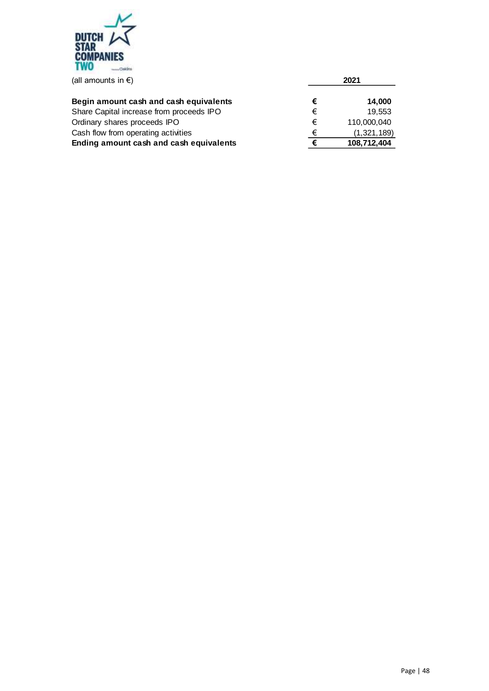

| Begin amount cash and cash equivalents   | € | 14,000      |
|------------------------------------------|---|-------------|
| Share Capital increase from proceeds IPO | € | 19.553      |
| Ordinary shares proceeds IPO             | € | 110,000,040 |
| Cash flow from operating activities      | € | (1,321,189) |
| Ending amount cash and cash equivalents  |   | 108,712,404 |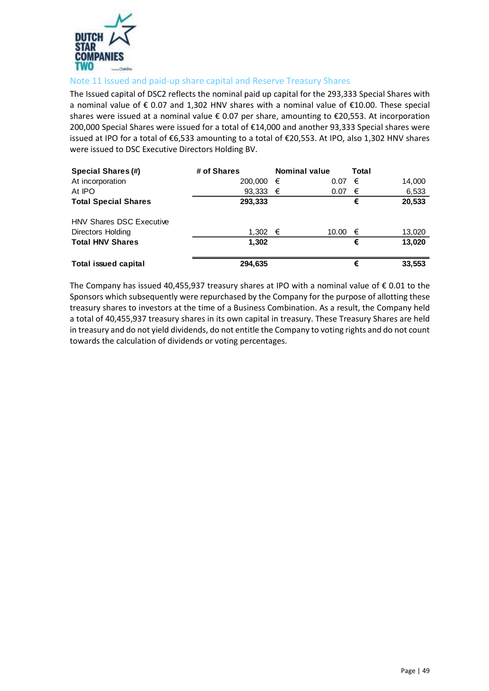

# Note 11 Issued and paid-up share capital and Reserve Treasury Shares

The Issued capital of DSC2 reflects the nominal paid up capital for the 293,333 Special Shares with a nominal value of € 0.07 and 1,302 HNV shares with a nominal value of €10.00. These special shares were issued at a nominal value € 0.07 per share, amounting to €20,553. At incorporation 200,000 Special Shares were issued for a total of €14,000 and another 93,333 Special shares were issued at IPO for a total of €6,533 amounting to a total of €20,553. At IPO, also 1,302 HNV shares were issued to DSC Executive Directors Holding BV.

| <b>Special Shares (#)</b>       | # of Shares       | <b>Nominal value</b> |       | Total |        |
|---------------------------------|-------------------|----------------------|-------|-------|--------|
| At incorporation                | 200,000           | €                    | 0.07  | €     | 14,000 |
| At IPO                          | 93,333 $\epsilon$ |                      | 0.07  | €     | 6,533  |
| <b>Total Special Shares</b>     | 293,333           |                      |       | €     | 20,533 |
| <b>HNV Shares DSC Executive</b> |                   |                      |       |       |        |
| <b>Directors Holding</b>        | $1,302$ €         |                      | 10.00 | €     | 13,020 |
| <b>Total HNV Shares</b>         | 1.302             |                      |       | €     | 13.020 |
| <b>Total issued capital</b>     | 294,635           |                      |       | €     | 33,553 |

The Company has issued 40,455,937 treasury shares at IPO with a nominal value of  $\epsilon$  0.01 to the Sponsors which subsequently were repurchased by the Company for the purpose of allotting these treasury shares to investors at the time of a Business Combination. As a result, the Company held a total of 40,455,937 treasury shares in its own capital in treasury. These Treasury Shares are held in treasury and do not yield dividends, do not entitle the Company to voting rights and do not count towards the calculation of dividends or voting percentages.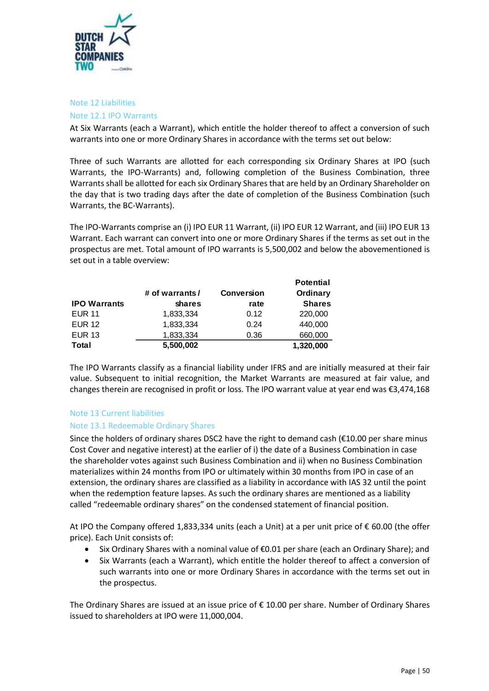

#### Note 12 Liabilities

#### Note 12.1 IPO Warrants

At Six Warrants (each a Warrant), which entitle the holder thereof to affect a conversion of such warrants into one or more Ordinary Shares in accordance with the terms set out below:

Three of such Warrants are allotted for each corresponding six Ordinary Shares at IPO (such Warrants, the IPO-Warrants) and, following completion of the Business Combination, three Warrants shall be allotted for each six Ordinary Shares that are held by an Ordinary Shareholder on the day that is two trading days after the date of completion of the Business Combination (such Warrants, the BC-Warrants).

The IPO-Warrants comprise an (i) IPO EUR 11 Warrant, (ii) IPO EUR 12 Warrant, and (iii) IPO EUR 13 Warrant. Each warrant can convert into one or more Ordinary Shares if the terms as set out in the prospectus are met. Total amount of IPO warrants is 5,500,002 and below the abovementioned is set out in a table overview:

|                     |                 |                   | <b>Potential</b> |
|---------------------|-----------------|-------------------|------------------|
|                     | # of warrants / | <b>Conversion</b> | Ordinary         |
| <b>IPO Warrants</b> | shares          | rate              | <b>Shares</b>    |
| <b>EUR 11</b>       | 1,833,334       | 0.12              | 220,000          |
| <b>EUR 12</b>       | 1,833,334       | 0.24              | 440,000          |
| <b>EUR 13</b>       | 1,833,334       | 0.36              | 660,000          |
| <b>Total</b>        | 5,500,002       |                   | 1,320,000        |

The IPO Warrants classify as a financial liability under IFRS and are initially measured at their fair value. Subsequent to initial recognition, the Market Warrants are measured at fair value, and changes therein are recognised in profit or loss. The IPO warrant value at year end was €3,474,168

#### Note 13 Current liabilities

#### Note 13.1 Redeemable Ordinary Shares

Since the holders of ordinary shares DSC2 have the right to demand cash ( $\epsilon$ 10.00 per share minus Cost Cover and negative interest) at the earlier of i) the date of a Business Combination in case the shareholder votes against such Business Combination and ii) when no Business Combination materializes within 24 months from IPO or ultimately within 30 months from IPO in case of an extension, the ordinary shares are classified as a liability in accordance with IAS 32 until the point when the redemption feature lapses. As such the ordinary shares are mentioned as a liability called "redeemable ordinary shares" on the condensed statement of financial position.

At IPO the Company offered 1,833,334 units (each a Unit) at a per unit price of € 60.00 (the offer price). Each Unit consists of:

- Six Ordinary Shares with a nominal value of €0.01 per share (each an Ordinary Share); and
- Six Warrants (each a Warrant), which entitle the holder thereof to affect a conversion of such warrants into one or more Ordinary Shares in accordance with the terms set out in the prospectus.

The Ordinary Shares are issued at an issue price of € 10.00 per share. Number of Ordinary Shares issued to shareholders at IPO were 11,000,004.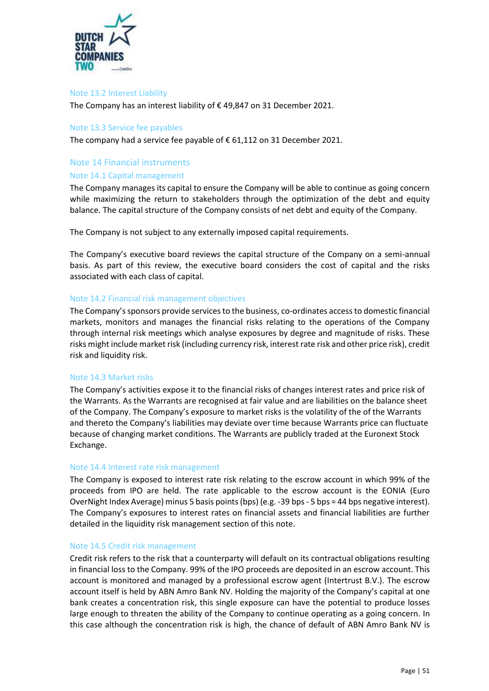

#### Note 13.2 Interest Liability

The Company has an interest liability of € 49,847 on 31 December 2021.

#### Note 13.3 Service fee payables

The company had a service fee payable of  $\epsilon$  61,112 on 31 December 2021.

#### Note 14 Financial instruments

#### Note 14.1 Capital management

The Company manages its capital to ensure the Company will be able to continue as going concern while maximizing the return to stakeholders through the optimization of the debt and equity balance. The capital structure of the Company consists of net debt and equity of the Company.

The Company is not subject to any externally imposed capital requirements.

The Company's executive board reviews the capital structure of the Company on a semi-annual basis. As part of this review, the executive board considers the cost of capital and the risks associated with each class of capital.

#### Note 14.2 Financial risk management objectives

The Company's sponsors provide services to the business, co-ordinates access to domestic financial markets, monitors and manages the financial risks relating to the operations of the Company through internal risk meetings which analyse exposures by degree and magnitude of risks. These risks might include market risk (including currency risk, interest rate risk and other price risk), credit risk and liquidity risk.

#### Note 14.3 Market risks

The Company's activities expose it to the financial risks of changes interest rates and price risk of the Warrants. As the Warrants are recognised at fair value and are liabilities on the balance sheet of the Company. The Company's exposure to market risks is the volatility of the of the Warrants and thereto the Company's liabilities may deviate over time because Warrants price can fluctuate because of changing market conditions. The Warrants are publicly traded at the Euronext Stock Exchange.

#### Note 14.4 Interest rate risk management

The Company is exposed to interest rate risk relating to the escrow account in which 99% of the proceeds from IPO are held. The rate applicable to the escrow account is the EONIA (Euro OverNight Index Average) minus 5 basis points(bps) (e.g. -39 bps - 5 bps = 44 bps negative interest). The Company's exposures to interest rates on financial assets and financial liabilities are further detailed in the liquidity risk management section of this note.

#### Note 14.5 Credit risk management

Credit risk refers to the risk that a counterparty will default on its contractual obligations resulting in financial loss to the Company. 99% of the IPO proceeds are deposited in an escrow account. This account is monitored and managed by a professional escrow agent (Intertrust B.V.). The escrow account itself is held by ABN Amro Bank NV. Holding the majority of the Company's capital at one bank creates a concentration risk, this single exposure can have the potential to produce losses large enough to threaten the ability of the Company to continue operating as a going concern. In this case although the concentration risk is high, the chance of default of ABN Amro Bank NV is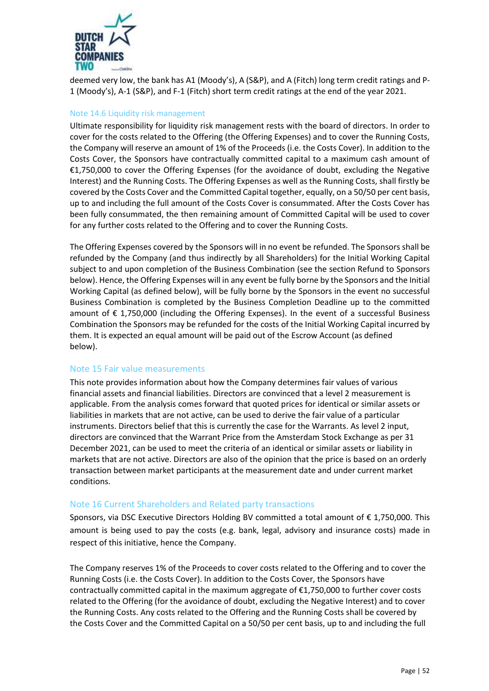

deemed very low, the bank has A1 (Moody's), A (S&P), and A (Fitch) long term credit ratings and P-1 (Moody's), A-1 (S&P), and F-1 (Fitch) short term credit ratings at the end of the year 2021.

#### Note 14.6 Liquidity risk management

Ultimate responsibility for liquidity risk management rests with the board of directors. In order to cover for the costs related to the Offering (the Offering Expenses) and to cover the Running Costs, the Company will reserve an amount of 1% of the Proceeds (i.e. the Costs Cover). In addition to the Costs Cover, the Sponsors have contractually committed capital to a maximum cash amount of €1,750,000 to cover the Offering Expenses (for the avoidance of doubt, excluding the Negative Interest) and the Running Costs. The Offering Expenses as well as the Running Costs, shall firstly be covered by the Costs Cover and the Committed Capital together, equally, on a 50/50 per cent basis, up to and including the full amount of the Costs Cover is consummated. After the Costs Cover has been fully consummated, the then remaining amount of Committed Capital will be used to cover for any further costs related to the Offering and to cover the Running Costs.

The Offering Expenses covered by the Sponsors will in no event be refunded. The Sponsors shall be refunded by the Company (and thus indirectly by all Shareholders) for the Initial Working Capital subject to and upon completion of the Business Combination (see the section Refund to Sponsors below). Hence, the Offering Expenses will in any event be fully borne by the Sponsors and the Initial Working Capital (as defined below), will be fully borne by the Sponsors in the event no successful Business Combination is completed by the Business Completion Deadline up to the committed amount of € 1,750,000 (including the Offering Expenses). In the event of a successful Business Combination the Sponsors may be refunded for the costs of the Initial Working Capital incurred by them. It is expected an equal amount will be paid out of the Escrow Account (as defined below).

#### Note 15 Fair value measurements

This note provides information about how the Company determines fair values of various financial assets and financial liabilities. Directors are convinced that a level 2 measurement is applicable. From the analysis comes forward that quoted prices for identical or similar assets or liabilities in markets that are not active, can be used to derive the fair value of a particular instruments. Directors belief that this is currently the case for the Warrants. As level 2 input, directors are convinced that the Warrant Price from the Amsterdam Stock Exchange as per 31 December 2021, can be used to meet the criteria of an identical or similar assets or liability in markets that are not active. Directors are also of the opinion that the price is based on an orderly transaction between market participants at the measurement date and under current market conditions.

#### Note 16 Current Shareholders and Related party transactions

Sponsors, via DSC Executive Directors Holding BV committed a total amount of € 1,750,000. This amount is being used to pay the costs (e.g. bank, legal, advisory and insurance costs) made in respect of this initiative, hence the Company.

The Company reserves 1% of the Proceeds to cover costs related to the Offering and to cover the Running Costs (i.e. the Costs Cover). In addition to the Costs Cover, the Sponsors have contractually committed capital in the maximum aggregate of €1,750,000 to further cover costs related to the Offering (for the avoidance of doubt, excluding the Negative Interest) and to cover the Running Costs. Any costs related to the Offering and the Running Costs shall be covered by the Costs Cover and the Committed Capital on a 50/50 per cent basis, up to and including the full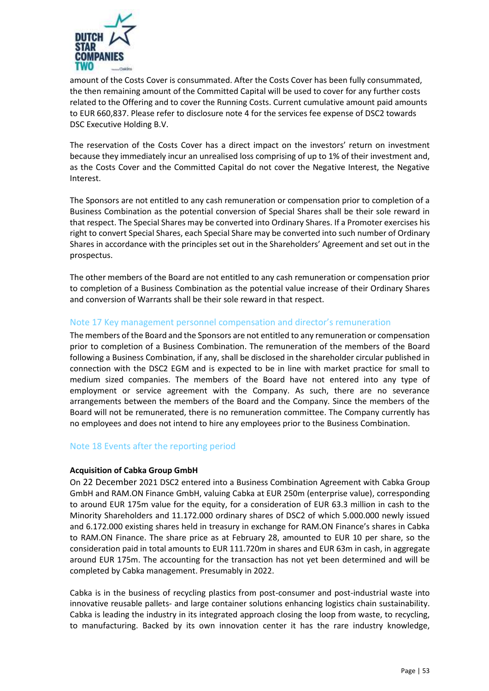

amount of the Costs Cover is consummated. After the Costs Cover has been fully consummated, the then remaining amount of the Committed Capital will be used to cover for any further costs related to the Offering and to cover the Running Costs. Current cumulative amount paid amounts to EUR 660,837. Please refer to disclosure note 4 for the services fee expense of DSC2 towards DSC Executive Holding B.V.

The reservation of the Costs Cover has a direct impact on the investors' return on investment because they immediately incur an unrealised loss comprising of up to 1% of their investment and, as the Costs Cover and the Committed Capital do not cover the Negative Interest, the Negative Interest.

The Sponsors are not entitled to any cash remuneration or compensation prior to completion of a Business Combination as the potential conversion of Special Shares shall be their sole reward in that respect. The Special Shares may be converted into Ordinary Shares. If a Promoter exercises his right to convert Special Shares, each Special Share may be converted into such number of Ordinary Shares in accordance with the principles set out in the Shareholders' Agreement and set out in the prospectus.

The other members of the Board are not entitled to any cash remuneration or compensation prior to completion of a Business Combination as the potential value increase of their Ordinary Shares and conversion of Warrants shall be their sole reward in that respect.

# Note 17 Key management personnel compensation and director's remuneration

The members of the Board and the Sponsors are not entitled to any remuneration or compensation prior to completion of a Business Combination. The remuneration of the members of the Board following a Business Combination, if any, shall be disclosed in the shareholder circular published in connection with the DSC2 EGM and is expected to be in line with market practice for small to medium sized companies. The members of the Board have not entered into any type of employment or service agreement with the Company. As such, there are no severance arrangements between the members of the Board and the Company. Since the members of the Board will not be remunerated, there is no remuneration committee. The Company currently has no employees and does not intend to hire any employees prior to the Business Combination.

#### Note 18 Events after the reporting period

#### **Acquisition of Cabka Group GmbH**

On 22 December 2021 DSC2 entered into a Business Combination Agreement with Cabka Group GmbH and RAM.ON Finance GmbH, valuing Cabka at EUR 250m (enterprise value), corresponding to around EUR 175m value for the equity, for a consideration of EUR 63.3 million in cash to the Minority Shareholders and 11.172.000 ordinary shares of DSC2 of which 5.000.000 newly issued and 6.172.000 existing shares held in treasury in exchange for RAM.ON Finance's shares in Cabka to RAM.ON Finance. The share price as at February 28, amounted to EUR 10 per share, so the consideration paid in total amounts to EUR 111.720m in shares and EUR 63m in cash, in aggregate around EUR 175m. The accounting for the transaction has not yet been determined and will be completed by Cabka management. Presumably in 2022.

Cabka is in the business of recycling plastics from post-consumer and post-industrial waste into innovative reusable pallets- and large container solutions enhancing logistics chain sustainability. Cabka is leading the industry in its integrated approach closing the loop from waste, to recycling, to manufacturing. Backed by its own innovation center it has the rare industry knowledge,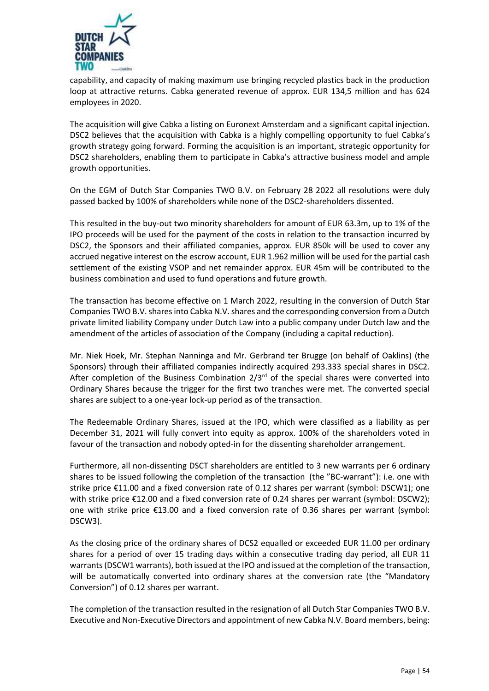

capability, and capacity of making maximum use bringing recycled plastics back in the production loop at attractive returns. Cabka generated revenue of approx. EUR 134,5 million and has 624 employees in 2020.

The acquisition will give Cabka a listing on Euronext Amsterdam and a significant capital injection. DSC2 believes that the acquisition with Cabka is a highly compelling opportunity to fuel Cabka's growth strategy going forward. Forming the acquisition is an important, strategic opportunity for DSC2 shareholders, enabling them to participate in Cabka's attractive business model and ample growth opportunities.

On the EGM of Dutch Star Companies TWO B.V. on February 28 2022 all resolutions were duly passed backed by 100% of shareholders while none of the DSC2-shareholders dissented.

This resulted in the buy-out two minority shareholders for amount of EUR 63.3m, up to 1% of the IPO proceeds will be used for the payment of the costs in relation to the transaction incurred by DSC2, the Sponsors and their affiliated companies, approx. EUR 850k will be used to cover any accrued negative interest on the escrow account, EUR 1.962 million will be used for the partial cash settlement of the existing VSOP and net remainder approx. EUR 45m will be contributed to the business combination and used to fund operations and future growth.

The transaction has become effective on 1 March 2022, resulting in the conversion of Dutch Star Companies TWO B.V. shares into Cabka N.V. shares and the corresponding conversion from a Dutch private limited liability Company under Dutch Law into a public company under Dutch law and the amendment of the articles of association of the Company (including a capital reduction).

Mr. Niek Hoek, Mr. Stephan Nanninga and Mr. Gerbrand ter Brugge (on behalf of Oaklins) (the Sponsors) through their affiliated companies indirectly acquired 293.333 special shares in DSC2. After completion of the Business Combination  $2/3^{rd}$  of the special shares were converted into Ordinary Shares because the trigger for the first two tranches were met. The converted special shares are subject to a one-year lock-up period as of the transaction.

The Redeemable Ordinary Shares, issued at the IPO, which were classified as a liability as per December 31, 2021 will fully convert into equity as approx. 100% of the shareholders voted in favour of the transaction and nobody opted-in for the dissenting shareholder arrangement.

Furthermore, all non-dissenting DSCT shareholders are entitled to 3 new warrants per 6 ordinary shares to be issued following the completion of the transaction (the "BC-warrant"): i.e. one with strike price €11.00 and a fixed conversion rate of 0.12 shares per warrant (symbol: DSCW1); one with strike price €12.00 and a fixed conversion rate of 0.24 shares per warrant (symbol: DSCW2); one with strike price €13.00 and a fixed conversion rate of 0.36 shares per warrant (symbol: DSCW3).

As the closing price of the ordinary shares of DCS2 equalled or exceeded EUR 11.00 per ordinary shares for a period of over 15 trading days within a consecutive trading day period, all EUR 11 warrants (DSCW1 warrants), both issued at the IPO and issued at the completion of the transaction, will be automatically converted into ordinary shares at the conversion rate (the "Mandatory Conversion") of 0.12 shares per warrant.

The completion of the transaction resulted in the resignation of all Dutch Star Companies TWO B.V. Executive and Non-Executive Directors and appointment of new Cabka N.V. Board members, being: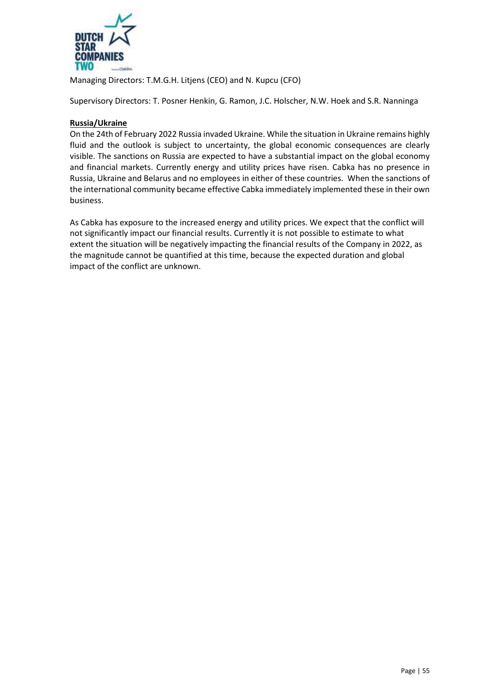

Managing Directors: T.M.G.H. Litjens (CEO) and N. Kupcu (CFO)

Supervisory Directors: T. Posner Henkin, G. Ramon, J.C. Holscher, N.W. Hoek and S.R. Nanninga

## **Russia/Ukraine**

On the 24th of February 2022 Russia invaded Ukraine. While the situation in Ukraine remains highly fluid and the outlook is subject to uncertainty, the global economic consequences are clearly visible. The sanctions on Russia are expected to have a substantial impact on the global economy and financial markets. Currently energy and utility prices have risen. Cabka has no presence in Russia, Ukraine and Belarus and no employees in either of these countries. When the sanctions of the international community became effective Cabka immediately implemented these in their own business.

As Cabka has exposure to the increased energy and utility prices. We expect that the conflict will not significantly impact our financial results. Currently it is not possible to estimate to what extent the situation will be negatively impacting the financial results of the Company in 2022, as the magnitude cannot be quantified at this time, because the expected duration and global impact of the conflict are unknown.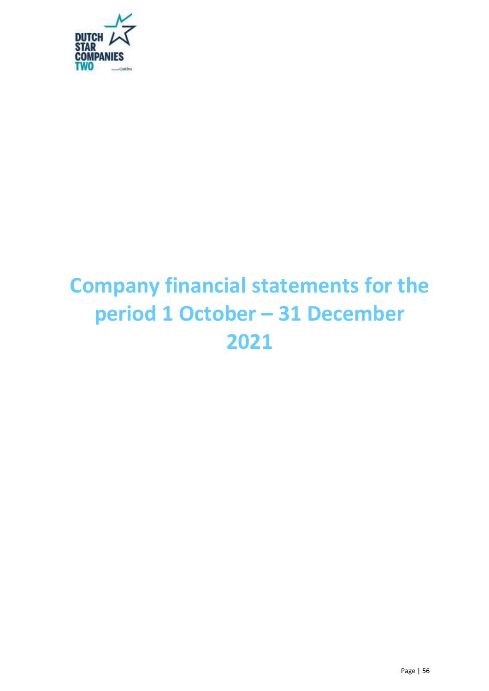

# **Company financial statements for the period 1 October – 31 December 2021**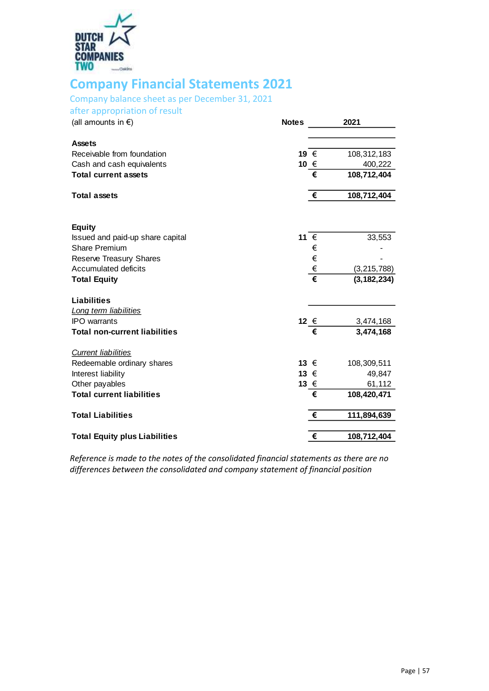

# <span id="page-56-0"></span>**Company Financial Statements 2021**

# Company balance sheet as per December 31, 2021

after appropriation of result

| <b>Notes</b> |   | 2021                                                                               |
|--------------|---|------------------------------------------------------------------------------------|
|              |   |                                                                                    |
|              |   | 108,312,183                                                                        |
|              |   | 400,222                                                                            |
|              | € | 108,712,404                                                                        |
|              | € | 108,712,404                                                                        |
|              |   |                                                                                    |
|              |   | 33,553                                                                             |
|              | € |                                                                                    |
|              |   |                                                                                    |
|              |   | (3, 215, 788)                                                                      |
|              |   | (3, 182, 234)                                                                      |
|              |   |                                                                                    |
|              |   |                                                                                    |
|              |   | 3,474,168                                                                          |
|              |   | 3,474,168                                                                          |
|              |   |                                                                                    |
|              |   | 108,309,511                                                                        |
|              |   | 49,847                                                                             |
|              |   | 61,112                                                                             |
|              |   | 108,420,471                                                                        |
|              | € | 111,894,639                                                                        |
|              |   | 108,712,404                                                                        |
|              |   | 19 €<br>10 €<br>11 €<br>€<br>€<br>€<br>12 €<br>€<br>13 €<br>13 €<br>13 €<br>€<br>€ |

*Reference is made to the notes of the consolidated financial statements as there are no differences between the consolidated and company statement of financial position*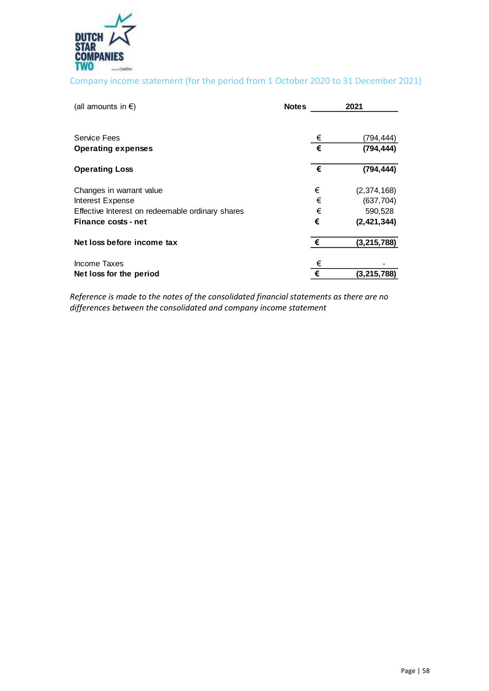

# Company income statement (for the period from 1 October 2020 to 31 December 2021)

| (all amounts in $\epsilon$ )                     | <b>Notes</b> |   | 2021          |
|--------------------------------------------------|--------------|---|---------------|
| <b>Service Fees</b>                              |              | € | (794,444)     |
| <b>Operating expenses</b>                        |              | € | (794, 444)    |
| <b>Operating Loss</b>                            |              | € | (794, 444)    |
| Changes in warrant value                         |              | € | (2,374,168)   |
| Interest Expense                                 |              | € | (637, 704)    |
| Effective Interest on redeemable ordinary shares |              | € | 590,528       |
| Finance costs - net                              |              | € | (2, 421, 344) |
| Net loss before income tax                       |              | € | (3, 215, 788) |
| Income Taxes                                     |              | € |               |
| Net loss for the period                          |              | € | (3, 215, 788) |

*Reference is made to the notes of the consolidated financial statements as there are no differences between the consolidated and company income statement*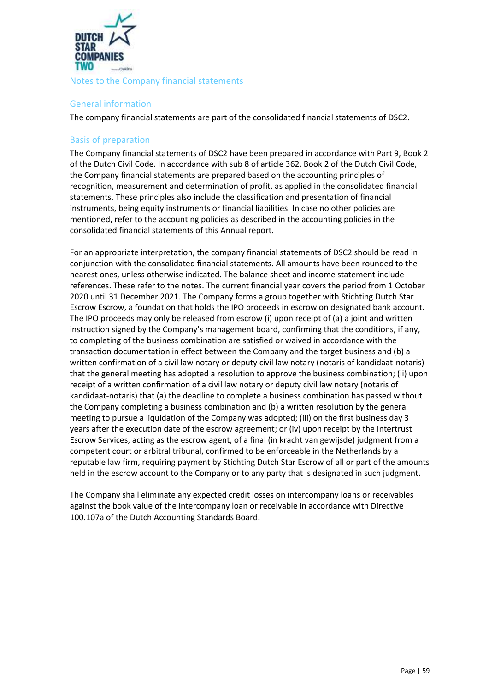

## <span id="page-58-0"></span>General information

The company financial statements are part of the consolidated financial statements of DSC2.

# <span id="page-58-1"></span>Basis of preparation

The Company financial statements of DSC2 have been prepared in accordance with Part 9, Book 2 of the Dutch Civil Code. In accordance with sub 8 of article 362, Book 2 of the Dutch Civil Code, the Company financial statements are prepared based on the accounting principles of recognition, measurement and determination of profit, as applied in the consolidated financial statements. These principles also include the classification and presentation of financial instruments, being equity instruments or financial liabilities. In case no other policies are mentioned, refer to the accounting policies as described in the accounting policies in the consolidated financial statements of this Annual report.

For an appropriate interpretation, the company financial statements of DSC2 should be read in conjunction with the consolidated financial statements. All amounts have been rounded to the nearest ones, unless otherwise indicated. The balance sheet and income statement include references. These refer to the notes. The current financial year covers the period from 1 October 2020 until 31 December 2021. The Company forms a group together with Stichting Dutch Star Escrow Escrow, a foundation that holds the IPO proceeds in escrow on designated bank account. The IPO proceeds may only be released from escrow (i) upon receipt of (a) a joint and written instruction signed by the Company's management board, confirming that the conditions, if any, to completing of the business combination are satisfied or waived in accordance with the transaction documentation in effect between the Company and the target business and (b) a written confirmation of a civil law notary or deputy civil law notary (notaris of kandidaat-notaris) that the general meeting has adopted a resolution to approve the business combination; (ii) upon receipt of a written confirmation of a civil law notary or deputy civil law notary (notaris of kandidaat-notaris) that (a) the deadline to complete a business combination has passed without the Company completing a business combination and (b) a written resolution by the general meeting to pursue a liquidation of the Company was adopted; (iii) on the first business day 3 years after the execution date of the escrow agreement; or (iv) upon receipt by the Intertrust Escrow Services, acting as the escrow agent, of a final (in kracht van gewijsde) judgment from a competent court or arbitral tribunal, confirmed to be enforceable in the Netherlands by a reputable law firm, requiring payment by Stichting Dutch Star Escrow of all or part of the amounts held in the escrow account to the Company or to any party that is designated in such judgment.

The Company shall eliminate any expected credit losses on intercompany loans or receivables against the book value of the intercompany loan or receivable in accordance with Directive 100.107a of the Dutch Accounting Standards Board.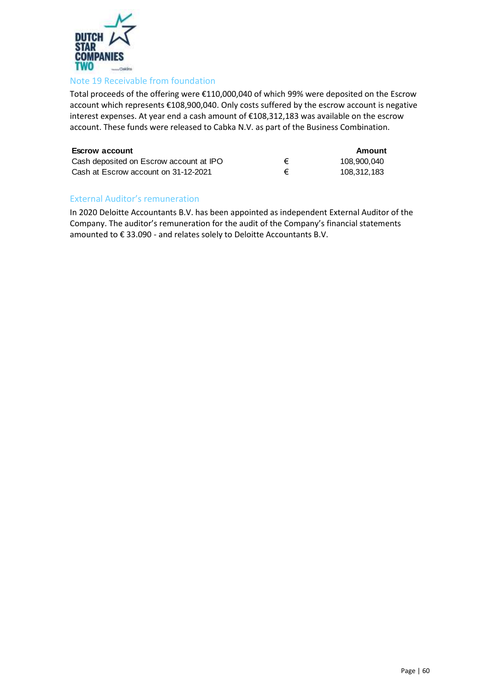

# Note 19 Receivable from foundation

Total proceeds of the offering were €110,000,040 of which 99% were deposited on the Escrow account which represents €108,900,040. Only costs suffered by the escrow account is negative interest expenses. At year end a cash amount of €108,312,183 was available on the escrow account. These funds were released to Cabka N.V. as part of the Business Combination.

| <b>Escrow account</b>                   |   | Amount      |
|-----------------------------------------|---|-------------|
| Cash deposited on Escrow account at IPO | € | 108.900.040 |
| Cash at Escrow account on 31-12-2021    | € | 108.312.183 |

# <span id="page-59-0"></span>External Auditor's remuneration

In 2020 Deloitte Accountants B.V. has been appointed as independent External Auditor of the Company. The auditor's remuneration for the audit of the Company's financial statements amounted to € 33.090 - and relates solely to Deloitte Accountants B.V.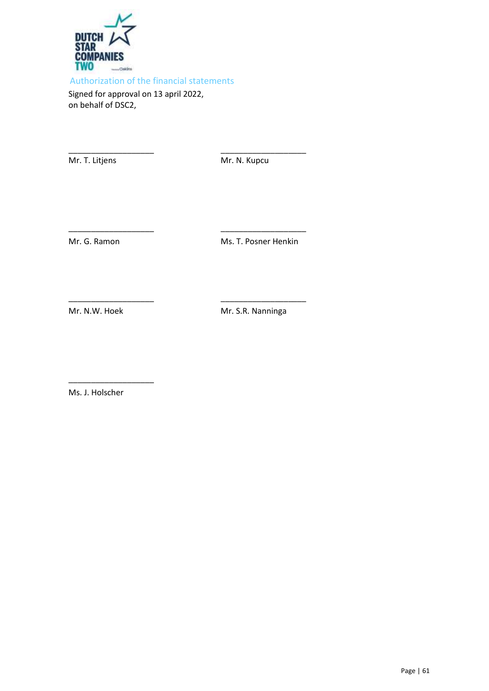

<span id="page-60-0"></span>Authorization of the financial statements

\_\_\_\_\_\_\_\_\_\_\_\_\_\_\_\_\_\_\_ \_\_\_\_\_\_\_\_\_\_\_\_\_\_\_\_\_\_\_

\_\_\_\_\_\_\_\_\_\_\_\_\_\_\_\_\_\_\_ \_\_\_\_\_\_\_\_\_\_\_\_\_\_\_\_\_\_\_

\_\_\_\_\_\_\_\_\_\_\_\_\_\_\_\_\_\_\_ \_\_\_\_\_\_\_\_\_\_\_\_\_\_\_\_\_\_\_

Signed for approval on 13 april 2022, on behalf of DSC2,

Mr. T. Litjens Mr. N. Kupcu

Mr. G. Ramon Ms. T. Posner Henkin

Mr. N.W. Hoek Mr. S.R. Nanninga

Ms. J. Holscher

\_\_\_\_\_\_\_\_\_\_\_\_\_\_\_\_\_\_\_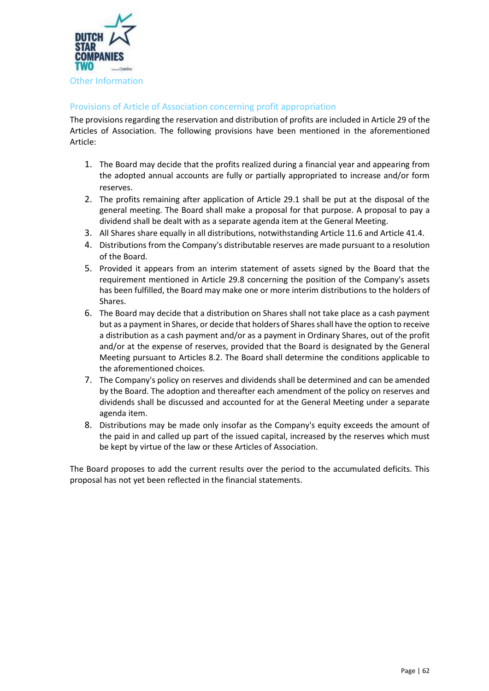

# <span id="page-61-1"></span><span id="page-61-0"></span>Provisions of Article of Association concerning profit appropriation

The provisions regarding the reservation and distribution of profits are included in Article 29 of the Articles of Association. The following provisions have been mentioned in the aforementioned Article:

- 1. The Board may decide that the profits realized during a financial year and appearing from the adopted annual accounts are fully or partially appropriated to increase and/or form reserves.
- 2. The profits remaining after application of Article 29.1 shall be put at the disposal of the general meeting. The Board shall make a proposal for that purpose. A proposal to pay a dividend shall be dealt with as a separate agenda item at the General Meeting.
- 3. All Shares share equally in all distributions, notwithstanding Article 11.6 and Article 41.4.
- 4. Distributions from the Company's distributable reserves are made pursuant to a resolution of the Board.
- 5. Provided it appears from an interim statement of assets signed by the Board that the requirement mentioned in Article 29.8 concerning the position of the Company's assets has been fulfilled, the Board may make one or more interim distributions to the holders of Shares.
- 6. The Board may decide that a distribution on Shares shall not take place as a cash payment but as a payment in Shares, or decide that holders of Shares shall have the option to receive a distribution as a cash payment and/or as a payment in Ordinary Shares, out of the profit and/or at the expense of reserves, provided that the Board is designated by the General Meeting pursuant to Articles 8.2. The Board shall determine the conditions applicable to the aforementioned choices.
- 7. The Company's policy on reserves and dividends shall be determined and can be amended by the Board. The adoption and thereafter each amendment of the policy on reserves and dividends shall be discussed and accounted for at the General Meeting under a separate agenda item.
- 8. Distributions may be made only insofar as the Company's equity exceeds the amount of the paid in and called up part of the issued capital, increased by the reserves which must be kept by virtue of the law or these Articles of Association.

The Board proposes to add the current results over the period to the accumulated deficits. This proposal has not yet been reflected in the financial statements.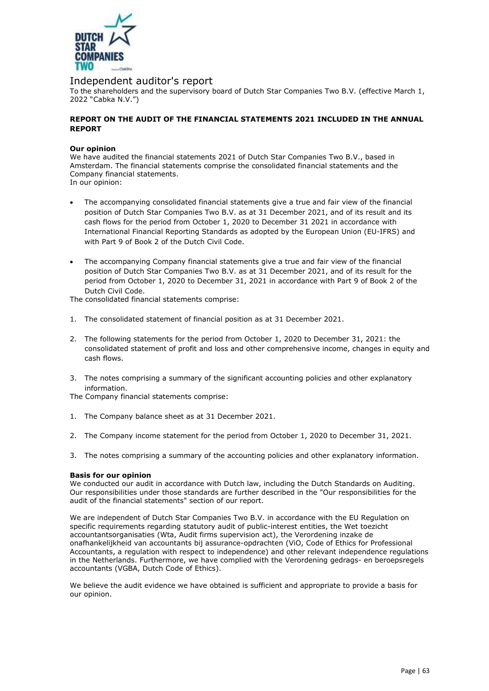

#### Independent auditor's report

To the shareholders and the supervisory board of Dutch Star Companies Two B.V. (effective March 1, 2022 "Cabka N.V.")

#### **REPORT ON THE AUDIT OF THE FINANCIAL STATEMENTS 2021 INCLUDED IN THE ANNUAL REPORT**

#### **Our opinion**

We have audited the financial statements 2021 of Dutch Star Companies Two B.V., based in [Amsterdam](pp://General Data/Principal place of business?taxonomy=ESEF&labellanguage=en&allowhtml=false). The financial statements comprise the consolidated financial statements and the Company financial statements.

In our opinion:

- The accompanying consolidated financial statements give a true and fair view of the financial position of Dutch Star Companies Two B.V. as at 31 December 2021, and of its result and its cash flows for the period from October 1, 2020 to December 31 2021 in accordance with International Financial Reporting Standards as adopted by the European Union (EU-IFRS) and with Part 9 of Book 2 of the Dutch Civil Code.
- The accompanying Company financial statements give a true and fair view of the financial position of Dutch Star Companies Two B.V. as at 31 December 2021, and of its result for the period from October 1, 2020 to December 31, 2021 in accordance with Part 9 of Book 2 of the Dutch Civil Code.

The consolidated financial statements comprise:

- 1. The consolidated statement of financial position as at 31 December 2021.
- 2. The following statements for the period from October 1, 2020 to December 31, 2021: the consolidated statement of profit and loss and other comprehensive income, changes in equity and cash flows.
- 3. The notes comprising a summary of the significant accounting policies and other explanatory information.
- The Company financial statements comprise:
- 1. The Company balance sheet as at 31 December 2021.
- 2. The Company income statement for the period from October 1, 2020 to December 31, 2021.
- 3. The notes comprising a summary of the accounting policies and other explanatory information.

#### **Basis for our opinion**

We conducted our audit in accordance with Dutch law, including the Dutch Standards on Auditing. Our responsibilities under those standards are further described in the "Our responsibilities for the audit of the financial statements" section of our report.

We are independent of Dutch Star Companies Two B.V. in accordance with the EU Regulation on specific requirements regarding statutory audit of public-interest entities, the Wet toezicht accountantsorganisaties (Wta, Audit firms supervision act), the Verordening inzake de onafhankelijkheid van accountants bij assurance-opdrachten (ViO, Code of Ethics for Professional Accountants, a regulation with respect to independence) and other relevant independence regulations in the Netherlands. Furthermore, we have complied with the Verordening gedrags- en beroepsregels accountants (VGBA, Dutch Code of Ethics).

We believe the audit evidence we have obtained is sufficient and appropriate to provide a basis for our opinion.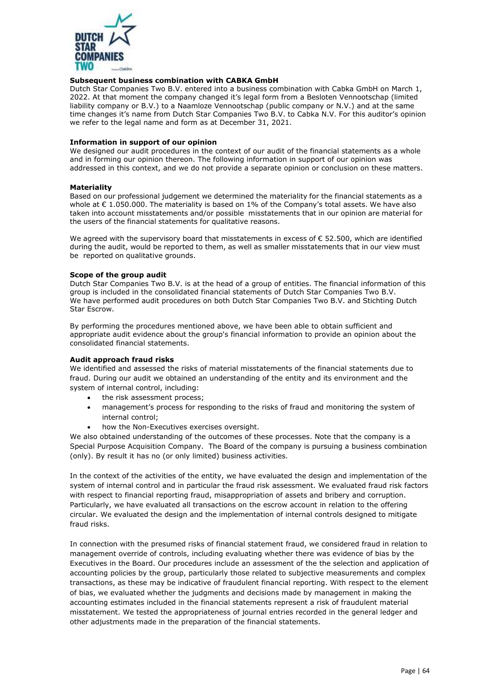

#### **Subsequent business combination with CABKA GmbH**

Dutch Star Companies Two B.V. entered into a business combination with Cabka GmbH on March 1, 2022. At that moment the company changed it's legal form from a Besloten Vennootschap (limited liability company or B.V.) to a Naamloze Vennootschap (public company or N.V.) and at the same time changes it's name from Dutch Star Companies Two B.V. to Cabka N.V. For this auditor's opinion we refer to the legal name and form as at December 31, 2021.

#### **Information in support of our opinion**

We designed our audit procedures in the context of our audit of the financial statements as a whole and in forming our opinion thereon. The following information in support of our opinion was addressed in this context, and we do not provide a separate opinion or conclusion on these matters.

#### **Materiality**

Based on our professional judgement we determined the materiality for the financial statements as a whole at  $\epsilon$  1.050.000. The materiality is based on 1% of the Company's total assets. We have also taken into account misstatements and/or possible misstatements that in our opinion are material for the users of the financial statements for qualitative reasons.

We agreed with the supervisory board that misstatements in excess of  $\epsilon$  52.500, which are identified during the audit, would be reported to them, as well as smaller misstatements that in our view must be reported on qualitative grounds.

#### **Scope of the group audit**

Dutch Star Companies Two B.V. is at the head of a group of entities. The financial information of this group is included in the consolidated financial statements of Dutch Star Companies Two B.V. We have performed audit procedures on both Dutch Star Companies Two B.V. and Stichting Dutch Star Escrow.

By performing the procedures mentioned above, we have been able to obtain sufficient and appropriate audit evidence about the group's financial information to provide an opinion about the consolidated financial statements.

#### **Audit approach fraud risks**

We identified and assessed the risks of material misstatements of the financial statements due to fraud. During our audit we obtained an understanding of the entity and its environment and the system of internal control, including:

- the risk assessment process;
- management's process for responding to the risks of fraud and monitoring the system of internal control;
- how the Non-Executives exercises oversight.

We also obtained understanding of the outcomes of these processes. Note that the company is a Special Purpose Acquisition Company. The Board of the company is pursuing a business combination (only). By result it has no (or only limited) business activities.

In the context of the activities of the entity, we have evaluated the design and implementation of the system of internal control and in particular the fraud risk assessment. We evaluated fraud risk factors with respect to financial reporting fraud, misappropriation of assets and bribery and corruption. Particularly, we have evaluated all transactions on the escrow account in relation to the offering circular. We evaluated the design and the implementation of internal controls designed to mitigate fraud risks.

In connection with the presumed risks of financial statement fraud, we considered fraud in relation to management override of controls, including evaluating whether there was evidence of bias by the Executives in the Board. Our procedures include an assessment of the the selection and application of accounting policies by the group, particularly those related to subjective measurements and complex transactions, as these may be indicative of fraudulent financial reporting. With respect to the element of bias, we evaluated whether the judgments and decisions made by management in making the accounting estimates included in the financial statements represent a risk of fraudulent material misstatement. We tested the appropriateness of journal entries recorded in the general ledger and other adjustments made in the preparation of the financial statements.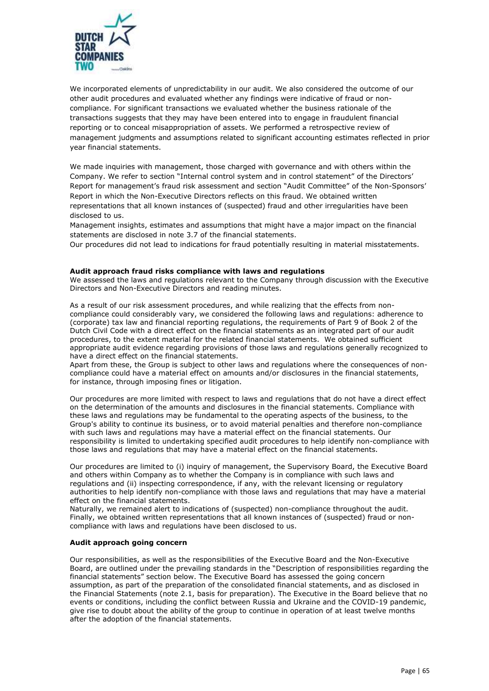

We incorporated elements of unpredictability in our audit. We also considered the outcome of our other audit procedures and evaluated whether any findings were indicative of fraud or noncompliance. For significant transactions we evaluated whether the business rationale of the transactions suggests that they may have been entered into to engage in fraudulent financial reporting or to conceal misappropriation of assets. We performed a retrospective review of management judgments and assumptions related to significant accounting estimates reflected in prior year financial statements.

We made inquiries with management, those charged with governance and with others within the Company. We refer to section "Internal control system and in control statement" of the Directors' Report for management's fraud risk assessment and section "Audit Committee" of the Non-Sponsors' Report in which the Non-Executive Directors reflects on this fraud. We obtained written representations that all known instances of (suspected) fraud and other irregularities have been disclosed to us.

Management insights, estimates and assumptions that might have a major impact on the financial statements are disclosed in note 3.7 of the financial statements.

Our procedures did not lead to indications for fraud potentially resulting in material misstatements.

#### **Audit approach fraud risks compliance with laws and regulations**

We assessed the laws and regulations relevant to the Company through discussion with the Executive Directors and Non-Executive Directors and reading minutes.

As a result of our risk assessment procedures, and while realizing that the effects from noncompliance could considerably vary, we considered the following laws and regulations: adherence to (corporate) tax law and financial reporting regulations, the requirements of Part 9 of Book 2 of the Dutch Civil Code with a direct effect on the financial statements as an integrated part of our audit procedures, to the extent material for the related financial statements. We obtained sufficient appropriate audit evidence regarding provisions of those laws and regulations generally recognized to have a direct effect on the financial statements.

Apart from these, the Group is subject to other laws and regulations where the consequences of noncompliance could have a material effect on amounts and/or disclosures in the financial statements, for instance, through imposing fines or litigation.

Our procedures are more limited with respect to laws and regulations that do not have a direct effect on the determination of the amounts and disclosures in the financial statements. Compliance with these laws and regulations may be fundamental to the operating aspects of the business, to the Group's ability to continue its business, or to avoid material penalties and therefore non-compliance with such laws and regulations may have a material effect on the financial statements. Our responsibility is limited to undertaking specified audit procedures to help identify non-compliance with those laws and regulations that may have a material effect on the financial statements.

Our procedures are limited to (i) inquiry of management, the Supervisory Board, the Executive Board and others within Company as to whether the Company is in compliance with such laws and regulations and (ii) inspecting correspondence, if any, with the relevant licensing or regulatory authorities to help identify non-compliance with those laws and regulations that may have a material effect on the financial statements.

Naturally, we remained alert to indications of (suspected) non-compliance throughout the audit. Finally, we obtained written representations that all known instances of (suspected) fraud or noncompliance with laws and regulations have been disclosed to us.

#### **Audit approach going concern**

Our responsibilities, as well as the responsibilities of the Executive Board and the Non-Executive Board, are outlined under the prevailing standards in the "Description of responsibilities regarding the financial statements" section below. The Executive Board has assessed the going concern assumption, as part of the preparation of the consolidated financial statements, and as disclosed in the Financial Statements (note 2.1, basis for preparation). The Executive in the Board believe that no events or conditions, including the conflict between Russia and Ukraine and the COVID-19 pandemic, give rise to doubt about the ability of the group to continue in operation of at least twelve months after the adoption of the financial statements.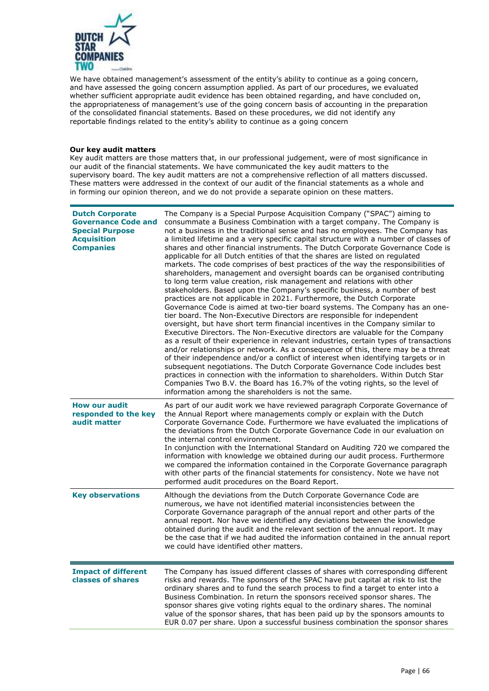

We have obtained management's assessment of the entity's ability to continue as a going concern, and have assessed the going concern assumption applied. As part of our procedures, we evaluated whether sufficient appropriate audit evidence has been obtained regarding, and have concluded on, the appropriateness of management's use of the going concern basis of accounting in the preparation of the consolidated financial statements. Based on these procedures, we did not identify any reportable findings related to the entity's ability to continue as a going concern

#### **Our key audit matters**

Key audit matters are those matters that, in our professional judgement, were of most significance in our audit of the financial statements. We have communicated the key audit matters to the supervisory board. The key audit matters are not a comprehensive reflection of all matters discussed. These matters were addressed in the context of our audit of the financial statements as a whole and in forming our opinion thereon, and we do not provide a separate opinion on these matters.

| <b>Dutch Corporate</b><br><b>Governance Code and</b><br><b>Special Purpose</b><br><b>Acquisition</b><br><b>Companies</b> | The Company is a Special Purpose Acquisition Company ("SPAC") aiming to<br>consummate a Business Combination with a target company. The Company is<br>not a business in the traditional sense and has no employees. The Company has<br>a limited lifetime and a very specific capital structure with a number of classes of<br>shares and other financial instruments. The Dutch Corporate Governance Code is<br>applicable for all Dutch entities of that the shares are listed on regulated<br>markets. The code comprises of best practices of the way the responsibilities of<br>shareholders, management and oversight boards can be organised contributing<br>to long term value creation, risk management and relations with other<br>stakeholders. Based upon the Company's specific business, a number of best<br>practices are not applicable in 2021. Furthermore, the Dutch Corporate<br>Governance Code is aimed at two-tier board systems. The Company has an one-<br>tier board. The Non-Executive Directors are responsible for independent<br>oversight, but have short term financial incentives in the Company similar to<br>Executive Directors. The Non-Executive directors are valuable for the Company<br>as a result of their experience in relevant industries, certain types of transactions<br>and/or relationships or network. As a consequence of this, there may be a threat<br>of their independence and/or a conflict of interest when identifying targets or in<br>subsequent negotiations. The Dutch Corporate Governance Code includes best<br>practices in connection with the information to shareholders. Within Dutch Star<br>Companies Two B.V. the Board has 16.7% of the voting rights, so the level of<br>information among the shareholders is not the same. |
|--------------------------------------------------------------------------------------------------------------------------|----------------------------------------------------------------------------------------------------------------------------------------------------------------------------------------------------------------------------------------------------------------------------------------------------------------------------------------------------------------------------------------------------------------------------------------------------------------------------------------------------------------------------------------------------------------------------------------------------------------------------------------------------------------------------------------------------------------------------------------------------------------------------------------------------------------------------------------------------------------------------------------------------------------------------------------------------------------------------------------------------------------------------------------------------------------------------------------------------------------------------------------------------------------------------------------------------------------------------------------------------------------------------------------------------------------------------------------------------------------------------------------------------------------------------------------------------------------------------------------------------------------------------------------------------------------------------------------------------------------------------------------------------------------------------------------------------------------------------------------------------------------------------------------------------------|
| <b>How our audit</b><br>responded to the key<br>audit matter                                                             | As part of our audit work we have reviewed paragraph Corporate Governance of<br>the Annual Report where managements comply or explain with the Dutch<br>Corporate Governance Code. Furthermore we have evaluated the implications of<br>the deviations from the Dutch Corporate Governance Code in our evaluation on<br>the internal control environment.<br>In conjunction with the International Standard on Auditing 720 we compared the<br>information with knowledge we obtained during our audit process. Furthermore<br>we compared the information contained in the Corporate Governance paragraph<br>with other parts of the financial statements for consistency. Note we have not<br>performed audit procedures on the Board Report.                                                                                                                                                                                                                                                                                                                                                                                                                                                                                                                                                                                                                                                                                                                                                                                                                                                                                                                                                                                                                                                          |
| <b>Key observations</b>                                                                                                  | Although the deviations from the Dutch Corporate Governance Code are<br>numerous, we have not identified material inconsistencies between the<br>Corporate Governance paragraph of the annual report and other parts of the<br>annual report. Nor have we identified any deviations between the knowledge<br>obtained during the audit and the relevant section of the annual report. It may<br>be the case that if we had audited the information contained in the annual report<br>we could have identified other matters.                                                                                                                                                                                                                                                                                                                                                                                                                                                                                                                                                                                                                                                                                                                                                                                                                                                                                                                                                                                                                                                                                                                                                                                                                                                                             |
| <b>Impact of different</b><br>classes of shares                                                                          | The Company has issued different classes of shares with corresponding different<br>risks and rewards. The sponsors of the SPAC have put capital at risk to list the<br>ordinary shares and to fund the search process to find a target to enter into a<br>Business Combination. In return the sponsors received sponsor shares. The<br>sponsor shares give voting rights equal to the ordinary shares. The nominal<br>value of the sponsor shares, that has been paid up by the sponsors amounts to<br>EUR 0.07 per share. Upon a successful business combination the sponsor shares                                                                                                                                                                                                                                                                                                                                                                                                                                                                                                                                                                                                                                                                                                                                                                                                                                                                                                                                                                                                                                                                                                                                                                                                                     |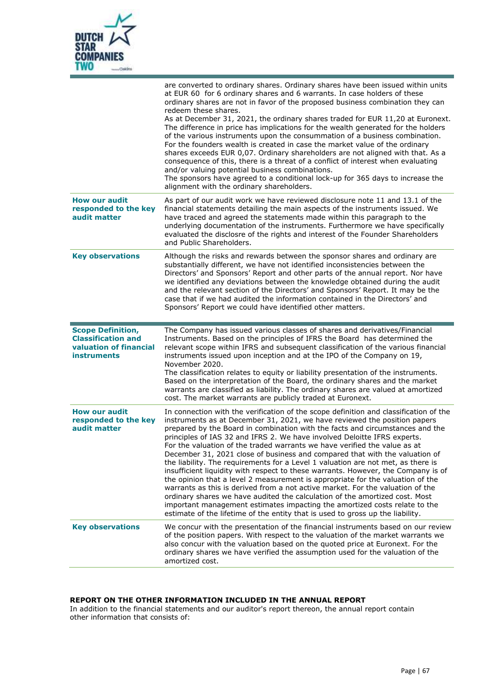

|                                                                                                       | are converted to ordinary shares. Ordinary shares have been issued within units<br>at EUR 60 for 6 ordinary shares and 6 warrants. In case holders of these<br>ordinary shares are not in favor of the proposed business combination they can<br>redeem these shares.<br>As at December 31, 2021, the ordinary shares traded for EUR 11,20 at Euronext.<br>The difference in price has implications for the wealth generated for the holders<br>of the various instruments upon the consummation of a business combination.<br>For the founders wealth is created in case the market value of the ordinary<br>shares exceeds EUR 0,07. Ordinary shareholders are not aligned with that. As a<br>consequence of this, there is a threat of a conflict of interest when evaluating<br>and/or valuing potential business combinations.<br>The sponsors have agreed to a conditional lock-up for 365 days to increase the<br>alignment with the ordinary shareholders.                                                                                                                      |
|-------------------------------------------------------------------------------------------------------|-----------------------------------------------------------------------------------------------------------------------------------------------------------------------------------------------------------------------------------------------------------------------------------------------------------------------------------------------------------------------------------------------------------------------------------------------------------------------------------------------------------------------------------------------------------------------------------------------------------------------------------------------------------------------------------------------------------------------------------------------------------------------------------------------------------------------------------------------------------------------------------------------------------------------------------------------------------------------------------------------------------------------------------------------------------------------------------------|
| <b>How our audit</b><br>responded to the key<br>audit matter                                          | As part of our audit work we have reviewed disclosure note 11 and 13.1 of the<br>financial statements detailing the main aspects of the instruments issued. We<br>have traced and agreed the statements made within this paragraph to the<br>underlying documentation of the instruments. Furthermore we have specifically<br>evaluated the disclosre of the rights and interest of the Founder Shareholders<br>and Public Shareholders.                                                                                                                                                                                                                                                                                                                                                                                                                                                                                                                                                                                                                                                |
| <b>Key observations</b>                                                                               | Although the risks and rewards between the sponsor shares and ordinary are<br>substantially different, we have not identified inconsistencies between the<br>Directors' and Sponsors' Report and other parts of the annual report. Nor have<br>we identified any deviations between the knowledge obtained during the audit<br>and the relevant section of the Directors' and Sponsors' Report. It may be the<br>case that if we had audited the information contained in the Directors' and<br>Sponsors' Report we could have identified other matters.                                                                                                                                                                                                                                                                                                                                                                                                                                                                                                                                |
|                                                                                                       |                                                                                                                                                                                                                                                                                                                                                                                                                                                                                                                                                                                                                                                                                                                                                                                                                                                                                                                                                                                                                                                                                         |
| <b>Scope Definition,</b><br><b>Classification and</b><br>valuation of financial<br><b>instruments</b> | The Company has issued various classes of shares and derivatives/Financial<br>Instruments. Based on the principles of IFRS the Board has determined the<br>relevant scope within IFRS and subsequent classification of the various financial<br>instruments issued upon inception and at the IPO of the Company on 19,<br>November 2020.<br>The classification relates to equity or liability presentation of the instruments.<br>Based on the interpretation of the Board, the ordinary shares and the market<br>warrants are classified as liability. The ordinary shares are valued at amortized<br>cost. The market warrants are publicly traded at Euronext.                                                                                                                                                                                                                                                                                                                                                                                                                       |
| <b>How our audit</b><br>responded to the key<br>audit matter                                          | In connection with the verification of the scope definition and classification of the<br>instruments as at December 31, 2021, we have reviewed the position papers<br>prepared by the Board in combination with the facts and circumstances and the<br>principles of IAS 32 and IFRS 2. We have involved Deloitte IFRS experts.<br>For the valuation of the traded warrants we have verified the value as at<br>December 31, 2021 close of business and compared that with the valuation of<br>the liability. The requirements for a Level 1 valuation are not met, as there is<br>insufficient liquidity with respect to these warrants. However, the Company is of<br>the opinion that a level 2 measurement is appropriate for the valuation of the<br>warrants as this is derived from a not active market. For the valuation of the<br>ordinary shares we have audited the calculation of the amortized cost. Most<br>important management estimates impacting the amortized costs relate to the<br>estimate of the lifetime of the entity that is used to gross up the liability. |

#### **REPORT ON THE OTHER INFORMATION INCLUDED IN THE ANNUAL REPORT**

In addition to the financial statements and our auditor's report thereon, the annual report contain other information that consists of: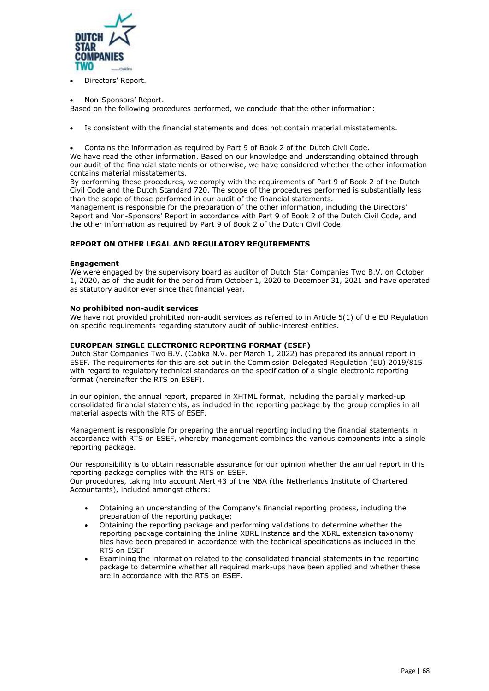

Directors' Report.

#### • Non-Sponsors' Report.

Based on the following procedures performed, we conclude that the other information:

Is consistent with the financial statements and does not contain material misstatements.

• Contains the information as required by Part 9 of Book 2 of the Dutch Civil Code.

We have read the other information. Based on our knowledge and understanding obtained through our audit of the financial statements or otherwise, we have considered whether the other information contains material misstatements.

By performing these procedures, we comply with the requirements of Part 9 of Book 2 of the Dutch Civil Code and the Dutch Standard 720. The scope of the procedures performed is substantially less than the scope of those performed in our audit of the financial statements.

Management is responsible for the preparation of the other information, including the Directors' Report and Non-Sponsors' Report in accordance with Part 9 of Book 2 of the Dutch Civil Code, and the other information as required by Part 9 of Book 2 of the Dutch Civil Code.

#### **REPORT ON OTHER LEGAL AND REGULATORY REQUIREMENTS**

#### **Engagement**

We were engaged by the supervisory board as auditor of Dutch Star Companies Two B.V. on October 1, 2020, as of the audit for the period from October 1, 2020 to December 31, 2021 and have operated as statutory auditor ever since that financial year.

#### **No prohibited non-audit services**

We have not provided prohibited non-audit services as referred to in Article 5(1) of the EU Regulation on specific requirements regarding statutory audit of public-interest entities.

#### **EUROPEAN SINGLE ELECTRONIC REPORTING FORMAT (ESEF)**

Dutch Star Companies Two B.V. (Cabka N.V. per March 1, 2022) has prepared its annual report in ESEF. The requirements for this are set out in the Commission Delegated Regulation (EU) 2019/815 with regard to regulatory technical standards on the specification of a single electronic reporting format (hereinafter the RTS on ESEF).

In our opinion, the annual report, prepared in XHTML format, including the partially marked-up consolidated financial statements, as included in the reporting package by the group complies in all material aspects with the RTS of ESEF.

Management is responsible for preparing the annual reporting including the financial statements in accordance with RTS on ESEF, whereby management combines the various components into a single reporting package.

Our responsibility is to obtain reasonable assurance for our opinion whether the annual report in this reporting package complies with the RTS on ESEF.

Our procedures, taking into account Alert 43 of the NBA (the Netherlands Institute of Chartered Accountants), included amongst others:

- Obtaining an understanding of the Company's financial reporting process, including the preparation of the reporting package;
- Obtaining the reporting package and performing validations to determine whether the reporting package containing the Inline XBRL instance and the XBRL extension taxonomy files have been prepared in accordance with the technical specifications as included in the RTS on ESEF
- Examining the information related to the consolidated financial statements in the reporting package to determine whether all required mark-ups have been applied and whether these are in accordance with the RTS on ESEF.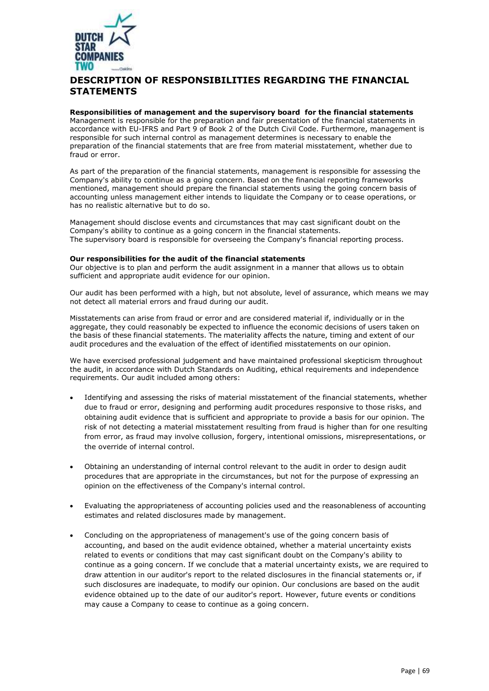

# **DESCRIPTION OF RESPONSIBILITIES REGARDING THE FINANCIAL STATEMENTS**

#### **Responsibilities of management and the supervisory board for the financial statements**

Management is responsible for the preparation and fair presentation of the financial statements in accordance with EU-IFRS and Part 9 of Book 2 of the Dutch Civil Code. Furthermore, management is responsible for such internal control as management determines is necessary to enable the preparation of the financial statements that are free from material misstatement, whether due to fraud or error.

As part of the preparation of the financial statements, management is responsible for assessing the Company's ability to continue as a going concern. Based on the financial reporting frameworks mentioned, management should prepare the financial statements using the going concern basis of accounting unless management either intends to liquidate the Company or to cease operations, or has no realistic alternative but to do so.

Management should disclose events and circumstances that may cast significant doubt on the Company's ability to continue as a going concern in the financial statements. The supervisory board is responsible for overseeing the Company's financial reporting process.

#### **Our responsibilities for the audit of the financial statements**

Our objective is to plan and perform the audit assignment in a manner that allows us to obtain sufficient and appropriate audit evidence for our opinion.

Our audit has been performed with a high, but not absolute, level of assurance, which means we may not detect all material errors and fraud during our audit.

Misstatements can arise from fraud or error and are considered material if, individually or in the aggregate, they could reasonably be expected to influence the economic decisions of users taken on the basis of these financial statements. The materiality affects the nature, timing and extent of our audit procedures and the evaluation of the effect of identified misstatements on our opinion.

We have exercised professional judgement and have maintained professional skepticism throughout the audit, in accordance with Dutch Standards on Auditing, ethical requirements and independence requirements. Our audit included among others:

- Identifying and assessing the risks of material misstatement of the financial statements, whether due to fraud or error, designing and performing audit procedures responsive to those risks, and obtaining audit evidence that is sufficient and appropriate to provide a basis for our opinion. The risk of not detecting a material misstatement resulting from fraud is higher than for one resulting from error, as fraud may involve collusion, forgery, intentional omissions, misrepresentations, or the override of internal control.
- Obtaining an understanding of internal control relevant to the audit in order to design audit procedures that are appropriate in the circumstances, but not for the purpose of expressing an opinion on the effectiveness of the Company's internal control.
- Evaluating the appropriateness of accounting policies used and the reasonableness of accounting estimates and related disclosures made by management.
- Concluding on the appropriateness of management's use of the going concern basis of accounting, and based on the audit evidence obtained, whether a material uncertainty exists related to events or conditions that may cast significant doubt on the Company's ability to continue as a going concern. If we conclude that a material uncertainty exists, we are required to draw attention in our auditor's report to the related disclosures in the financial statements or, if such disclosures are inadequate, to modify our opinion. Our conclusions are based on the audit evidence obtained up to the date of our auditor's report. However, future events or conditions may cause a Company to cease to continue as a going concern.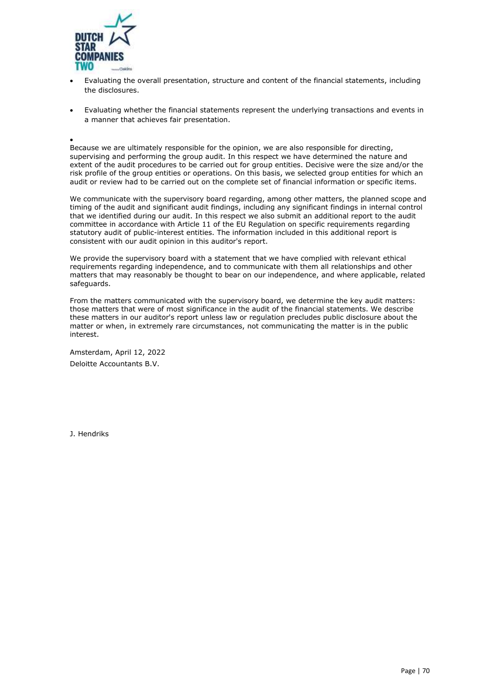

- Evaluating the overall presentation, structure and content of the financial statements, including the disclosures.
- Evaluating whether the financial statements represent the underlying transactions and events in a manner that achieves fair presentation.

•

Because we are ultimately responsible for the opinion, we are also responsible for directing, supervising and performing the group audit. In this respect we have determined the nature and extent of the audit procedures to be carried out for group entities. Decisive were the size and/or the risk profile of the group entities or operations. On this basis, we selected group entities for which an audit or review had to be carried out on the complete set of financial information or specific items.

We communicate with the supervisory board regarding, among other matters, the planned scope and timing of the audit and significant audit findings, including any significant findings in internal control that we identified during our audit. In this respect we also submit an additional report to the audit committee in accordance with Article 11 of the EU Regulation on specific requirements regarding statutory audit of public-interest entities. The information included in this additional report is consistent with our audit opinion in this auditor's report.

We provide the supervisory board with a statement that we have complied with relevant ethical requirements regarding independence, and to communicate with them all relationships and other matters that may reasonably be thought to bear on our independence, and where applicable, related safeguards.

From the matters communicated with the supervisory board, we determine the key audit matters: those matters that were of most significance in the audit of the financial statements. We describe these matters in our auditor's report unless law or regulation precludes public disclosure about the matter or when, in extremely rare circumstances, not communicating the matter is in the public interest.

Amsterdam, April 12, 2022 Deloitte Accountants B.V.

J. Hendriks